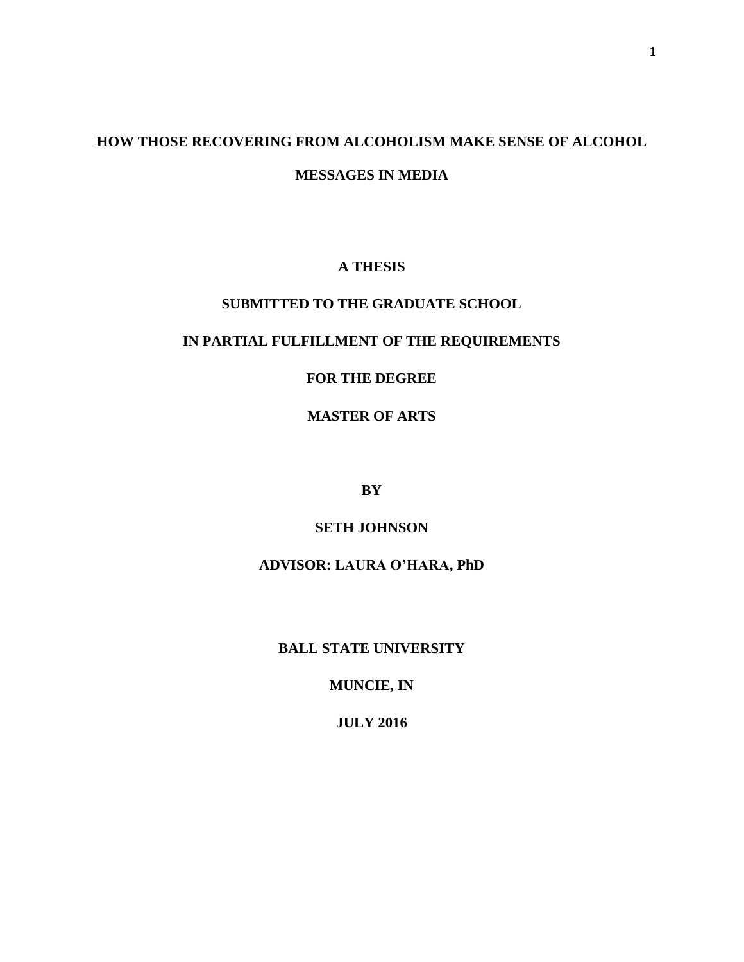# **HOW THOSE RECOVERING FROM ALCOHOLISM MAKE SENSE OF ALCOHOL MESSAGES IN MEDIA**

# **A THESIS**

# **SUBMITTED TO THE GRADUATE SCHOOL**

# **IN PARTIAL FULFILLMENT OF THE REQUIREMENTS**

# **FOR THE DEGREE**

# **MASTER OF ARTS**

**BY**

# **SETH JOHNSON**

# **ADVISOR: LAURA O'HARA, PhD**

# **BALL STATE UNIVERSITY**

# **MUNCIE, IN**

# **JULY 2016**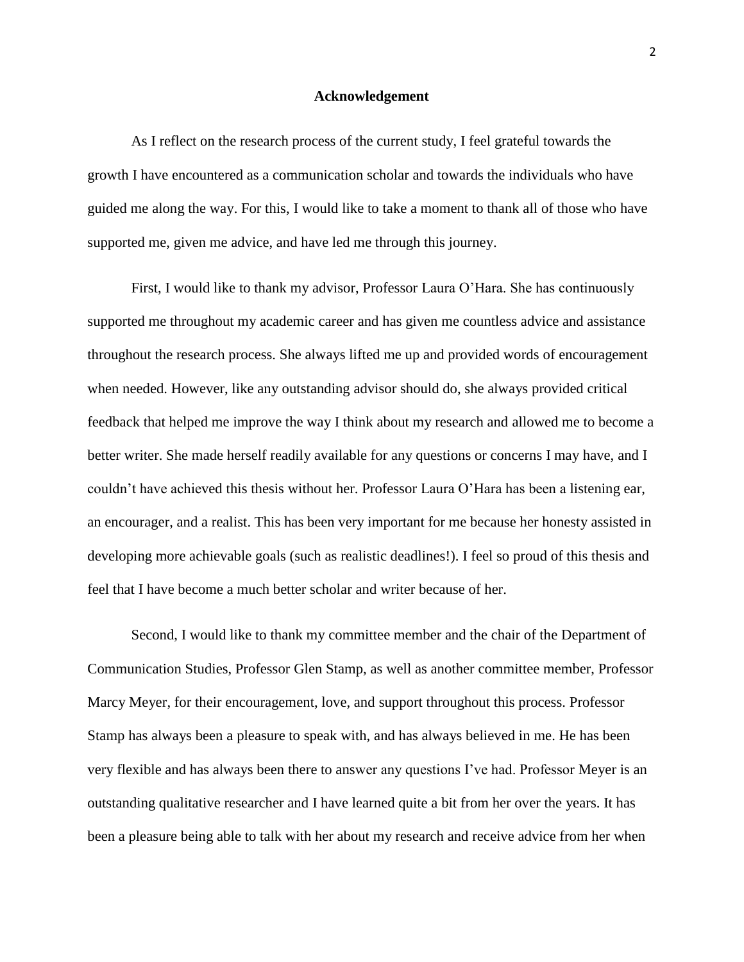#### **Acknowledgement**

As I reflect on the research process of the current study, I feel grateful towards the growth I have encountered as a communication scholar and towards the individuals who have guided me along the way. For this, I would like to take a moment to thank all of those who have supported me, given me advice, and have led me through this journey.

First, I would like to thank my advisor, Professor Laura O'Hara. She has continuously supported me throughout my academic career and has given me countless advice and assistance throughout the research process. She always lifted me up and provided words of encouragement when needed. However, like any outstanding advisor should do, she always provided critical feedback that helped me improve the way I think about my research and allowed me to become a better writer. She made herself readily available for any questions or concerns I may have, and I couldn't have achieved this thesis without her. Professor Laura O'Hara has been a listening ear, an encourager, and a realist. This has been very important for me because her honesty assisted in developing more achievable goals (such as realistic deadlines!). I feel so proud of this thesis and feel that I have become a much better scholar and writer because of her.

Second, I would like to thank my committee member and the chair of the Department of Communication Studies, Professor Glen Stamp, as well as another committee member, Professor Marcy Meyer, for their encouragement, love, and support throughout this process. Professor Stamp has always been a pleasure to speak with, and has always believed in me. He has been very flexible and has always been there to answer any questions I've had. Professor Meyer is an outstanding qualitative researcher and I have learned quite a bit from her over the years. It has been a pleasure being able to talk with her about my research and receive advice from her when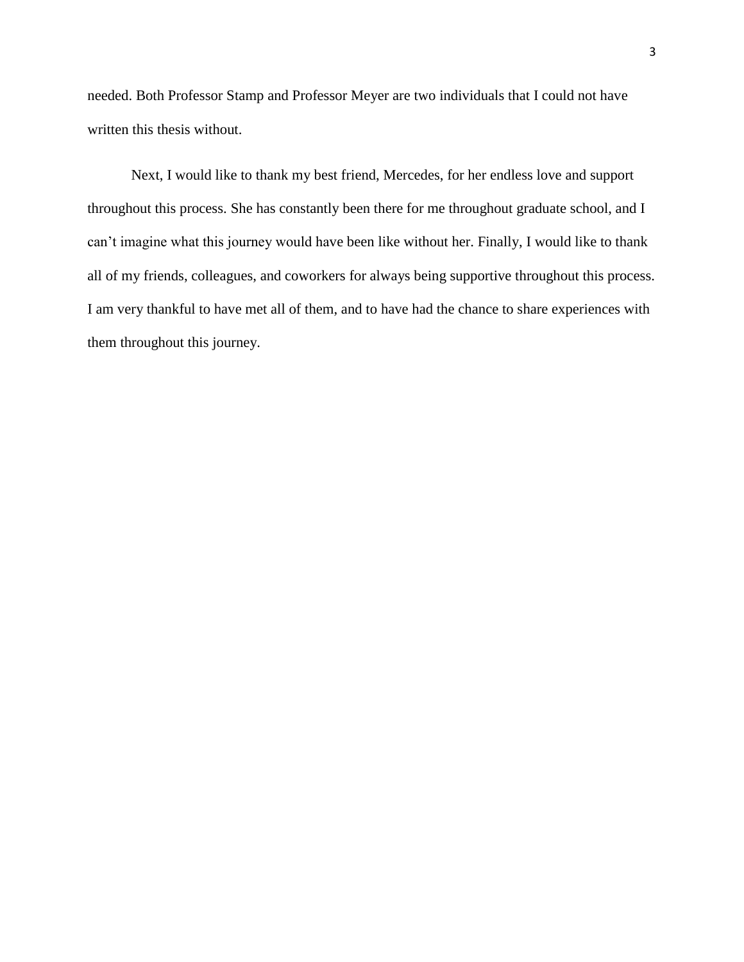needed. Both Professor Stamp and Professor Meyer are two individuals that I could not have written this thesis without.

Next, I would like to thank my best friend, Mercedes, for her endless love and support throughout this process. She has constantly been there for me throughout graduate school, and I can't imagine what this journey would have been like without her. Finally, I would like to thank all of my friends, colleagues, and coworkers for always being supportive throughout this process. I am very thankful to have met all of them, and to have had the chance to share experiences with them throughout this journey.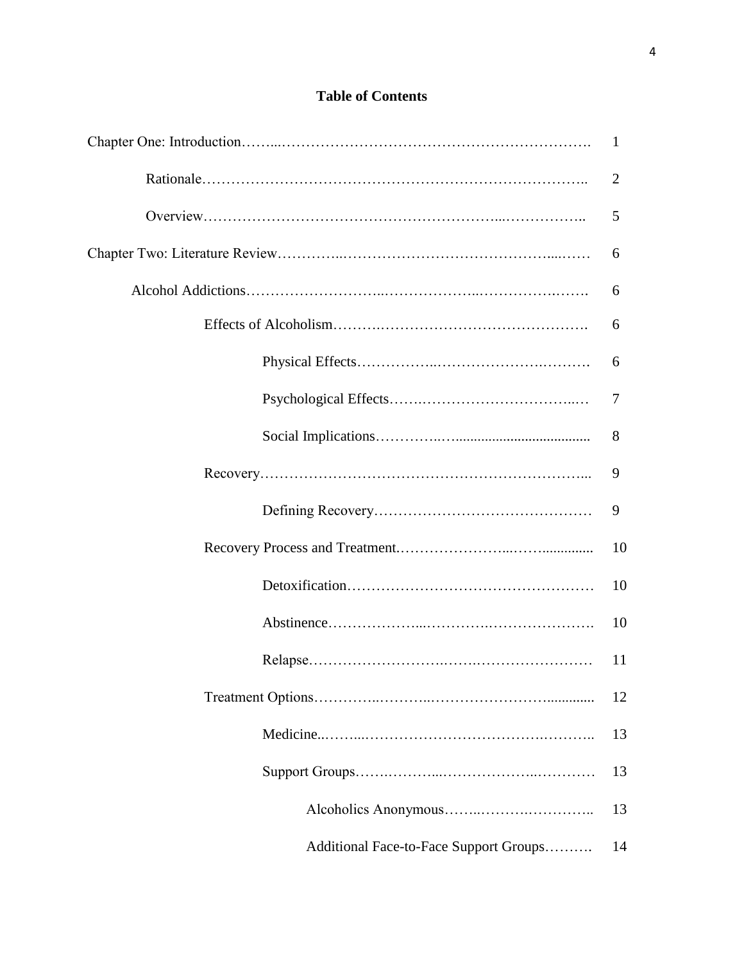# **Table of Contents**

|                                        | 1  |
|----------------------------------------|----|
|                                        | 2  |
|                                        | 5  |
|                                        | 6  |
|                                        | 6  |
|                                        | 6  |
|                                        | 6  |
|                                        | 7  |
|                                        | 8  |
|                                        | 9  |
|                                        | 9  |
|                                        | 10 |
|                                        | 10 |
|                                        | 10 |
|                                        | 11 |
|                                        | 12 |
|                                        | 13 |
|                                        | 13 |
|                                        | 13 |
| Additional Face-to-Face Support Groups | 14 |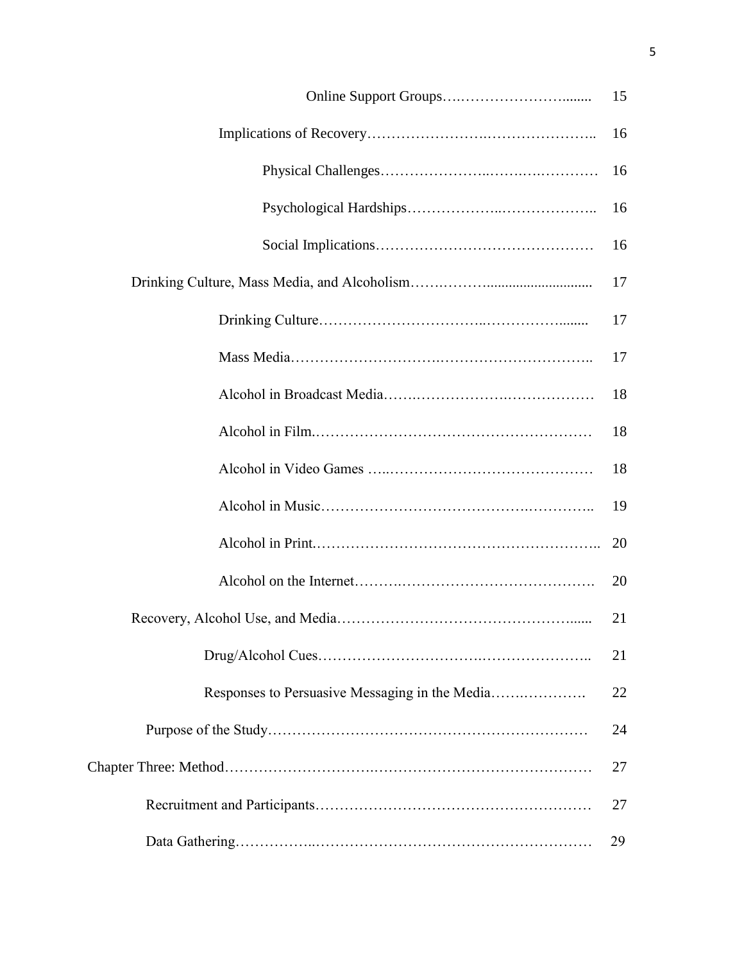|  | 15 |  |  |  |
|--|----|--|--|--|
|  | 16 |  |  |  |
|  | 16 |  |  |  |
|  | 16 |  |  |  |
|  | 16 |  |  |  |
|  | 17 |  |  |  |
|  | 17 |  |  |  |
|  | 17 |  |  |  |
|  | 18 |  |  |  |
|  | 18 |  |  |  |
|  | 18 |  |  |  |
|  | 19 |  |  |  |
|  | 20 |  |  |  |
|  | 20 |  |  |  |
|  | 21 |  |  |  |
|  | 21 |  |  |  |
|  | 22 |  |  |  |
|  | 24 |  |  |  |
|  |    |  |  |  |
|  | 27 |  |  |  |
|  | 29 |  |  |  |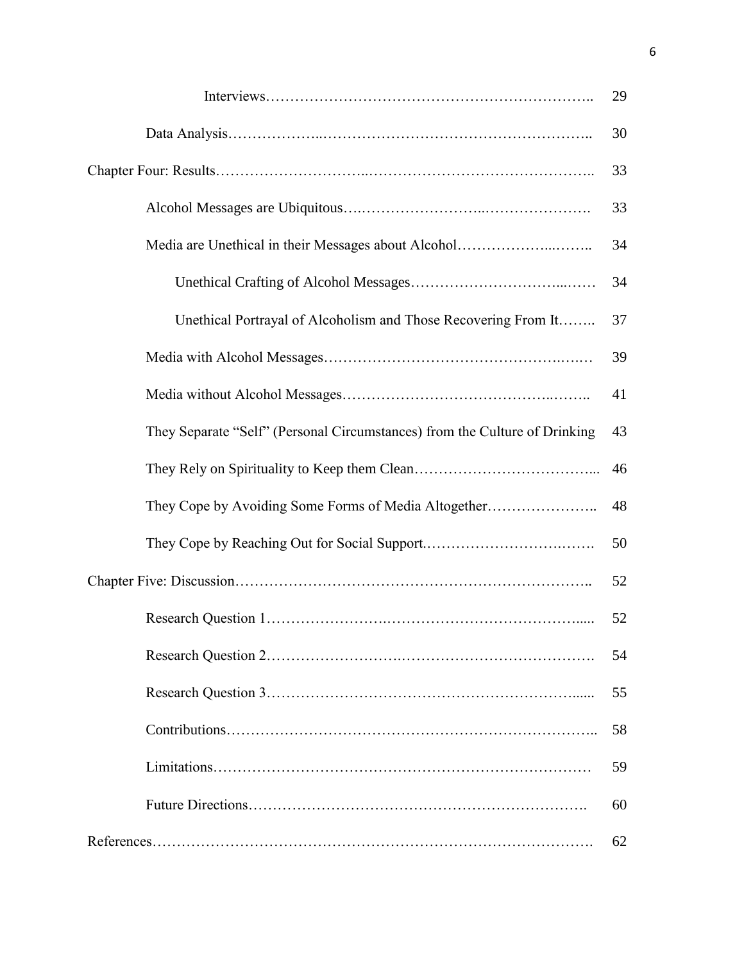|                                                                            | 29 |
|----------------------------------------------------------------------------|----|
|                                                                            | 30 |
|                                                                            | 33 |
|                                                                            | 33 |
|                                                                            | 34 |
|                                                                            | 34 |
| Unethical Portrayal of Alcoholism and Those Recovering From It             | 37 |
|                                                                            | 39 |
|                                                                            | 41 |
| They Separate "Self" (Personal Circumstances) from the Culture of Drinking | 43 |
|                                                                            | 46 |
|                                                                            | 48 |
|                                                                            | 50 |
|                                                                            | 52 |
|                                                                            | 52 |
|                                                                            | 54 |
|                                                                            | 55 |
|                                                                            | 58 |
|                                                                            | 59 |
|                                                                            | 60 |
|                                                                            | 62 |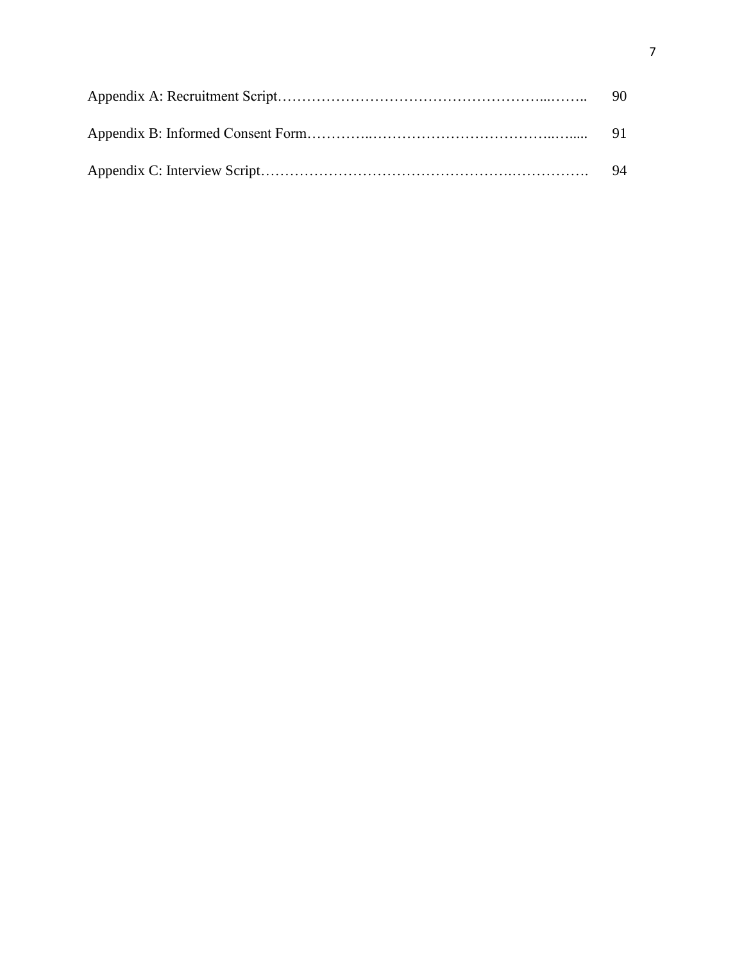| -91 |
|-----|
| -94 |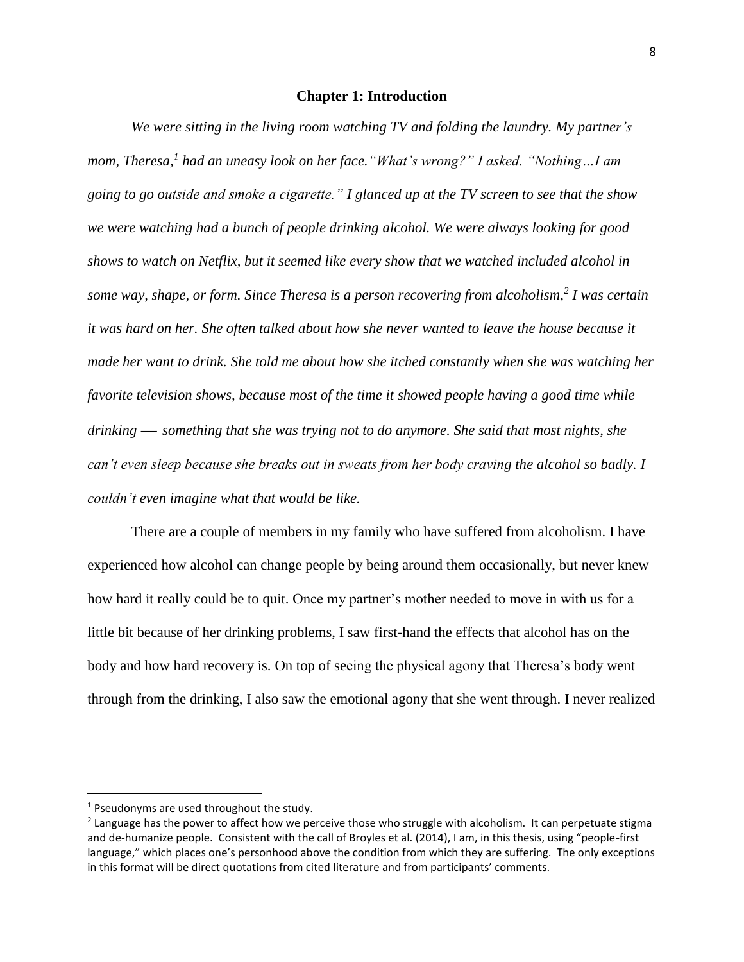### **Chapter 1: Introduction**

*We were sitting in the living room watching TV and folding the laundry. My partner's mom, Theresa, 1 had an uneasy look on her face."What's wrong?" I asked. "Nothing…I am going to go outside and smoke a cigarette." I glanced up at the TV screen to see that the show we were watching had a bunch of people drinking alcohol. We were always looking for good shows to watch on Netflix, but it seemed like every show that we watched included alcohol in some way, shape, or form. Since Theresa is a person recovering from alcoholism, 2 I was certain it was hard on her. She often talked about how she never wanted to leave the house because it made her want to drink. She told me about how she itched constantly when she was watching her favorite television shows, because most of the time it showed people having a good time while drinking something that she was trying not to do anymore. She said that most nights, she can't even sleep because she breaks out in sweats from her body craving the alcohol so badly. I couldn't even imagine what that would be like.* 

There are a couple of members in my family who have suffered from alcoholism. I have experienced how alcohol can change people by being around them occasionally, but never knew how hard it really could be to quit. Once my partner's mother needed to move in with us for a little bit because of her drinking problems, I saw first-hand the effects that alcohol has on the body and how hard recovery is. On top of seeing the physical agony that Theresa's body went through from the drinking, I also saw the emotional agony that she went through. I never realized

l

 $1$  Pseudonyms are used throughout the study.

<sup>&</sup>lt;sup>2</sup> Language has the power to affect how we perceive those who struggle with alcoholism. It can perpetuate stigma and de-humanize people. Consistent with the call of Broyles et al. (2014), I am, in this thesis, using "people-first language," which places one's personhood above the condition from which they are suffering. The only exceptions in this format will be direct quotations from cited literature and from participants' comments.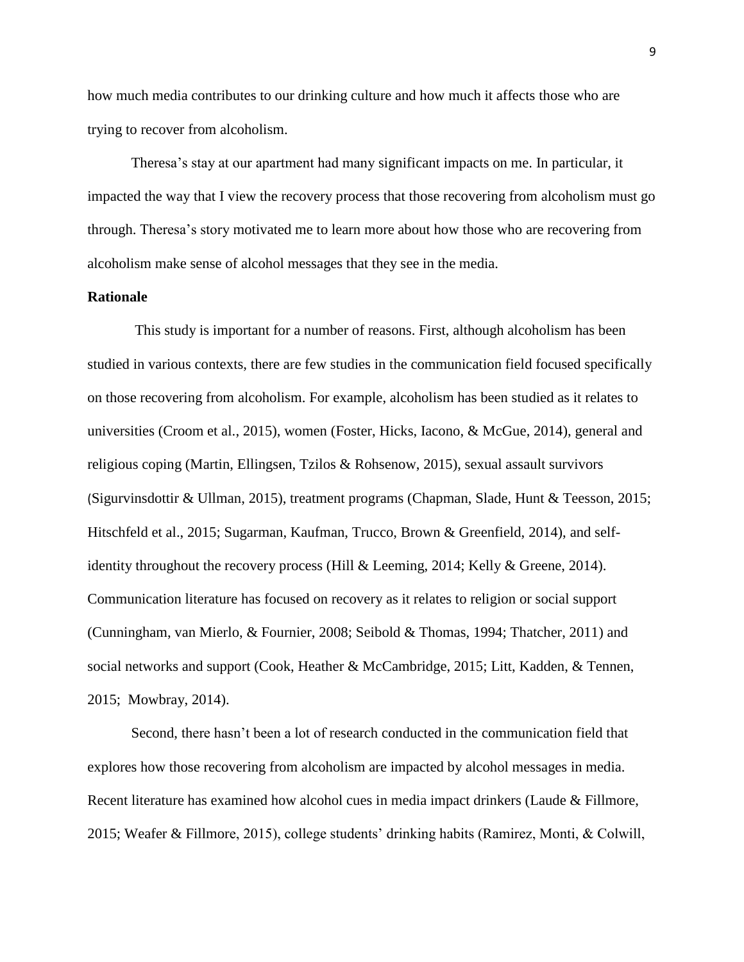how much media contributes to our drinking culture and how much it affects those who are trying to recover from alcoholism.

Theresa's stay at our apartment had many significant impacts on me. In particular, it impacted the way that I view the recovery process that those recovering from alcoholism must go through. Theresa's story motivated me to learn more about how those who are recovering from alcoholism make sense of alcohol messages that they see in the media.

# **Rationale**

This study is important for a number of reasons. First, although alcoholism has been studied in various contexts, there are few studies in the communication field focused specifically on those recovering from alcoholism. For example, alcoholism has been studied as it relates to universities (Croom et al., 2015), women (Foster, Hicks, Iacono, & McGue, 2014), general and religious coping (Martin, Ellingsen, Tzilos & Rohsenow, 2015), sexual assault survivors (Sigurvinsdottir & Ullman, 2015), treatment programs (Chapman, Slade, Hunt & Teesson, 2015; Hitschfeld et al., 2015; Sugarman, Kaufman, Trucco, Brown & Greenfield, 2014), and selfidentity throughout the recovery process (Hill & Leeming, 2014; Kelly & Greene, 2014). Communication literature has focused on recovery as it relates to religion or social support (Cunningham, van Mierlo, & Fournier, 2008; Seibold & Thomas, 1994; Thatcher, 2011) and social networks and support (Cook, Heather & McCambridge, 2015; Litt, Kadden, & Tennen, 2015; Mowbray, 2014).

Second, there hasn't been a lot of research conducted in the communication field that explores how those recovering from alcoholism are impacted by alcohol messages in media. Recent literature has examined how alcohol cues in media impact drinkers (Laude & Fillmore, 2015; Weafer & Fillmore, 2015), college students' drinking habits (Ramirez, Monti, & Colwill,

9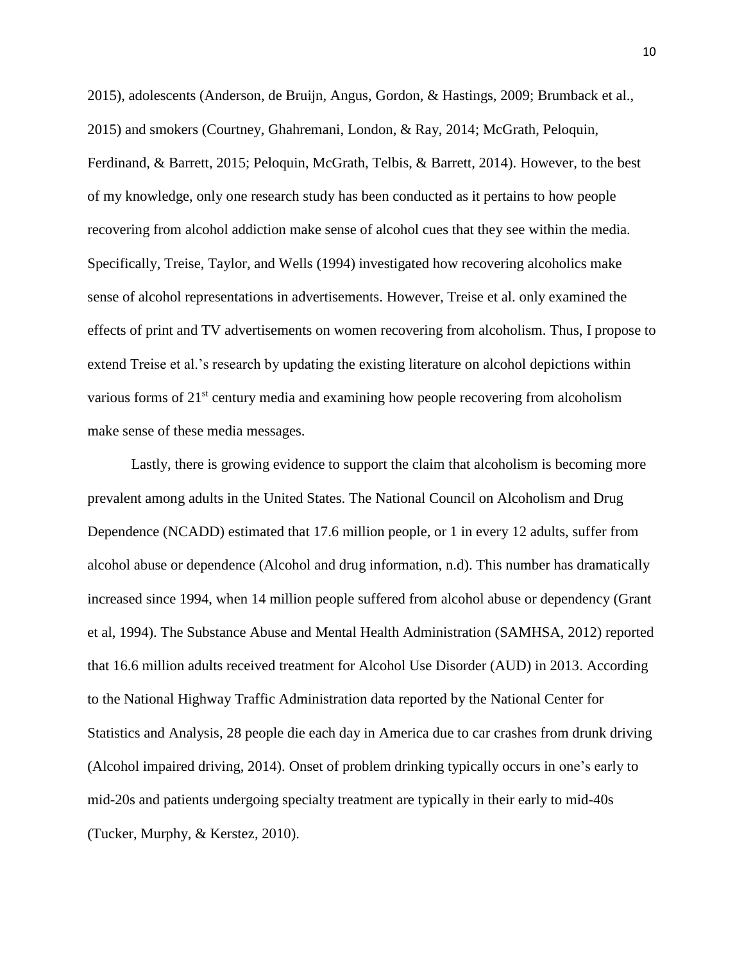2015), adolescents (Anderson, de Bruijn, Angus, Gordon, & Hastings, 2009; Brumback et al., 2015) and smokers (Courtney, Ghahremani, London, & Ray, 2014; McGrath, Peloquin, Ferdinand, & Barrett, 2015; Peloquin, McGrath, Telbis, & Barrett, 2014). However, to the best of my knowledge, only one research study has been conducted as it pertains to how people recovering from alcohol addiction make sense of alcohol cues that they see within the media. Specifically, Treise, Taylor, and Wells (1994) investigated how recovering alcoholics make sense of alcohol representations in advertisements. However, Treise et al. only examined the effects of print and TV advertisements on women recovering from alcoholism. Thus, I propose to extend Treise et al.'s research by updating the existing literature on alcohol depictions within various forms of 21<sup>st</sup> century media and examining how people recovering from alcoholism make sense of these media messages.

Lastly, there is growing evidence to support the claim that alcoholism is becoming more prevalent among adults in the United States. The National Council on Alcoholism and Drug Dependence (NCADD) estimated that 17.6 million people, or 1 in every 12 adults, suffer from alcohol abuse or dependence (Alcohol and drug information, n.d). This number has dramatically increased since 1994, when 14 million people suffered from alcohol abuse or dependency (Grant et al, 1994). The Substance Abuse and Mental Health Administration (SAMHSA, 2012) reported that 16.6 million adults received treatment for Alcohol Use Disorder (AUD) in 2013. According to the National Highway Traffic Administration data reported by the National Center for Statistics and Analysis, 28 people die each day in America due to car crashes from drunk driving (Alcohol impaired driving, 2014). Onset of problem drinking typically occurs in one's early to mid-20s and patients undergoing specialty treatment are typically in their early to mid-40s (Tucker, Murphy, & Kerstez, 2010).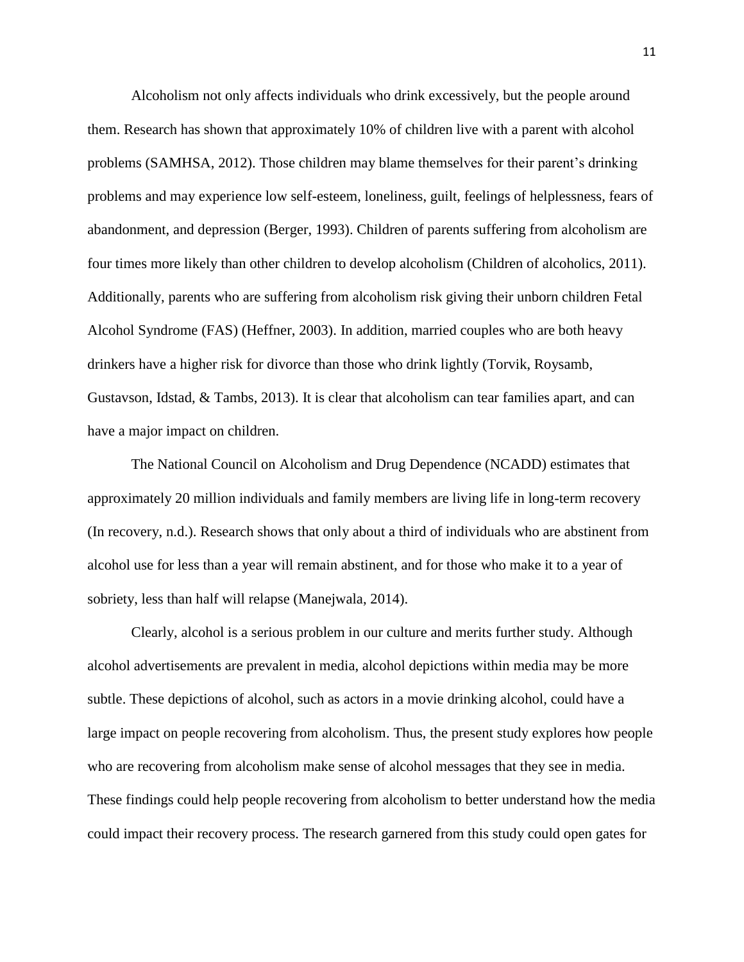Alcoholism not only affects individuals who drink excessively, but the people around them. Research has shown that approximately 10% of children live with a parent with alcohol problems (SAMHSA, 2012). Those children may blame themselves for their parent's drinking problems and may experience low self-esteem, loneliness, guilt, feelings of helplessness, fears of abandonment, and depression (Berger, 1993). Children of parents suffering from alcoholism are four times more likely than other children to develop alcoholism (Children of alcoholics, 2011). Additionally, parents who are suffering from alcoholism risk giving their unborn children Fetal Alcohol Syndrome (FAS) (Heffner, 2003). In addition, married couples who are both heavy drinkers have a higher risk for divorce than those who drink lightly (Torvik, Roysamb, Gustavson, Idstad, & Tambs, 2013). It is clear that alcoholism can tear families apart, and can have a major impact on children.

The National Council on Alcoholism and Drug Dependence (NCADD) estimates that approximately 20 million individuals and family members are living life in long-term recovery (In recovery, n.d.). Research shows that only about a third of individuals who are abstinent from alcohol use for less than a year will remain abstinent, and for those who make it to a year of sobriety, less than half will relapse (Manejwala, 2014).

Clearly, alcohol is a serious problem in our culture and merits further study. Although alcohol advertisements are prevalent in media, alcohol depictions within media may be more subtle. These depictions of alcohol, such as actors in a movie drinking alcohol, could have a large impact on people recovering from alcoholism. Thus, the present study explores how people who are recovering from alcoholism make sense of alcohol messages that they see in media. These findings could help people recovering from alcoholism to better understand how the media could impact their recovery process. The research garnered from this study could open gates for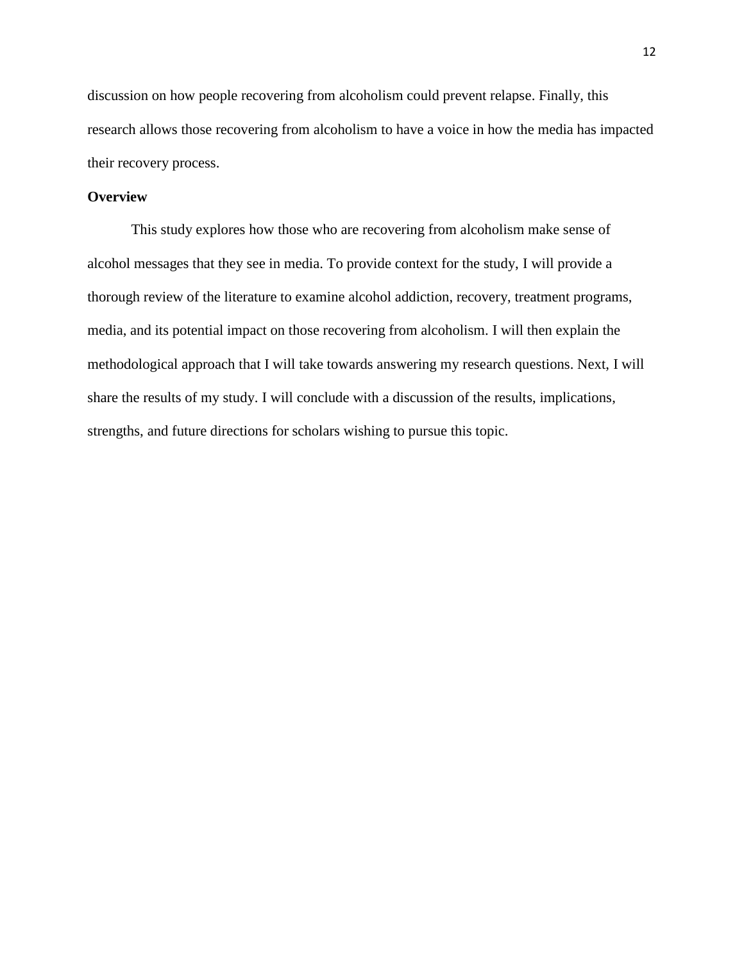discussion on how people recovering from alcoholism could prevent relapse. Finally, this research allows those recovering from alcoholism to have a voice in how the media has impacted their recovery process.

# **Overview**

This study explores how those who are recovering from alcoholism make sense of alcohol messages that they see in media. To provide context for the study, I will provide a thorough review of the literature to examine alcohol addiction, recovery, treatment programs, media, and its potential impact on those recovering from alcoholism. I will then explain the methodological approach that I will take towards answering my research questions. Next, I will share the results of my study. I will conclude with a discussion of the results, implications, strengths, and future directions for scholars wishing to pursue this topic.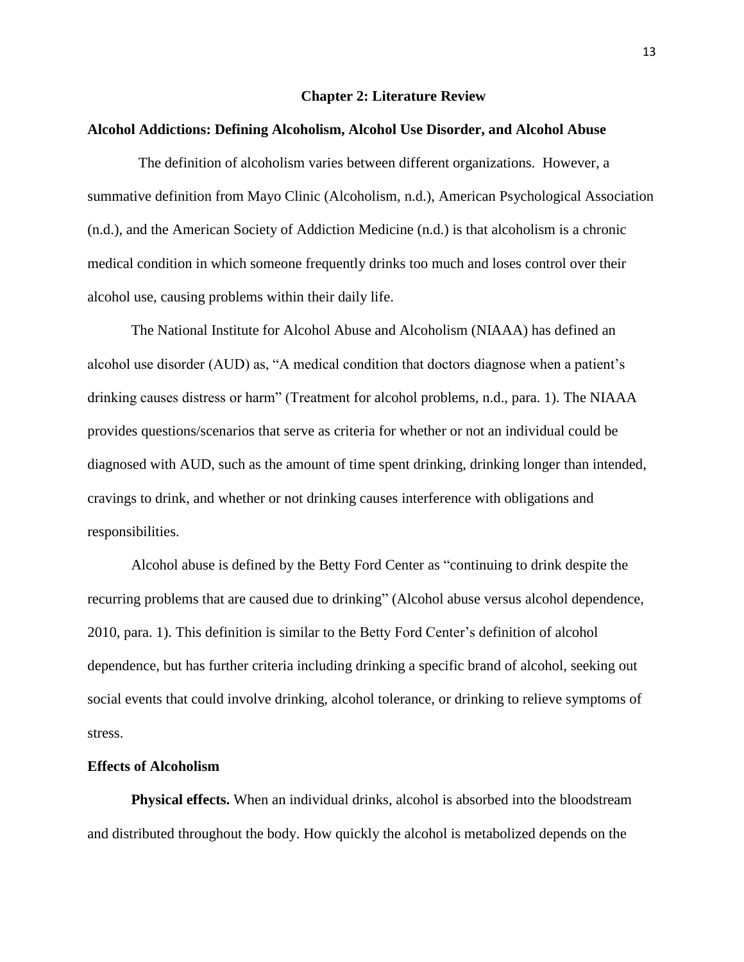#### **Chapter 2: Literature Review**

#### **Alcohol Addictions: Defining Alcoholism, Alcohol Use Disorder, and Alcohol Abuse**

The definition of alcoholism varies between different organizations. However, a summative definition from Mayo Clinic (Alcoholism, n.d.), American Psychological Association (n.d.), and the American Society of Addiction Medicine (n.d.) is that alcoholism is a chronic medical condition in which someone frequently drinks too much and loses control over their alcohol use, causing problems within their daily life.

The National Institute for Alcohol Abuse and Alcoholism (NIAAA) has defined an alcohol use disorder (AUD) as, "A medical condition that doctors diagnose when a patient's drinking causes distress or harm" (Treatment for alcohol problems, n.d., para. 1). The NIAAA provides questions/scenarios that serve as criteria for whether or not an individual could be diagnosed with AUD, such as the amount of time spent drinking, drinking longer than intended, cravings to drink, and whether or not drinking causes interference with obligations and responsibilities.

Alcohol abuse is defined by the Betty Ford Center as "continuing to drink despite the recurring problems that are caused due to drinking" (Alcohol abuse versus alcohol dependence, 2010, para. 1). This definition is similar to the Betty Ford Center's definition of alcohol dependence, but has further criteria including drinking a specific brand of alcohol, seeking out social events that could involve drinking, alcohol tolerance, or drinking to relieve symptoms of stress.

#### **Effects of Alcoholism**

**Physical effects.** When an individual drinks, alcohol is absorbed into the bloodstream and distributed throughout the body. How quickly the alcohol is metabolized depends on the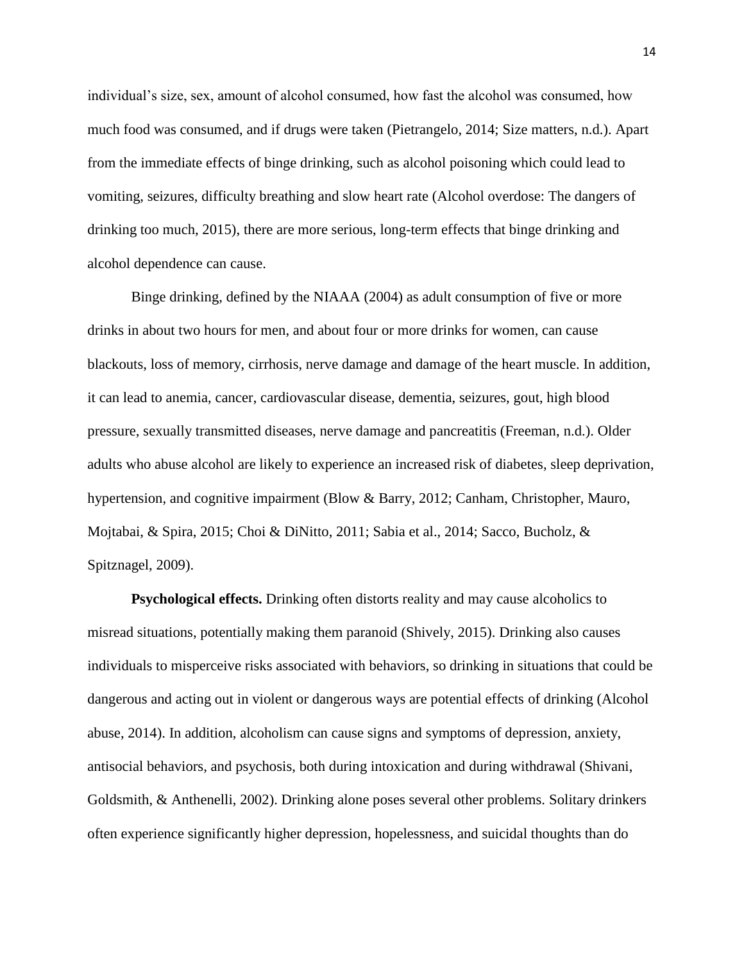individual's size, sex, amount of alcohol consumed, how fast the alcohol was consumed, how much food was consumed, and if drugs were taken (Pietrangelo, 2014; Size matters, n.d.). Apart from the immediate effects of binge drinking, such as alcohol poisoning which could lead to vomiting, seizures, difficulty breathing and slow heart rate (Alcohol overdose: The dangers of drinking too much, 2015), there are more serious, long-term effects that binge drinking and alcohol dependence can cause.

Binge drinking, defined by the NIAAA (2004) as adult consumption of five or more drinks in about two hours for men, and about four or more drinks for women, can cause blackouts, loss of memory, cirrhosis, nerve damage and damage of the heart muscle. In addition, it can lead to anemia, cancer, cardiovascular disease, dementia, seizures, gout, high blood pressure, sexually transmitted diseases, nerve damage and pancreatitis (Freeman, n.d.). Older adults who abuse alcohol are likely to experience an increased risk of diabetes, sleep deprivation, hypertension, and cognitive impairment (Blow & Barry, 2012; Canham, Christopher, Mauro, Mojtabai, & Spira, 2015; Choi & DiNitto, 2011; Sabia et al., 2014; Sacco, Bucholz, & Spitznagel, 2009).

**Psychological effects.** Drinking often distorts reality and may cause alcoholics to misread situations, potentially making them paranoid (Shively, 2015). Drinking also causes individuals to misperceive risks associated with behaviors, so drinking in situations that could be dangerous and acting out in violent or dangerous ways are potential effects of drinking (Alcohol abuse, 2014). In addition, alcoholism can cause signs and symptoms of depression, anxiety, antisocial behaviors, and psychosis, both during intoxication and during withdrawal (Shivani, Goldsmith, & Anthenelli, 2002). Drinking alone poses several other problems. Solitary drinkers often experience significantly higher depression, hopelessness, and suicidal thoughts than do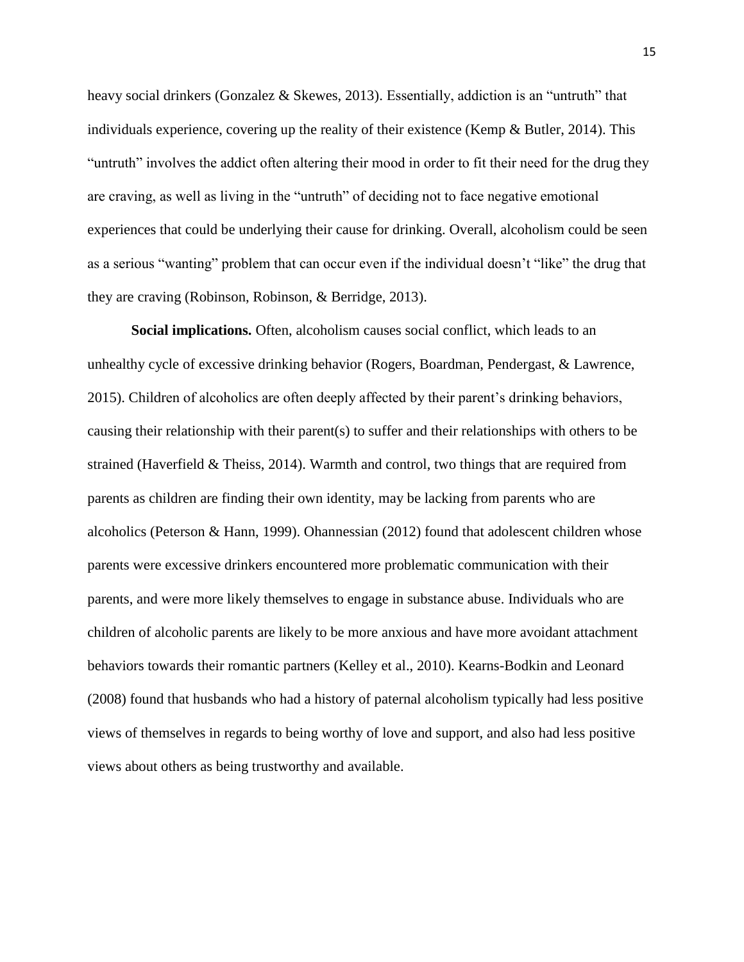heavy social drinkers (Gonzalez & Skewes, 2013). Essentially, addiction is an "untruth" that individuals experience, covering up the reality of their existence (Kemp & Butler, 2014). This "untruth" involves the addict often altering their mood in order to fit their need for the drug they are craving, as well as living in the "untruth" of deciding not to face negative emotional experiences that could be underlying their cause for drinking. Overall, alcoholism could be seen as a serious "wanting" problem that can occur even if the individual doesn't "like" the drug that they are craving (Robinson, Robinson, & Berridge, 2013).

**Social implications.** Often, alcoholism causes social conflict, which leads to an unhealthy cycle of excessive drinking behavior (Rogers, Boardman, Pendergast, & Lawrence, 2015). Children of alcoholics are often deeply affected by their parent's drinking behaviors, causing their relationship with their parent(s) to suffer and their relationships with others to be strained (Haverfield & Theiss, 2014). Warmth and control, two things that are required from parents as children are finding their own identity, may be lacking from parents who are alcoholics (Peterson & Hann, 1999). Ohannessian (2012) found that adolescent children whose parents were excessive drinkers encountered more problematic communication with their parents, and were more likely themselves to engage in substance abuse. Individuals who are children of alcoholic parents are likely to be more anxious and have more avoidant attachment behaviors towards their romantic partners (Kelley et al., 2010). Kearns-Bodkin and Leonard (2008) found that husbands who had a history of paternal alcoholism typically had less positive views of themselves in regards to being worthy of love and support, and also had less positive views about others as being trustworthy and available.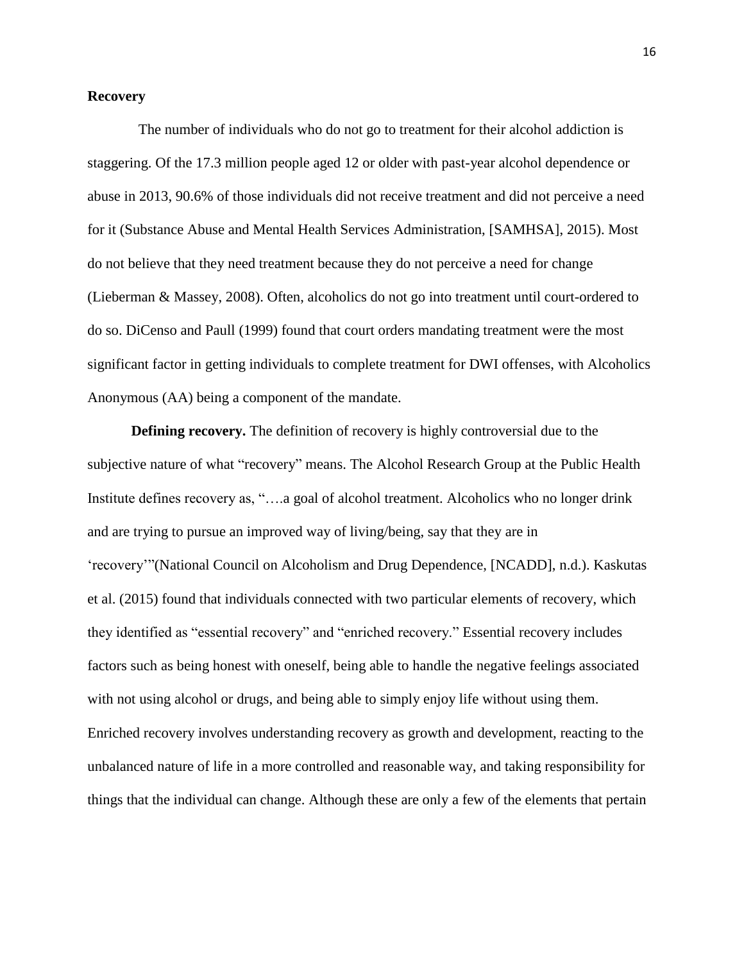# **Recovery**

The number of individuals who do not go to treatment for their alcohol addiction is staggering. Of the 17.3 million people aged 12 or older with past-year alcohol dependence or abuse in 2013, 90.6% of those individuals did not receive treatment and did not perceive a need for it (Substance Abuse and Mental Health Services Administration, [SAMHSA], 2015). Most do not believe that they need treatment because they do not perceive a need for change (Lieberman & Massey, 2008). Often, alcoholics do not go into treatment until court-ordered to do so. DiCenso and Paull (1999) found that court orders mandating treatment were the most significant factor in getting individuals to complete treatment for DWI offenses, with Alcoholics Anonymous (AA) being a component of the mandate.

**Defining recovery.** The definition of recovery is highly controversial due to the subjective nature of what "recovery" means. The Alcohol Research Group at the Public Health Institute defines recovery as, "….a goal of alcohol treatment. Alcoholics who no longer drink and are trying to pursue an improved way of living/being, say that they are in 'recovery'"(National Council on Alcoholism and Drug Dependence, [NCADD], n.d.). Kaskutas et al. (2015) found that individuals connected with two particular elements of recovery, which they identified as "essential recovery" and "enriched recovery." Essential recovery includes factors such as being honest with oneself, being able to handle the negative feelings associated with not using alcohol or drugs, and being able to simply enjoy life without using them. Enriched recovery involves understanding recovery as growth and development, reacting to the unbalanced nature of life in a more controlled and reasonable way, and taking responsibility for things that the individual can change. Although these are only a few of the elements that pertain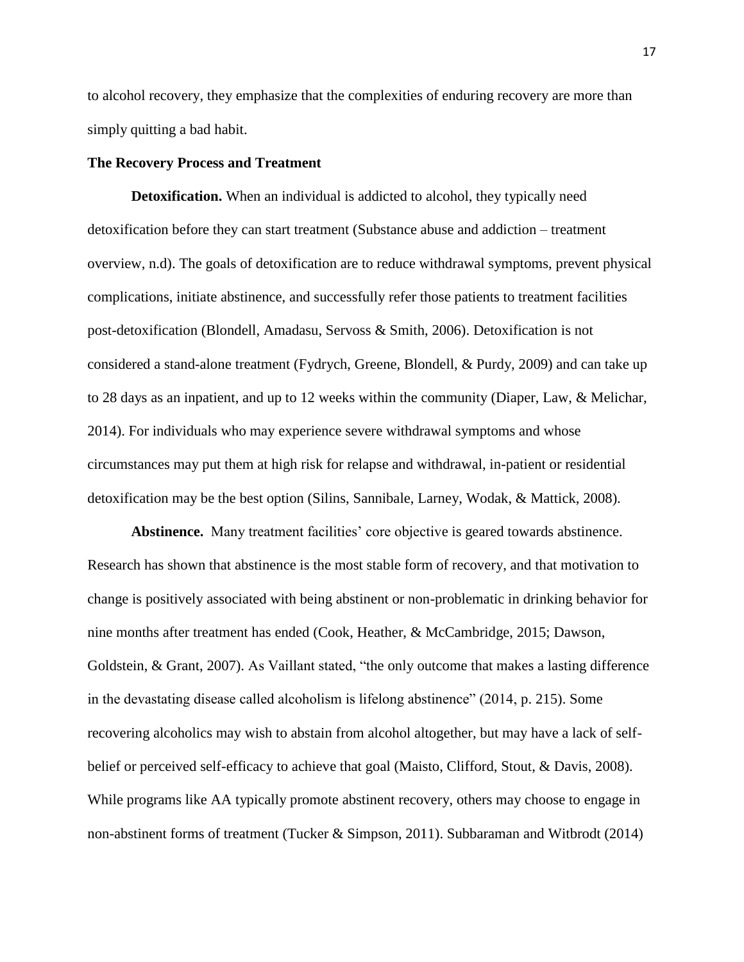to alcohol recovery, they emphasize that the complexities of enduring recovery are more than simply quitting a bad habit.

### **The Recovery Process and Treatment**

**Detoxification.** When an individual is addicted to alcohol, they typically need detoxification before they can start treatment (Substance abuse and addiction – treatment overview, n.d). The goals of detoxification are to reduce withdrawal symptoms, prevent physical complications, initiate abstinence, and successfully refer those patients to treatment facilities post-detoxification (Blondell, Amadasu, Servoss & Smith, 2006). Detoxification is not considered a stand-alone treatment (Fydrych, Greene, Blondell, & Purdy, 2009) and can take up to 28 days as an inpatient, and up to 12 weeks within the community (Diaper, Law, & Melichar, 2014). For individuals who may experience severe withdrawal symptoms and whose circumstances may put them at high risk for relapse and withdrawal, in-patient or residential detoxification may be the best option (Silins, Sannibale, Larney, Wodak, & Mattick, 2008).

**Abstinence.** Many treatment facilities' core objective is geared towards abstinence. Research has shown that abstinence is the most stable form of recovery, and that motivation to change is positively associated with being abstinent or non-problematic in drinking behavior for nine months after treatment has ended (Cook, Heather, & McCambridge, 2015; Dawson, Goldstein, & Grant, 2007). As Vaillant stated, "the only outcome that makes a lasting difference in the devastating disease called alcoholism is lifelong abstinence" (2014, p. 215). Some recovering alcoholics may wish to abstain from alcohol altogether, but may have a lack of selfbelief or perceived self-efficacy to achieve that goal (Maisto, Clifford, Stout, & Davis, 2008). While programs like AA typically promote abstinent recovery, others may choose to engage in non-abstinent forms of treatment (Tucker & Simpson, 2011). Subbaraman and Witbrodt (2014)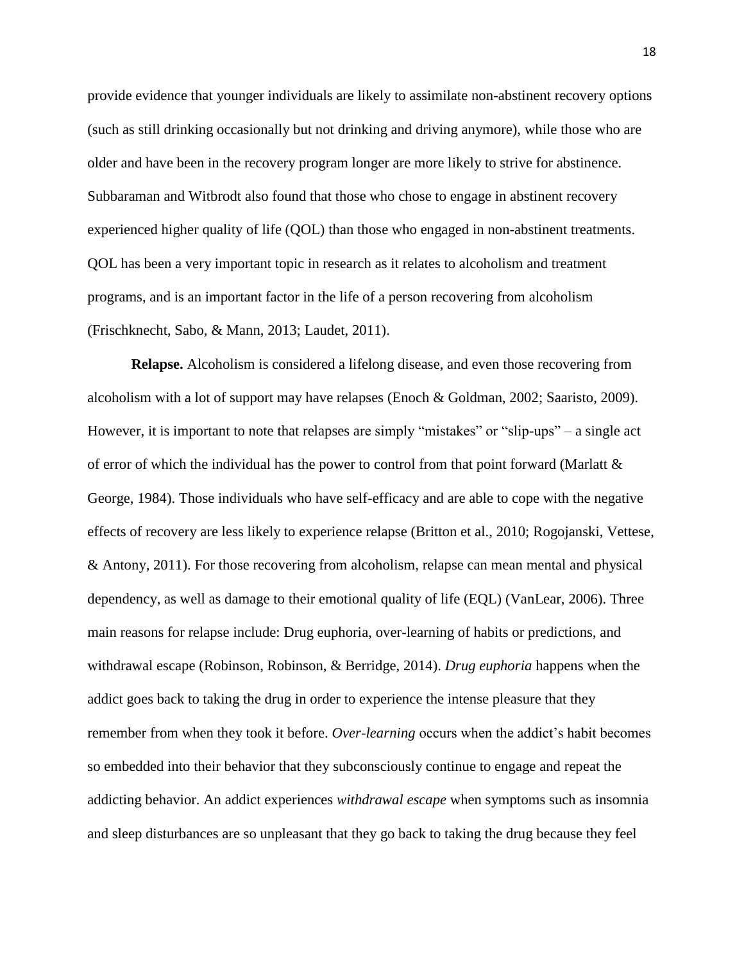provide evidence that younger individuals are likely to assimilate non-abstinent recovery options (such as still drinking occasionally but not drinking and driving anymore), while those who are older and have been in the recovery program longer are more likely to strive for abstinence. Subbaraman and Witbrodt also found that those who chose to engage in abstinent recovery experienced higher quality of life (QOL) than those who engaged in non-abstinent treatments. QOL has been a very important topic in research as it relates to alcoholism and treatment programs, and is an important factor in the life of a person recovering from alcoholism (Frischknecht, Sabo, & Mann, 2013; Laudet, 2011).

**Relapse.** Alcoholism is considered a lifelong disease, and even those recovering from alcoholism with a lot of support may have relapses (Enoch & Goldman, 2002; Saaristo, 2009). However, it is important to note that relapses are simply "mistakes" or "slip-ups" – a single act of error of which the individual has the power to control from that point forward (Marlatt & George, 1984). Those individuals who have self-efficacy and are able to cope with the negative effects of recovery are less likely to experience relapse (Britton et al., 2010; Rogojanski, Vettese, & Antony, 2011). For those recovering from alcoholism, relapse can mean mental and physical dependency, as well as damage to their emotional quality of life (EQL) (VanLear, 2006). Three main reasons for relapse include: Drug euphoria, over-learning of habits or predictions, and withdrawal escape (Robinson, Robinson, & Berridge, 2014). *Drug euphoria* happens when the addict goes back to taking the drug in order to experience the intense pleasure that they remember from when they took it before. *Over-learning* occurs when the addict's habit becomes so embedded into their behavior that they subconsciously continue to engage and repeat the addicting behavior. An addict experiences *withdrawal escape* when symptoms such as insomnia and sleep disturbances are so unpleasant that they go back to taking the drug because they feel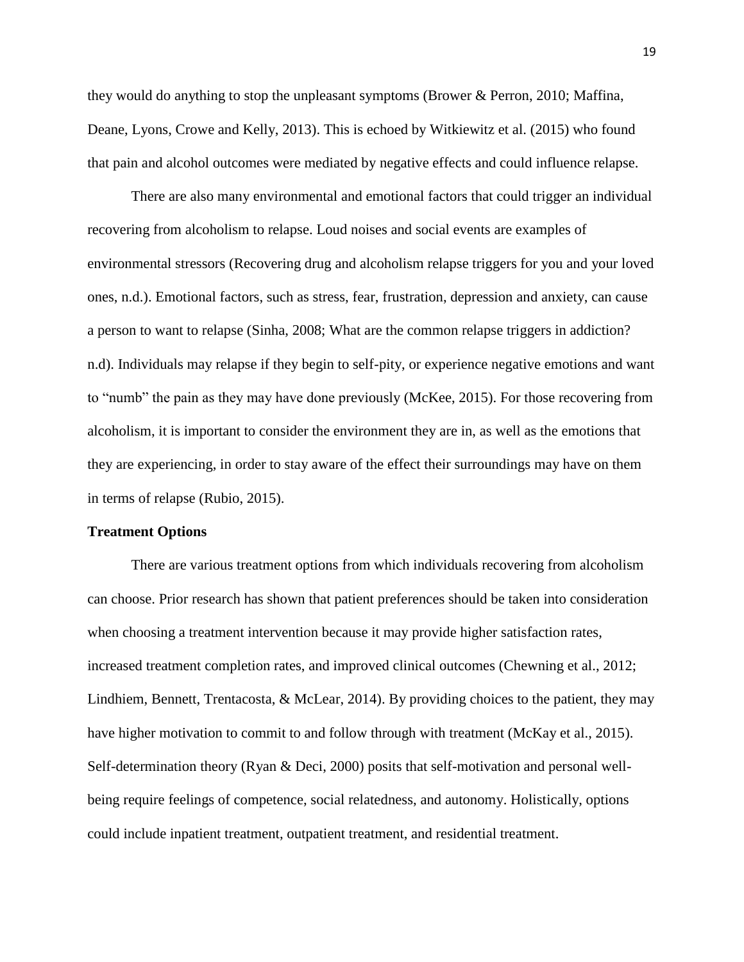they would do anything to stop the unpleasant symptoms (Brower & Perron, 2010; Maffina, Deane, Lyons, Crowe and Kelly, 2013). This is echoed by Witkiewitz et al. (2015) who found that pain and alcohol outcomes were mediated by negative effects and could influence relapse.

There are also many environmental and emotional factors that could trigger an individual recovering from alcoholism to relapse. Loud noises and social events are examples of environmental stressors (Recovering drug and alcoholism relapse triggers for you and your loved ones, n.d.). Emotional factors, such as stress, fear, frustration, depression and anxiety, can cause a person to want to relapse (Sinha, 2008; What are the common relapse triggers in addiction? n.d). Individuals may relapse if they begin to self-pity, or experience negative emotions and want to "numb" the pain as they may have done previously (McKee, 2015). For those recovering from alcoholism, it is important to consider the environment they are in, as well as the emotions that they are experiencing, in order to stay aware of the effect their surroundings may have on them in terms of relapse (Rubio, 2015).

#### **Treatment Options**

There are various treatment options from which individuals recovering from alcoholism can choose. Prior research has shown that patient preferences should be taken into consideration when choosing a treatment intervention because it may provide higher satisfaction rates, increased treatment completion rates, and improved clinical outcomes (Chewning et al., 2012; Lindhiem, Bennett, Trentacosta, & McLear, 2014). By providing choices to the patient, they may have higher motivation to commit to and follow through with treatment (McKay et al., 2015). Self-determination theory (Ryan & Deci, 2000) posits that self-motivation and personal wellbeing require feelings of competence, social relatedness, and autonomy. Holistically, options could include inpatient treatment, outpatient treatment, and residential treatment.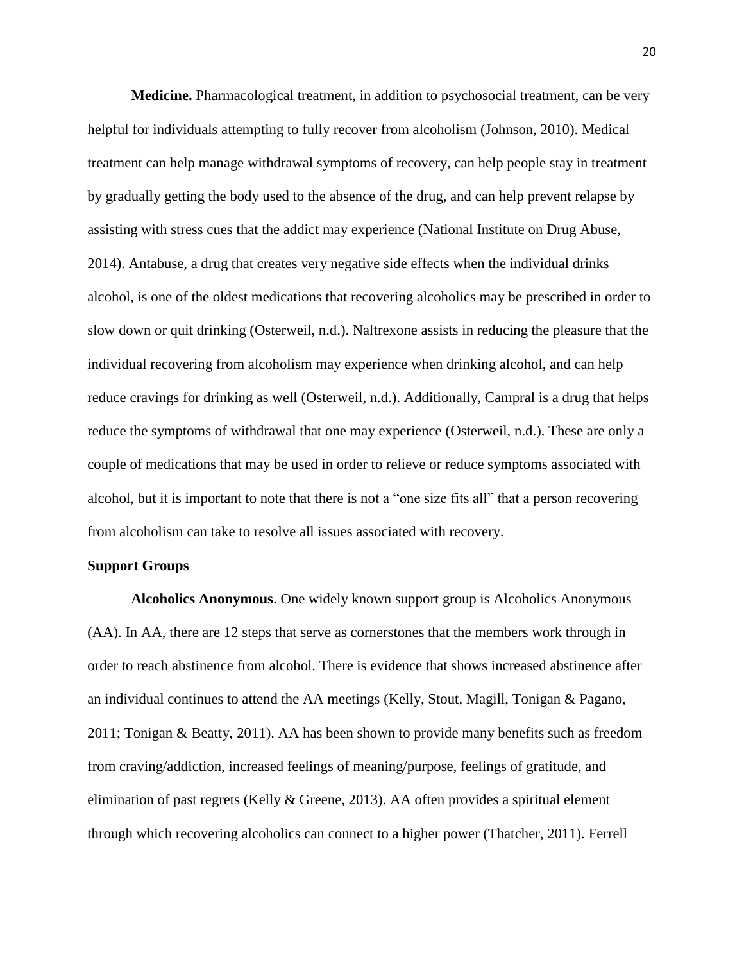**Medicine.** Pharmacological treatment, in addition to psychosocial treatment, can be very helpful for individuals attempting to fully recover from alcoholism (Johnson, 2010). Medical treatment can help manage withdrawal symptoms of recovery, can help people stay in treatment by gradually getting the body used to the absence of the drug, and can help prevent relapse by assisting with stress cues that the addict may experience (National Institute on Drug Abuse, 2014). Antabuse, a drug that creates very negative side effects when the individual drinks alcohol, is one of the oldest medications that recovering alcoholics may be prescribed in order to slow down or quit drinking (Osterweil, n.d.). Naltrexone assists in reducing the pleasure that the individual recovering from alcoholism may experience when drinking alcohol, and can help reduce cravings for drinking as well (Osterweil, n.d.). Additionally, Campral is a drug that helps reduce the symptoms of withdrawal that one may experience (Osterweil, n.d.). These are only a couple of medications that may be used in order to relieve or reduce symptoms associated with alcohol, but it is important to note that there is not a "one size fits all" that a person recovering from alcoholism can take to resolve all issues associated with recovery.

# **Support Groups**

**Alcoholics Anonymous**. One widely known support group is Alcoholics Anonymous (AA). In AA, there are 12 steps that serve as cornerstones that the members work through in order to reach abstinence from alcohol. There is evidence that shows increased abstinence after an individual continues to attend the AA meetings (Kelly, Stout, Magill, Tonigan & Pagano, 2011; Tonigan & Beatty, 2011). AA has been shown to provide many benefits such as freedom from craving/addiction, increased feelings of meaning/purpose, feelings of gratitude, and elimination of past regrets (Kelly  $&$  Greene, 2013). AA often provides a spiritual element through which recovering alcoholics can connect to a higher power (Thatcher, 2011). Ferrell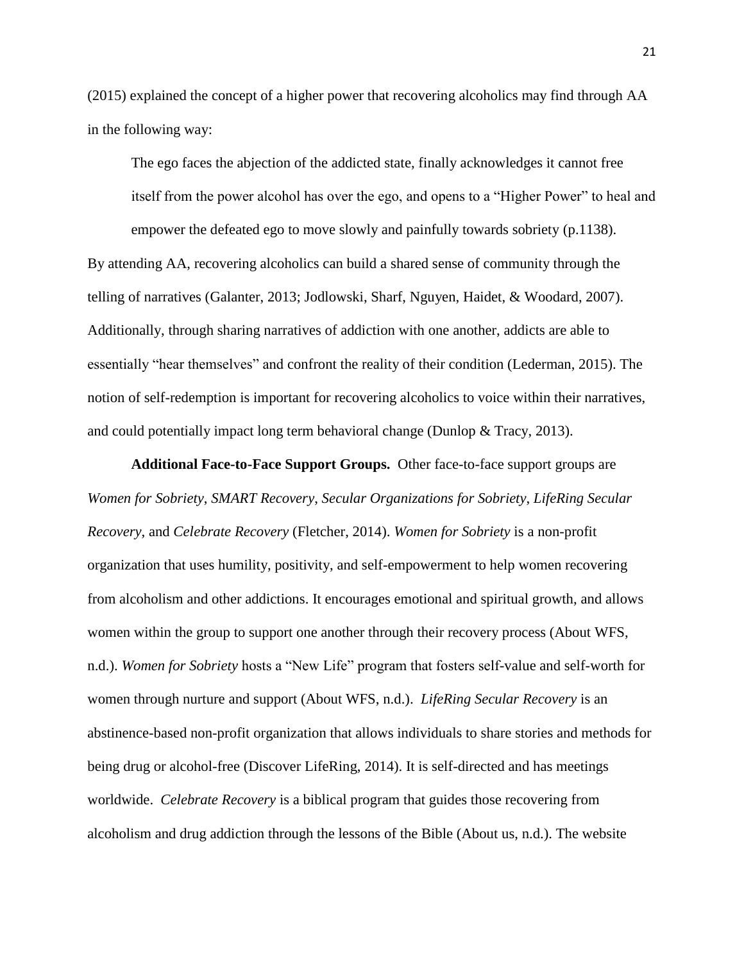(2015) explained the concept of a higher power that recovering alcoholics may find through AA in the following way:

The ego faces the abjection of the addicted state, finally acknowledges it cannot free itself from the power alcohol has over the ego, and opens to a "Higher Power" to heal and empower the defeated ego to move slowly and painfully towards sobriety (p.1138).

By attending AA, recovering alcoholics can build a shared sense of community through the telling of narratives (Galanter, 2013; Jodlowski, Sharf, Nguyen, Haidet, & Woodard, 2007). Additionally, through sharing narratives of addiction with one another, addicts are able to essentially "hear themselves" and confront the reality of their condition (Lederman, 2015). The notion of self-redemption is important for recovering alcoholics to voice within their narratives, and could potentially impact long term behavioral change (Dunlop & Tracy, 2013).

**Additional Face-to-Face Support Groups.**Other face-to-face support groups are *Women for Sobriety*, *SMART Recovery*, *Secular Organizations for Sobriety*, *LifeRing Secular Recovery*, and *Celebrate Recovery* (Fletcher, 2014). *Women for Sobriety* is a non-profit organization that uses humility, positivity, and self-empowerment to help women recovering from alcoholism and other addictions. It encourages emotional and spiritual growth, and allows women within the group to support one another through their recovery process (About WFS, n.d.). *Women for Sobriety* hosts a "New Life" program that fosters self-value and self-worth for women through nurture and support (About WFS, n.d.). *LifeRing Secular Recovery* is an abstinence-based non-profit organization that allows individuals to share stories and methods for being drug or alcohol-free (Discover LifeRing, 2014). It is self-directed and has meetings worldwide. *Celebrate Recovery* is a biblical program that guides those recovering from alcoholism and drug addiction through the lessons of the Bible (About us, n.d.). The website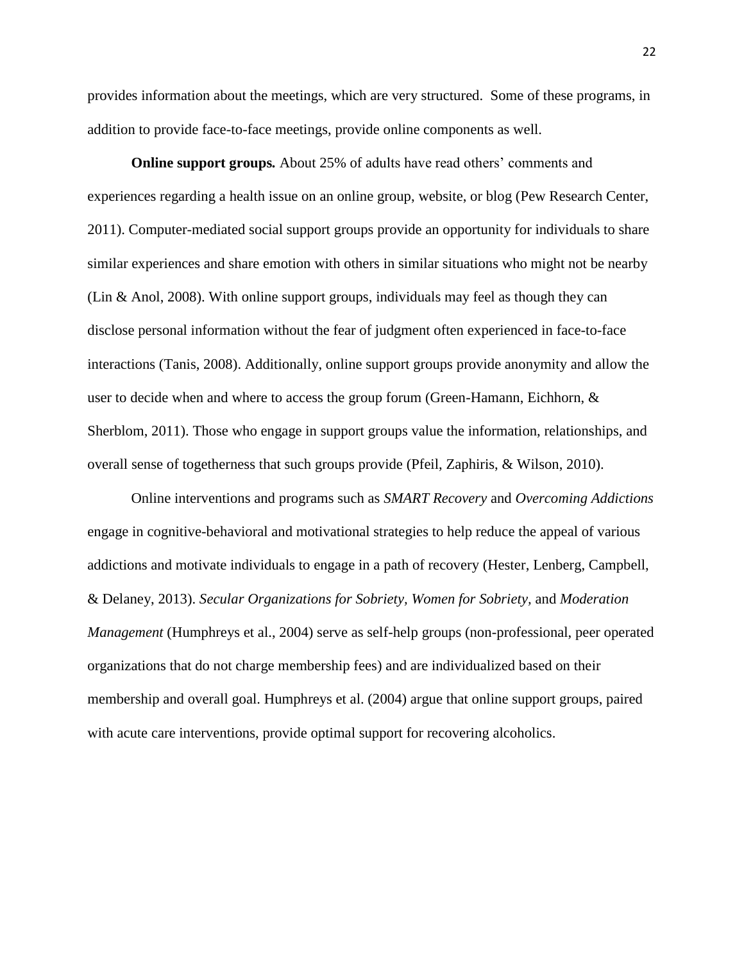provides information about the meetings, which are very structured. Some of these programs, in addition to provide face-to-face meetings, provide online components as well.

**Online support groups***.* About 25% of adults have read others' comments and experiences regarding a health issue on an online group, website, or blog (Pew Research Center, 2011). Computer-mediated social support groups provide an opportunity for individuals to share similar experiences and share emotion with others in similar situations who might not be nearby (Lin & Anol, 2008). With online support groups, individuals may feel as though they can disclose personal information without the fear of judgment often experienced in face-to-face interactions (Tanis, 2008). Additionally, online support groups provide anonymity and allow the user to decide when and where to access the group forum (Green-Hamann, Eichhorn, & Sherblom, 2011). Those who engage in support groups value the information, relationships, and overall sense of togetherness that such groups provide (Pfeil, Zaphiris, & Wilson, 2010).

Online interventions and programs such as *SMART Recovery* and *Overcoming Addictions* engage in cognitive-behavioral and motivational strategies to help reduce the appeal of various addictions and motivate individuals to engage in a path of recovery (Hester, Lenberg, Campbell, & Delaney, 2013). *Secular Organizations for Sobriety, Women for Sobriety,* and *Moderation Management* (Humphreys et al., 2004) serve as self-help groups (non-professional, peer operated organizations that do not charge membership fees) and are individualized based on their membership and overall goal. Humphreys et al. (2004) argue that online support groups, paired with acute care interventions, provide optimal support for recovering alcoholics.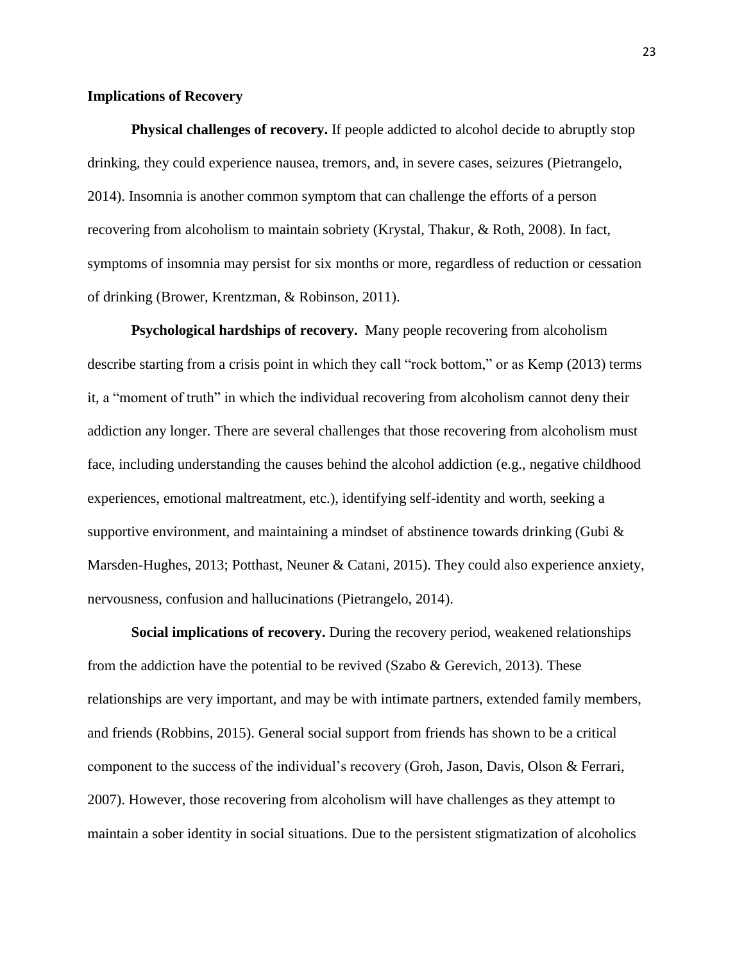### **Implications of Recovery**

**Physical challenges of recovery.** If people addicted to alcohol decide to abruptly stop drinking, they could experience nausea, tremors, and, in severe cases, seizures (Pietrangelo, 2014). Insomnia is another common symptom that can challenge the efforts of a person recovering from alcoholism to maintain sobriety (Krystal, Thakur, & Roth, 2008). In fact, symptoms of insomnia may persist for six months or more, regardless of reduction or cessation of drinking (Brower, Krentzman, & Robinson, 2011).

**Psychological hardships of recovery.** Many people recovering from alcoholism describe starting from a crisis point in which they call "rock bottom," or as Kemp (2013) terms it, a "moment of truth" in which the individual recovering from alcoholism cannot deny their addiction any longer. There are several challenges that those recovering from alcoholism must face, including understanding the causes behind the alcohol addiction (e.g., negative childhood experiences, emotional maltreatment, etc.), identifying self-identity and worth, seeking a supportive environment, and maintaining a mindset of abstinence towards drinking (Gubi  $\&$ Marsden-Hughes, 2013; Potthast, Neuner & Catani, 2015). They could also experience anxiety, nervousness, confusion and hallucinations (Pietrangelo, 2014).

**Social implications of recovery.** During the recovery period, weakened relationships from the addiction have the potential to be revived (Szabo & Gerevich, 2013). These relationships are very important, and may be with intimate partners, extended family members, and friends (Robbins, 2015). General social support from friends has shown to be a critical component to the success of the individual's recovery (Groh, Jason, Davis, Olson & Ferrari, 2007). However, those recovering from alcoholism will have challenges as they attempt to maintain a sober identity in social situations. Due to the persistent stigmatization of alcoholics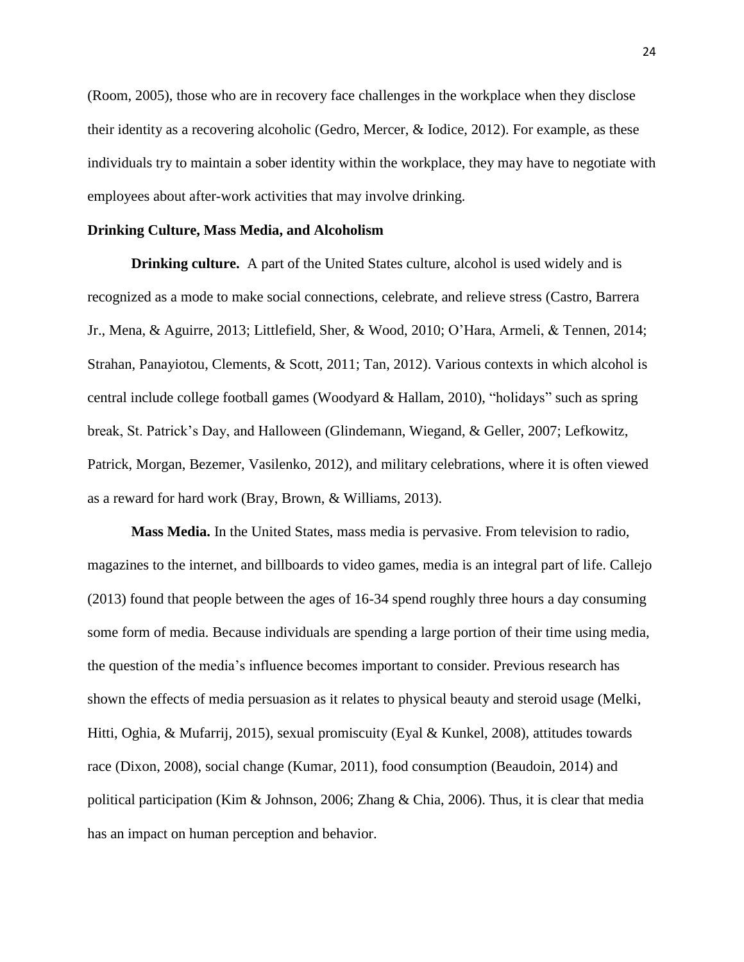(Room, 2005), those who are in recovery face challenges in the workplace when they disclose their identity as a recovering alcoholic (Gedro, Mercer, & Iodice, 2012). For example, as these individuals try to maintain a sober identity within the workplace, they may have to negotiate with employees about after-work activities that may involve drinking.

### **Drinking Culture, Mass Media, and Alcoholism**

**Drinking culture.** A part of the United States culture, alcohol is used widely and is recognized as a mode to make social connections, celebrate, and relieve stress (Castro, Barrera Jr., Mena, & Aguirre, 2013; Littlefield, Sher, & Wood, 2010; O'Hara, Armeli, & Tennen, 2014; Strahan, Panayiotou, Clements, & Scott, 2011; Tan, 2012). Various contexts in which alcohol is central include college football games (Woodyard & Hallam, 2010), "holidays" such as spring break, St. Patrick's Day, and Halloween (Glindemann, Wiegand, & Geller, 2007; Lefkowitz, Patrick, Morgan, Bezemer, Vasilenko, 2012), and military celebrations, where it is often viewed as a reward for hard work (Bray, Brown, & Williams, 2013).

**Mass Media.** In the United States, mass media is pervasive. From television to radio, magazines to the internet, and billboards to video games, media is an integral part of life. Callejo (2013) found that people between the ages of 16-34 spend roughly three hours a day consuming some form of media. Because individuals are spending a large portion of their time using media, the question of the media's influence becomes important to consider. Previous research has shown the effects of media persuasion as it relates to physical beauty and steroid usage (Melki, Hitti, Oghia, & Mufarrij, 2015), sexual promiscuity (Eyal & Kunkel, 2008), attitudes towards race (Dixon, 2008), social change (Kumar, 2011), food consumption (Beaudoin, 2014) and political participation (Kim & Johnson, 2006; Zhang & Chia, 2006). Thus, it is clear that media has an impact on human perception and behavior.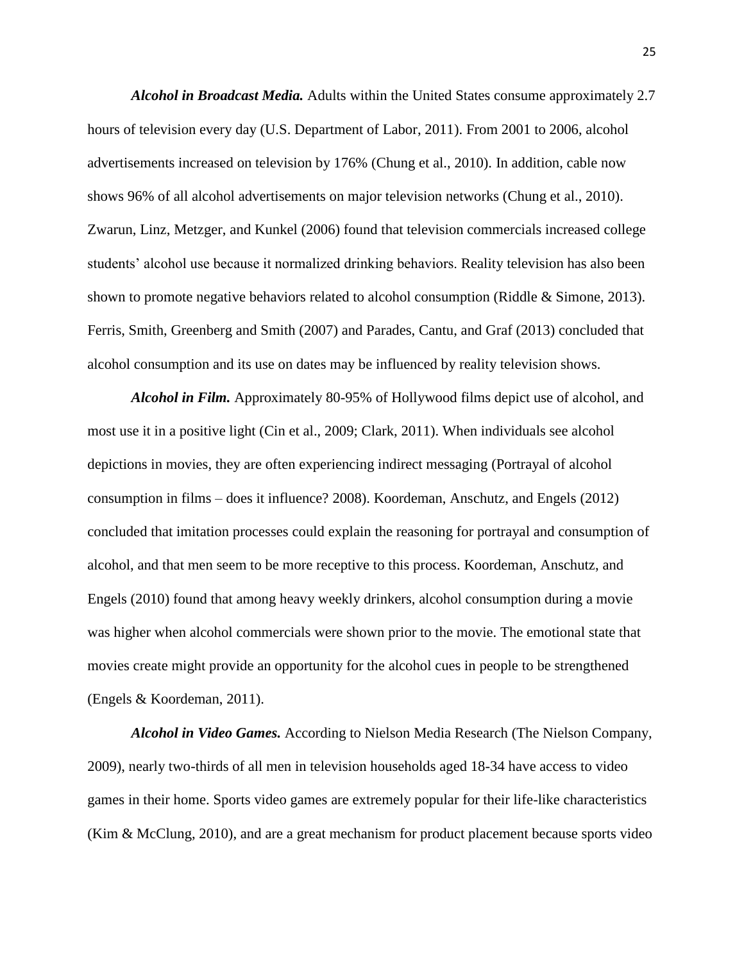*Alcohol in Broadcast Media.* Adults within the United States consume approximately 2.7 hours of television every day (U.S. Department of Labor, 2011). From 2001 to 2006, alcohol advertisements increased on television by 176% (Chung et al., 2010). In addition, cable now shows 96% of all alcohol advertisements on major television networks (Chung et al., 2010). Zwarun, Linz, Metzger, and Kunkel (2006) found that television commercials increased college students' alcohol use because it normalized drinking behaviors. Reality television has also been shown to promote negative behaviors related to alcohol consumption (Riddle & Simone, 2013). Ferris, Smith, Greenberg and Smith (2007) and Parades, Cantu, and Graf (2013) concluded that alcohol consumption and its use on dates may be influenced by reality television shows.

*Alcohol in Film.* Approximately 80-95% of Hollywood films depict use of alcohol, and most use it in a positive light (Cin et al., 2009; Clark, 2011). When individuals see alcohol depictions in movies, they are often experiencing indirect messaging (Portrayal of alcohol consumption in films – does it influence? 2008). Koordeman, Anschutz, and Engels (2012) concluded that imitation processes could explain the reasoning for portrayal and consumption of alcohol, and that men seem to be more receptive to this process. Koordeman, Anschutz, and Engels (2010) found that among heavy weekly drinkers, alcohol consumption during a movie was higher when alcohol commercials were shown prior to the movie. The emotional state that movies create might provide an opportunity for the alcohol cues in people to be strengthened (Engels & Koordeman, 2011).

*Alcohol in Video Games.* According to Nielson Media Research (The Nielson Company, 2009), nearly two-thirds of all men in television households aged 18-34 have access to video games in their home. Sports video games are extremely popular for their life-like characteristics (Kim & McClung, 2010), and are a great mechanism for product placement because sports video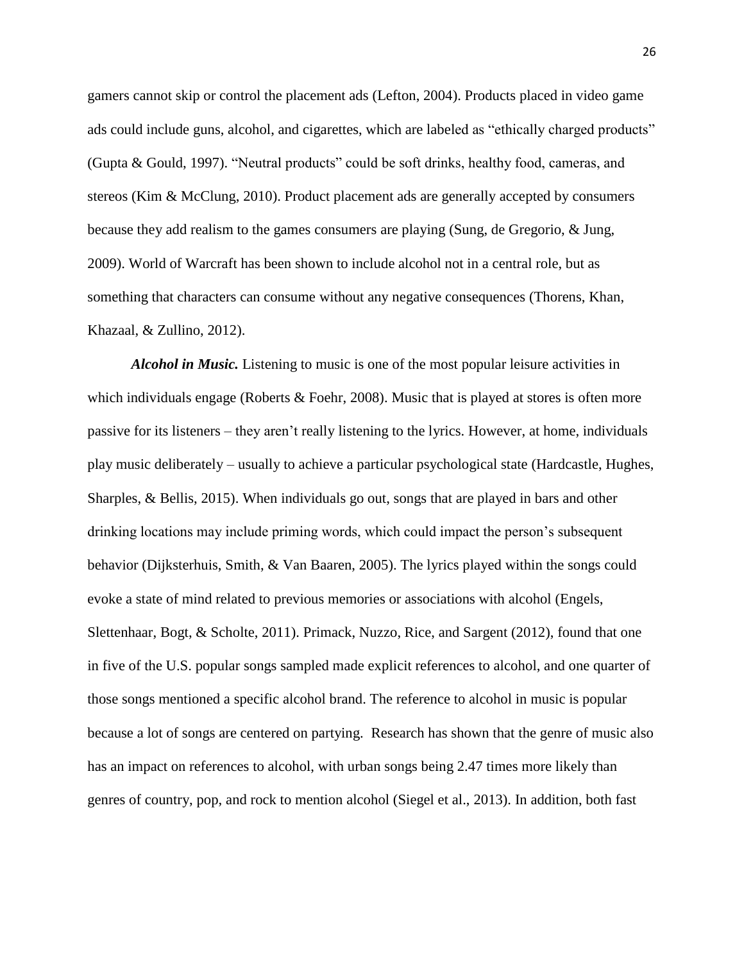gamers cannot skip or control the placement ads (Lefton, 2004). Products placed in video game ads could include guns, alcohol, and cigarettes, which are labeled as "ethically charged products" (Gupta & Gould, 1997). "Neutral products" could be soft drinks, healthy food, cameras, and stereos (Kim & McClung, 2010). Product placement ads are generally accepted by consumers because they add realism to the games consumers are playing (Sung, de Gregorio, & Jung, 2009). World of Warcraft has been shown to include alcohol not in a central role, but as something that characters can consume without any negative consequences (Thorens, Khan, Khazaal, & Zullino, 2012).

*Alcohol in Music.* Listening to music is one of the most popular leisure activities in which individuals engage (Roberts & Foehr, 2008). Music that is played at stores is often more passive for its listeners – they aren't really listening to the lyrics. However, at home, individuals play music deliberately – usually to achieve a particular psychological state (Hardcastle, Hughes, Sharples, & Bellis, 2015). When individuals go out, songs that are played in bars and other drinking locations may include priming words, which could impact the person's subsequent behavior (Dijksterhuis, Smith, & Van Baaren, 2005). The lyrics played within the songs could evoke a state of mind related to previous memories or associations with alcohol (Engels, Slettenhaar, Bogt, & Scholte, 2011). Primack, Nuzzo, Rice, and Sargent (2012), found that one in five of the U.S. popular songs sampled made explicit references to alcohol, and one quarter of those songs mentioned a specific alcohol brand. The reference to alcohol in music is popular because a lot of songs are centered on partying. Research has shown that the genre of music also has an impact on references to alcohol, with urban songs being 2.47 times more likely than genres of country, pop, and rock to mention alcohol (Siegel et al., 2013). In addition, both fast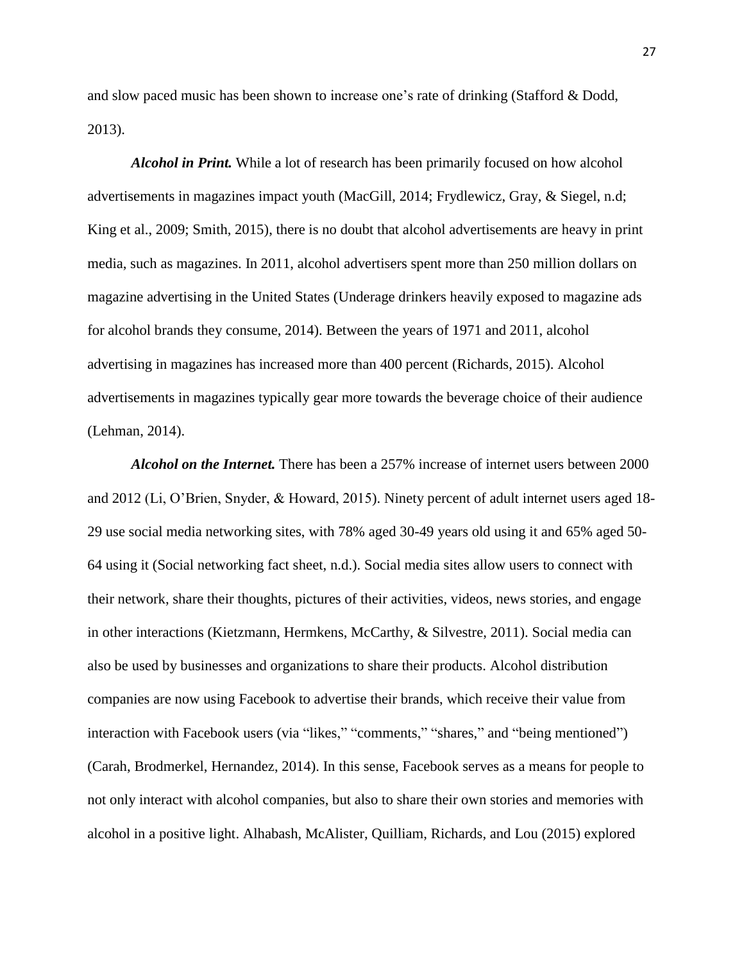and slow paced music has been shown to increase one's rate of drinking (Stafford & Dodd, 2013).

*Alcohol in Print.* While a lot of research has been primarily focused on how alcohol advertisements in magazines impact youth (MacGill, 2014; Frydlewicz, Gray, & Siegel, n.d; King et al., 2009; Smith, 2015), there is no doubt that alcohol advertisements are heavy in print media, such as magazines. In 2011, alcohol advertisers spent more than 250 million dollars on magazine advertising in the United States (Underage drinkers heavily exposed to magazine ads for alcohol brands they consume, 2014). Between the years of 1971 and 2011, alcohol advertising in magazines has increased more than 400 percent (Richards, 2015). Alcohol advertisements in magazines typically gear more towards the beverage choice of their audience (Lehman, 2014).

*Alcohol on the Internet.* There has been a 257% increase of internet users between 2000 and 2012 (Li, O'Brien, Snyder, & Howard, 2015). Ninety percent of adult internet users aged 18- 29 use social media networking sites, with 78% aged 30-49 years old using it and 65% aged 50- 64 using it (Social networking fact sheet, n.d.). Social media sites allow users to connect with their network, share their thoughts, pictures of their activities, videos, news stories, and engage in other interactions (Kietzmann, Hermkens, McCarthy, & Silvestre, 2011). Social media can also be used by businesses and organizations to share their products. Alcohol distribution companies are now using Facebook to advertise their brands, which receive their value from interaction with Facebook users (via "likes," "comments," "shares," and "being mentioned") (Carah, Brodmerkel, Hernandez, 2014). In this sense, Facebook serves as a means for people to not only interact with alcohol companies, but also to share their own stories and memories with alcohol in a positive light. Alhabash, McAlister, Quilliam, Richards, and Lou (2015) explored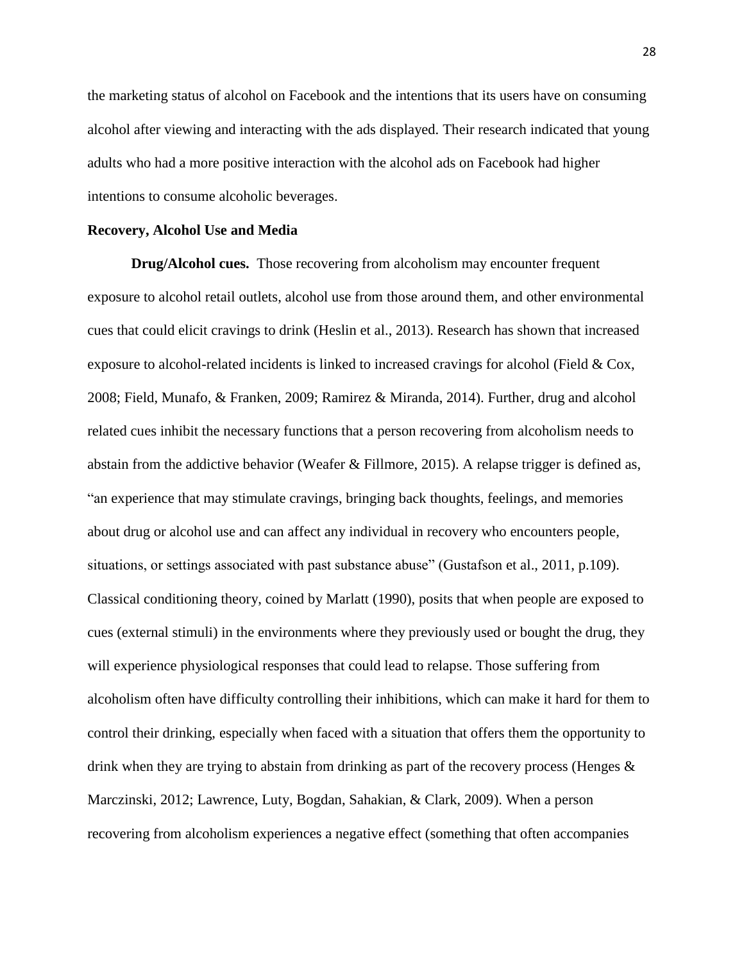the marketing status of alcohol on Facebook and the intentions that its users have on consuming alcohol after viewing and interacting with the ads displayed. Their research indicated that young adults who had a more positive interaction with the alcohol ads on Facebook had higher intentions to consume alcoholic beverages.

#### **Recovery, Alcohol Use and Media**

**Drug/Alcohol cues.** Those recovering from alcoholism may encounter frequent exposure to alcohol retail outlets, alcohol use from those around them, and other environmental cues that could elicit cravings to drink (Heslin et al., 2013). Research has shown that increased exposure to alcohol-related incidents is linked to increased cravings for alcohol (Field  $& Cox$ , 2008; Field, Munafo, & Franken, 2009; Ramirez & Miranda, 2014). Further, drug and alcohol related cues inhibit the necessary functions that a person recovering from alcoholism needs to abstain from the addictive behavior (Weafer & Fillmore, 2015). A relapse trigger is defined as, "an experience that may stimulate cravings, bringing back thoughts, feelings, and memories about drug or alcohol use and can affect any individual in recovery who encounters people, situations, or settings associated with past substance abuse" (Gustafson et al., 2011, p.109). Classical conditioning theory, coined by Marlatt (1990), posits that when people are exposed to cues (external stimuli) in the environments where they previously used or bought the drug, they will experience physiological responses that could lead to relapse. Those suffering from alcoholism often have difficulty controlling their inhibitions, which can make it hard for them to control their drinking, especially when faced with a situation that offers them the opportunity to drink when they are trying to abstain from drinking as part of the recovery process (Henges & Marczinski, 2012; Lawrence, Luty, Bogdan, Sahakian, & Clark, 2009). When a person recovering from alcoholism experiences a negative effect (something that often accompanies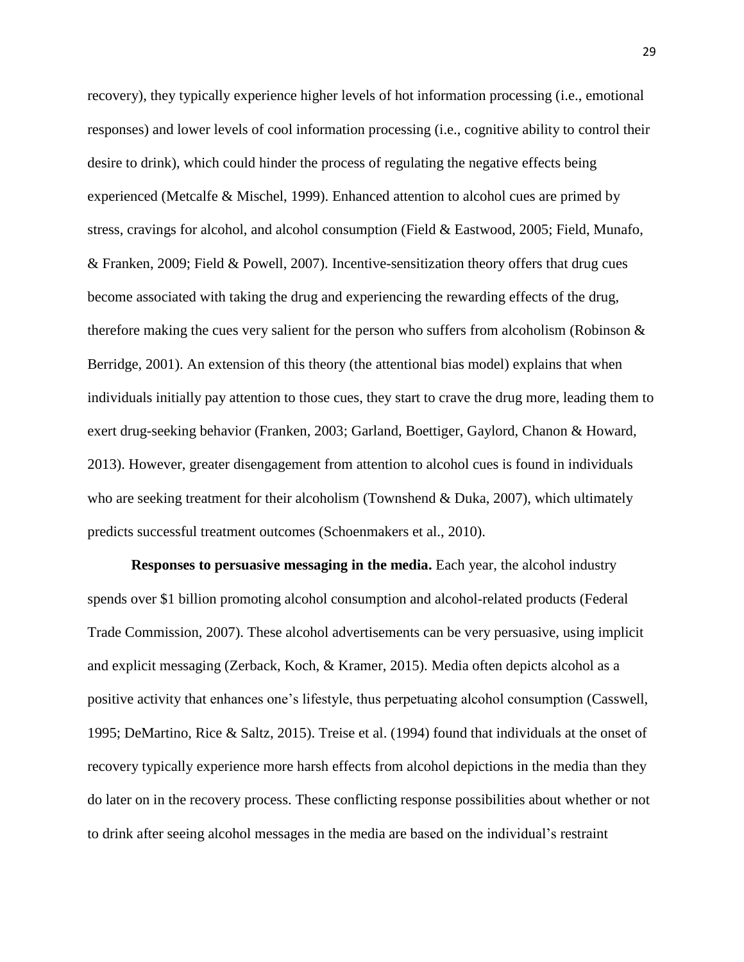recovery), they typically experience higher levels of hot information processing (i.e., emotional responses) and lower levels of cool information processing (i.e., cognitive ability to control their desire to drink), which could hinder the process of regulating the negative effects being experienced (Metcalfe & Mischel, 1999). Enhanced attention to alcohol cues are primed by stress, cravings for alcohol, and alcohol consumption (Field & Eastwood, 2005; Field, Munafo, & Franken, 2009; Field & Powell, 2007). Incentive-sensitization theory offers that drug cues become associated with taking the drug and experiencing the rewarding effects of the drug, therefore making the cues very salient for the person who suffers from alcoholism (Robinson & Berridge, 2001). An extension of this theory (the attentional bias model) explains that when individuals initially pay attention to those cues, they start to crave the drug more, leading them to exert drug-seeking behavior (Franken, 2003; Garland, Boettiger, Gaylord, Chanon & Howard, 2013). However, greater disengagement from attention to alcohol cues is found in individuals who are seeking treatment for their alcoholism (Townshend & Duka, 2007), which ultimately predicts successful treatment outcomes (Schoenmakers et al., 2010).

**Responses to persuasive messaging in the media.** Each year, the alcohol industry spends over \$1 billion promoting alcohol consumption and alcohol-related products (Federal Trade Commission, 2007). These alcohol advertisements can be very persuasive, using implicit and explicit messaging (Zerback, Koch, & Kramer, 2015). Media often depicts alcohol as a positive activity that enhances one's lifestyle, thus perpetuating alcohol consumption (Casswell, 1995; DeMartino, Rice & Saltz, 2015). Treise et al. (1994) found that individuals at the onset of recovery typically experience more harsh effects from alcohol depictions in the media than they do later on in the recovery process. These conflicting response possibilities about whether or not to drink after seeing alcohol messages in the media are based on the individual's restraint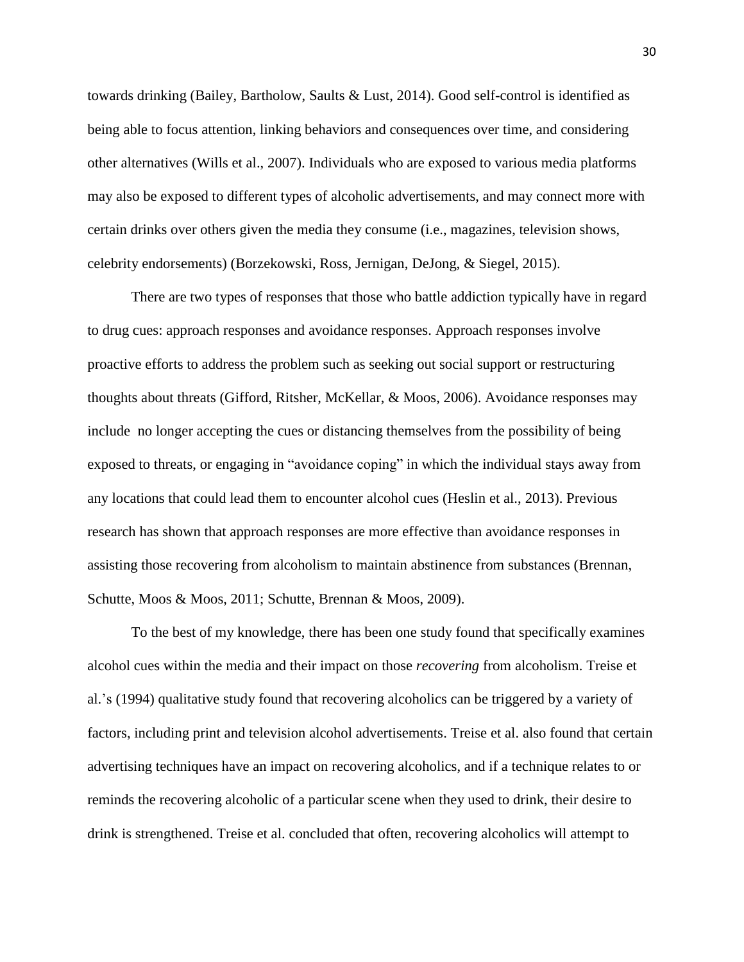towards drinking (Bailey, Bartholow, Saults & Lust, 2014). Good self-control is identified as being able to focus attention, linking behaviors and consequences over time, and considering other alternatives (Wills et al., 2007). Individuals who are exposed to various media platforms may also be exposed to different types of alcoholic advertisements, and may connect more with certain drinks over others given the media they consume (i.e., magazines, television shows, celebrity endorsements) (Borzekowski, Ross, Jernigan, DeJong, & Siegel, 2015).

There are two types of responses that those who battle addiction typically have in regard to drug cues: approach responses and avoidance responses. Approach responses involve proactive efforts to address the problem such as seeking out social support or restructuring thoughts about threats (Gifford, Ritsher, McKellar, & Moos, 2006). Avoidance responses may include no longer accepting the cues or distancing themselves from the possibility of being exposed to threats, or engaging in "avoidance coping" in which the individual stays away from any locations that could lead them to encounter alcohol cues (Heslin et al., 2013). Previous research has shown that approach responses are more effective than avoidance responses in assisting those recovering from alcoholism to maintain abstinence from substances (Brennan, Schutte, Moos & Moos, 2011; Schutte, Brennan & Moos, 2009).

To the best of my knowledge, there has been one study found that specifically examines alcohol cues within the media and their impact on those *recovering* from alcoholism. Treise et al.'s (1994) qualitative study found that recovering alcoholics can be triggered by a variety of factors, including print and television alcohol advertisements. Treise et al. also found that certain advertising techniques have an impact on recovering alcoholics, and if a technique relates to or reminds the recovering alcoholic of a particular scene when they used to drink, their desire to drink is strengthened. Treise et al. concluded that often, recovering alcoholics will attempt to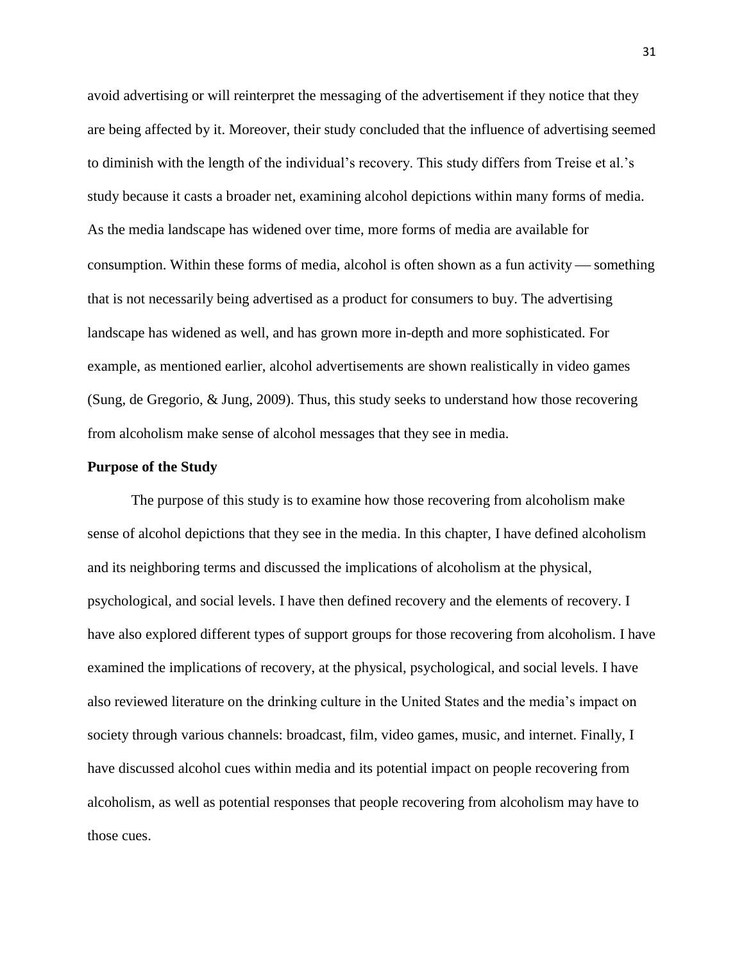avoid advertising or will reinterpret the messaging of the advertisement if they notice that they are being affected by it. Moreover, their study concluded that the influence of advertising seemed to diminish with the length of the individual's recovery. This study differs from Treise et al.'s study because it casts a broader net, examining alcohol depictions within many forms of media. As the media landscape has widened over time, more forms of media are available for consumption. Within these forms of media, alcohol is often shown as a fun activity  $\sim$  something that is not necessarily being advertised as a product for consumers to buy. The advertising landscape has widened as well, and has grown more in-depth and more sophisticated. For example, as mentioned earlier, alcohol advertisements are shown realistically in video games (Sung, de Gregorio, & Jung, 2009). Thus, this study seeks to understand how those recovering from alcoholism make sense of alcohol messages that they see in media.

### **Purpose of the Study**

The purpose of this study is to examine how those recovering from alcoholism make sense of alcohol depictions that they see in the media. In this chapter, I have defined alcoholism and its neighboring terms and discussed the implications of alcoholism at the physical, psychological, and social levels. I have then defined recovery and the elements of recovery. I have also explored different types of support groups for those recovering from alcoholism. I have examined the implications of recovery, at the physical, psychological, and social levels. I have also reviewed literature on the drinking culture in the United States and the media's impact on society through various channels: broadcast, film, video games, music, and internet. Finally, I have discussed alcohol cues within media and its potential impact on people recovering from alcoholism, as well as potential responses that people recovering from alcoholism may have to those cues.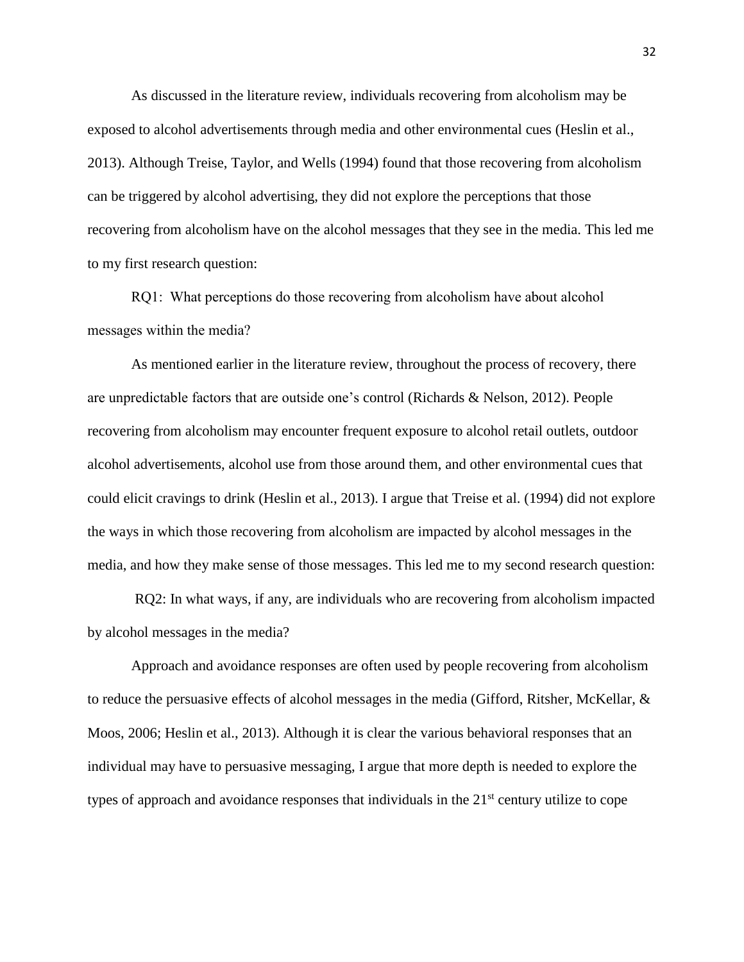As discussed in the literature review, individuals recovering from alcoholism may be exposed to alcohol advertisements through media and other environmental cues (Heslin et al., 2013). Although Treise, Taylor, and Wells (1994) found that those recovering from alcoholism can be triggered by alcohol advertising, they did not explore the perceptions that those recovering from alcoholism have on the alcohol messages that they see in the media. This led me to my first research question:

RQ1: What perceptions do those recovering from alcoholism have about alcohol messages within the media?

As mentioned earlier in the literature review, throughout the process of recovery, there are unpredictable factors that are outside one's control (Richards & Nelson, 2012). People recovering from alcoholism may encounter frequent exposure to alcohol retail outlets, outdoor alcohol advertisements, alcohol use from those around them, and other environmental cues that could elicit cravings to drink (Heslin et al., 2013). I argue that Treise et al. (1994) did not explore the ways in which those recovering from alcoholism are impacted by alcohol messages in the media, and how they make sense of those messages. This led me to my second research question:

RQ2: In what ways, if any, are individuals who are recovering from alcoholism impacted by alcohol messages in the media?

Approach and avoidance responses are often used by people recovering from alcoholism to reduce the persuasive effects of alcohol messages in the media (Gifford, Ritsher, McKellar, & Moos, 2006; Heslin et al., 2013). Although it is clear the various behavioral responses that an individual may have to persuasive messaging, I argue that more depth is needed to explore the types of approach and avoidance responses that individuals in the  $21<sup>st</sup>$  century utilize to cope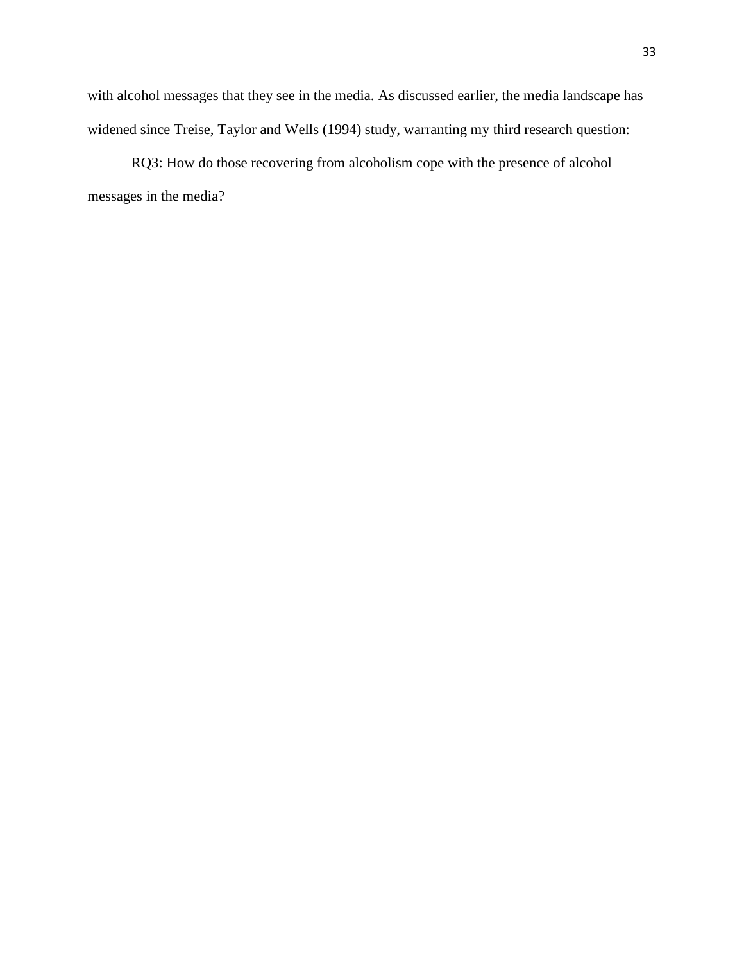with alcohol messages that they see in the media. As discussed earlier, the media landscape has widened since Treise, Taylor and Wells (1994) study, warranting my third research question:

RQ3: How do those recovering from alcoholism cope with the presence of alcohol messages in the media?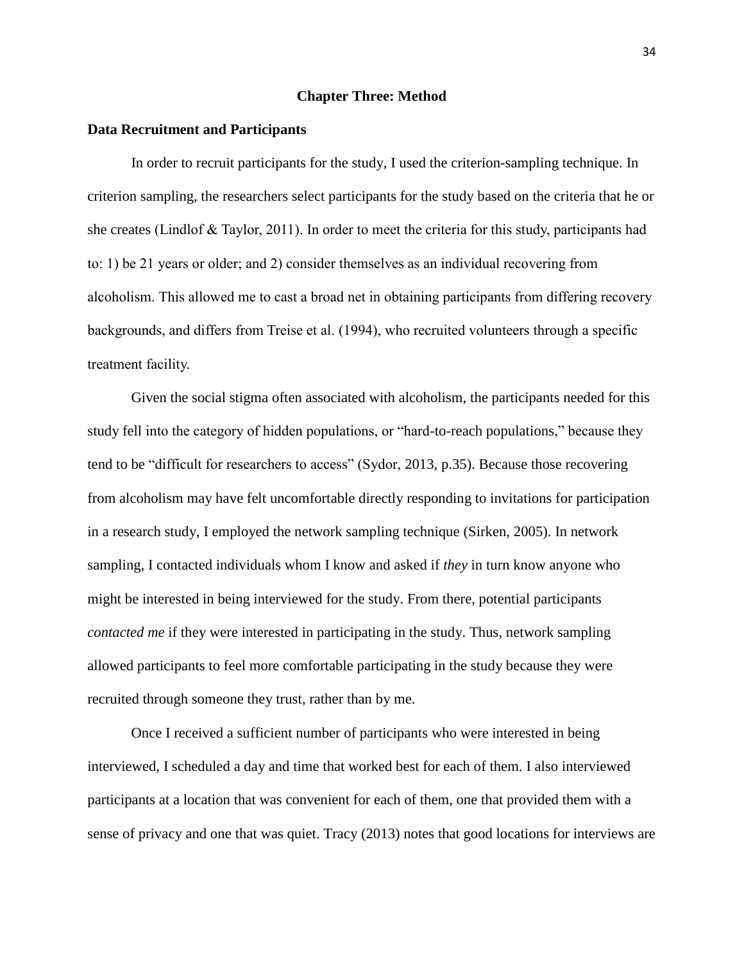### **Chapter Three: Method**

#### **Data Recruitment and Participants**

In order to recruit participants for the study, I used the criterion-sampling technique. In criterion sampling, the researchers select participants for the study based on the criteria that he or she creates (Lindlof & Taylor, 2011). In order to meet the criteria for this study, participants had to: 1) be 21 years or older; and 2) consider themselves as an individual recovering from alcoholism. This allowed me to cast a broad net in obtaining participants from differing recovery backgrounds, and differs from Treise et al. (1994), who recruited volunteers through a specific treatment facility.

Given the social stigma often associated with alcoholism, the participants needed for this study fell into the category of hidden populations, or "hard-to-reach populations," because they tend to be "difficult for researchers to access" (Sydor, 2013, p.35). Because those recovering from alcoholism may have felt uncomfortable directly responding to invitations for participation in a research study, I employed the network sampling technique (Sirken, 2005). In network sampling, I contacted individuals whom I know and asked if *they* in turn know anyone who might be interested in being interviewed for the study. From there, potential participants *contacted me* if they were interested in participating in the study. Thus, network sampling allowed participants to feel more comfortable participating in the study because they were recruited through someone they trust, rather than by me.

Once I received a sufficient number of participants who were interested in being interviewed, I scheduled a day and time that worked best for each of them. I also interviewed participants at a location that was convenient for each of them, one that provided them with a sense of privacy and one that was quiet. Tracy (2013) notes that good locations for interviews are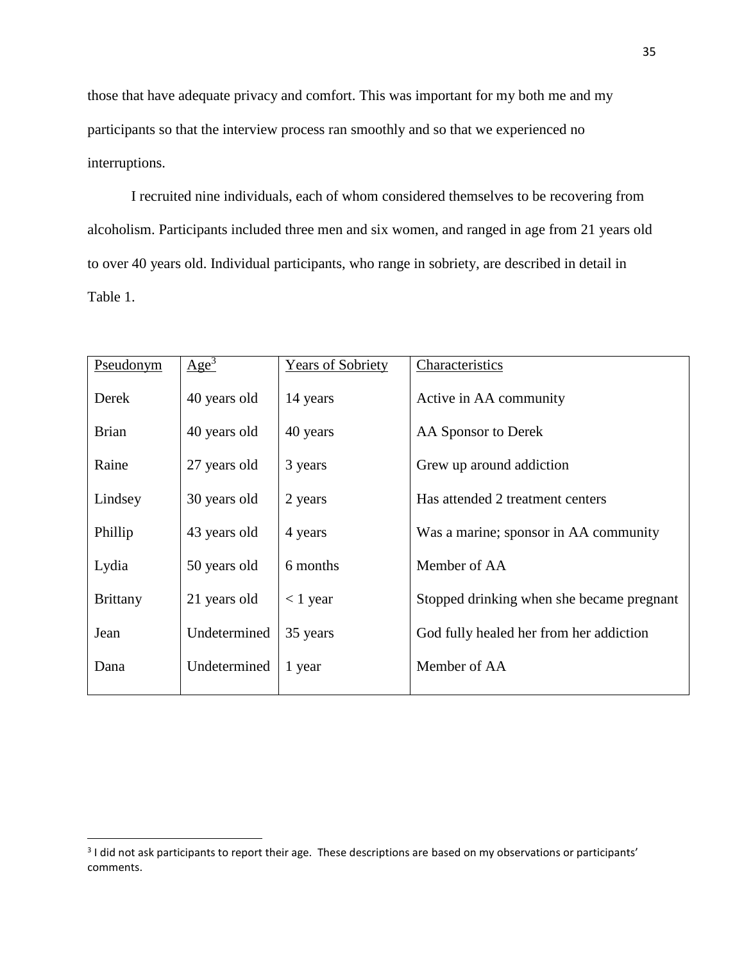those that have adequate privacy and comfort. This was important for my both me and my participants so that the interview process ran smoothly and so that we experienced no interruptions.

I recruited nine individuals, each of whom considered themselves to be recovering from alcoholism. Participants included three men and six women, and ranged in age from 21 years old to over 40 years old. Individual participants, who range in sobriety, are described in detail in Table 1.

| Pseudonym       | $Age^3$      | <b>Years of Sobriety</b> | Characteristics                           |
|-----------------|--------------|--------------------------|-------------------------------------------|
| Derek           | 40 years old | 14 years                 | Active in AA community                    |
| <b>Brian</b>    | 40 years old | 40 years                 | AA Sponsor to Derek                       |
| Raine           | 27 years old | 3 years                  | Grew up around addiction                  |
| Lindsey         | 30 years old | 2 years                  | Has attended 2 treatment centers          |
| Phillip         | 43 years old | 4 years                  | Was a marine; sponsor in AA community     |
| Lydia           | 50 years old | 6 months                 | Member of AA                              |
| <b>Brittany</b> | 21 years old | $<$ 1 year               | Stopped drinking when she became pregnant |
| Jean            | Undetermined | 35 years                 | God fully healed her from her addiction   |
| Dana            | Undetermined | 1 year                   | Member of AA                              |
|                 |              |                          |                                           |

l

 $3$  I did not ask participants to report their age. These descriptions are based on my observations or participants' comments.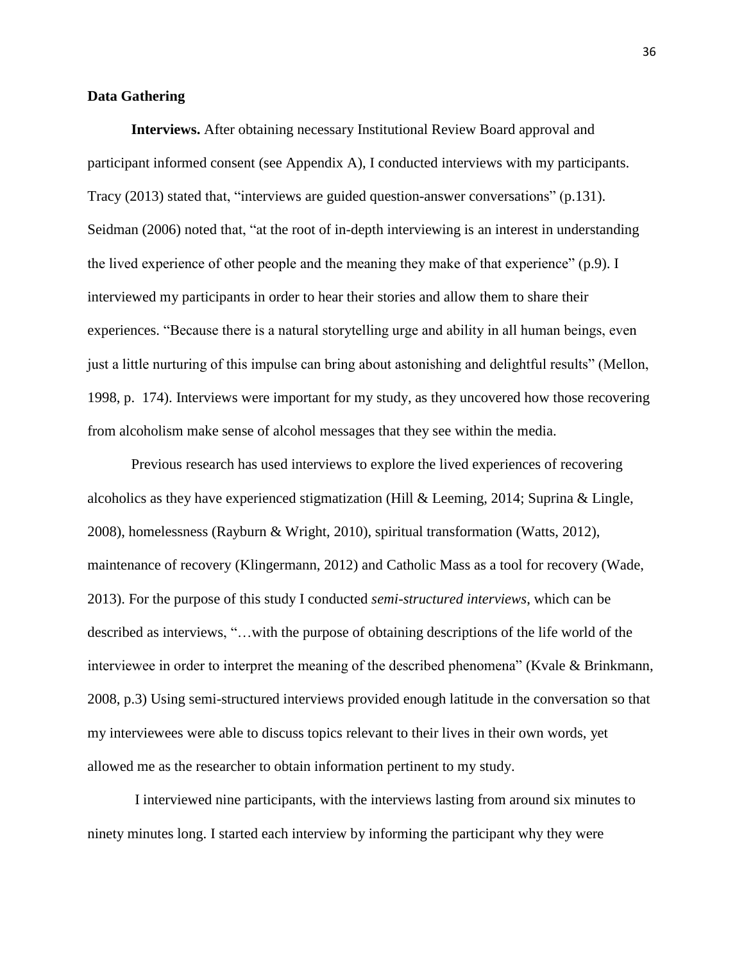### **Data Gathering**

**Interviews.** After obtaining necessary Institutional Review Board approval and participant informed consent (see Appendix A), I conducted interviews with my participants. Tracy (2013) stated that, "interviews are guided question-answer conversations" (p.131). Seidman (2006) noted that, "at the root of in-depth interviewing is an interest in understanding the lived experience of other people and the meaning they make of that experience" (p.9). I interviewed my participants in order to hear their stories and allow them to share their experiences. "Because there is a natural storytelling urge and ability in all human beings, even just a little nurturing of this impulse can bring about astonishing and delightful results" (Mellon, 1998, p. 174). Interviews were important for my study, as they uncovered how those recovering from alcoholism make sense of alcohol messages that they see within the media.

Previous research has used interviews to explore the lived experiences of recovering alcoholics as they have experienced stigmatization (Hill & Leeming, 2014; Suprina & Lingle, 2008), homelessness (Rayburn & Wright, 2010), spiritual transformation (Watts, 2012), maintenance of recovery (Klingermann, 2012) and Catholic Mass as a tool for recovery (Wade, 2013). For the purpose of this study I conducted *semi-structured interviews*, which can be described as interviews, "…with the purpose of obtaining descriptions of the life world of the interviewee in order to interpret the meaning of the described phenomena" (Kvale & Brinkmann, 2008, p.3) Using semi-structured interviews provided enough latitude in the conversation so that my interviewees were able to discuss topics relevant to their lives in their own words, yet allowed me as the researcher to obtain information pertinent to my study.

I interviewed nine participants, with the interviews lasting from around six minutes to ninety minutes long. I started each interview by informing the participant why they were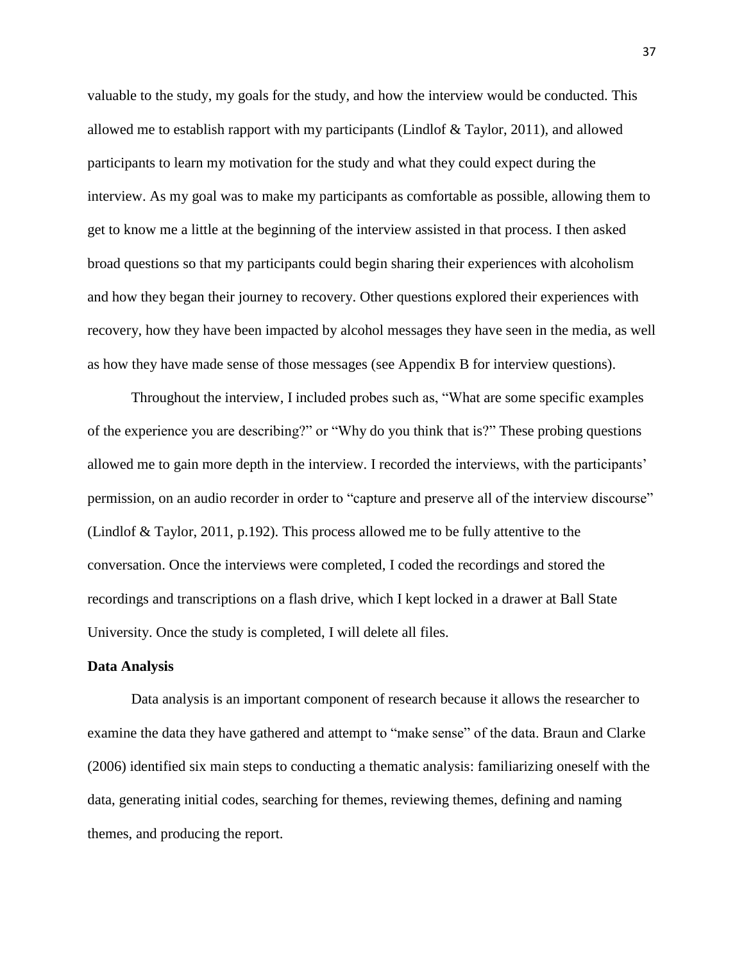valuable to the study, my goals for the study, and how the interview would be conducted. This allowed me to establish rapport with my participants (Lindlof & Taylor, 2011), and allowed participants to learn my motivation for the study and what they could expect during the interview. As my goal was to make my participants as comfortable as possible, allowing them to get to know me a little at the beginning of the interview assisted in that process. I then asked broad questions so that my participants could begin sharing their experiences with alcoholism and how they began their journey to recovery. Other questions explored their experiences with recovery, how they have been impacted by alcohol messages they have seen in the media, as well as how they have made sense of those messages (see Appendix B for interview questions).

Throughout the interview, I included probes such as, "What are some specific examples of the experience you are describing?" or "Why do you think that is?" These probing questions allowed me to gain more depth in the interview. I recorded the interviews, with the participants' permission, on an audio recorder in order to "capture and preserve all of the interview discourse" (Lindlof & Taylor, 2011, p.192). This process allowed me to be fully attentive to the conversation. Once the interviews were completed, I coded the recordings and stored the recordings and transcriptions on a flash drive, which I kept locked in a drawer at Ball State University. Once the study is completed, I will delete all files.

#### **Data Analysis**

Data analysis is an important component of research because it allows the researcher to examine the data they have gathered and attempt to "make sense" of the data. Braun and Clarke (2006) identified six main steps to conducting a thematic analysis: familiarizing oneself with the data, generating initial codes, searching for themes, reviewing themes, defining and naming themes, and producing the report.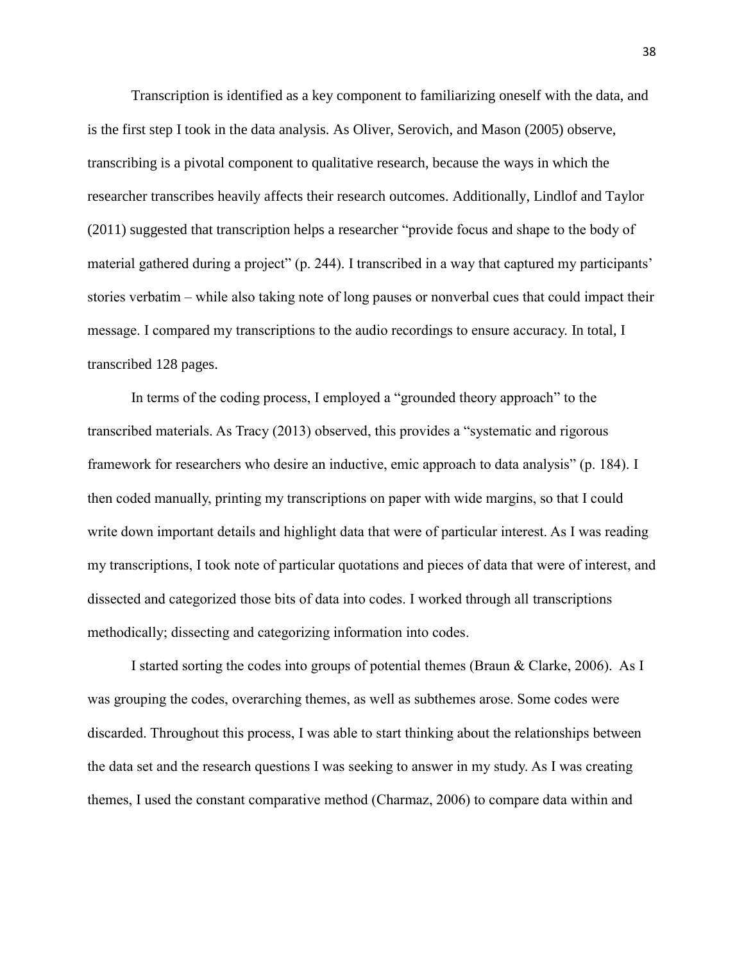Transcription is identified as a key component to familiarizing oneself with the data, and is the first step I took in the data analysis. As Oliver, Serovich, and Mason (2005) observe, transcribing is a pivotal component to qualitative research, because the ways in which the researcher transcribes heavily affects their research outcomes. Additionally, Lindlof and Taylor (2011) suggested that transcription helps a researcher "provide focus and shape to the body of material gathered during a project" (p. 244). I transcribed in a way that captured my participants' stories verbatim – while also taking note of long pauses or nonverbal cues that could impact their message. I compared my transcriptions to the audio recordings to ensure accuracy. In total, I transcribed 128 pages.

In terms of the coding process, I employed a "grounded theory approach" to the transcribed materials. As Tracy (2013) observed, this provides a "systematic and rigorous framework for researchers who desire an inductive, emic approach to data analysis" (p. 184). I then coded manually, printing my transcriptions on paper with wide margins, so that I could write down important details and highlight data that were of particular interest. As I was reading my transcriptions, I took note of particular quotations and pieces of data that were of interest, and dissected and categorized those bits of data into codes. I worked through all transcriptions methodically; dissecting and categorizing information into codes.

I started sorting the codes into groups of potential themes (Braun & Clarke, 2006). As I was grouping the codes, overarching themes, as well as subthemes arose. Some codes were discarded. Throughout this process, I was able to start thinking about the relationships between the data set and the research questions I was seeking to answer in my study. As I was creating themes, I used the constant comparative method (Charmaz, 2006) to compare data within and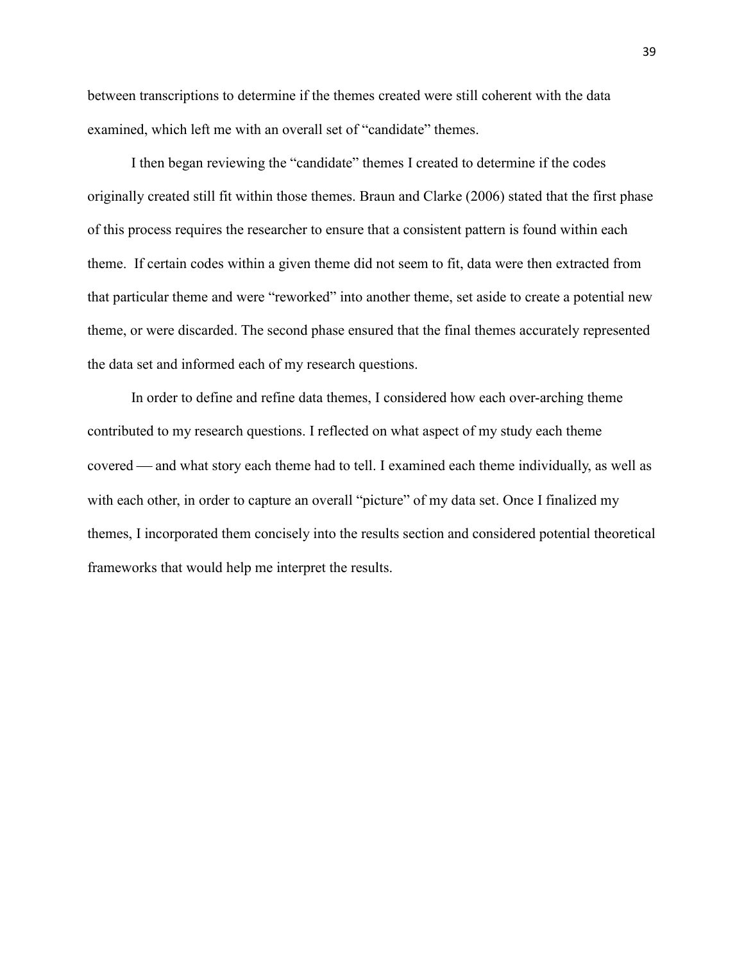between transcriptions to determine if the themes created were still coherent with the data examined, which left me with an overall set of "candidate" themes.

I then began reviewing the "candidate" themes I created to determine if the codes originally created still fit within those themes. Braun and Clarke (2006) stated that the first phase of this process requires the researcher to ensure that a consistent pattern is found within each theme. If certain codes within a given theme did not seem to fit, data were then extracted from that particular theme and were "reworked" into another theme, set aside to create a potential new theme, or were discarded. The second phase ensured that the final themes accurately represented the data set and informed each of my research questions.

In order to define and refine data themes, I considered how each over-arching theme contributed to my research questions. I reflected on what aspect of my study each theme covered — and what story each theme had to tell. I examined each theme individually, as well as with each other, in order to capture an overall "picture" of my data set. Once I finalized my themes, I incorporated them concisely into the results section and considered potential theoretical frameworks that would help me interpret the results.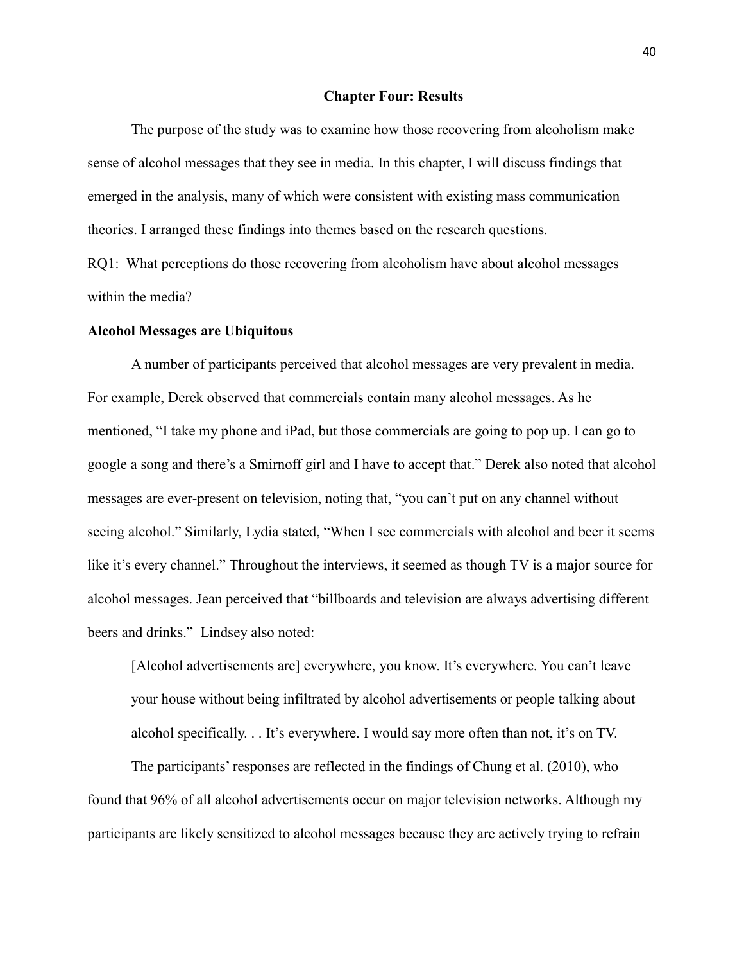#### **Chapter Four: Results**

The purpose of the study was to examine how those recovering from alcoholism make sense of alcohol messages that they see in media. In this chapter, I will discuss findings that emerged in the analysis, many of which were consistent with existing mass communication theories. I arranged these findings into themes based on the research questions.

RQ1: What perceptions do those recovering from alcoholism have about alcohol messages within the media?

## **Alcohol Messages are Ubiquitous**

A number of participants perceived that alcohol messages are very prevalent in media. For example, Derek observed that commercials contain many alcohol messages. As he mentioned, "I take my phone and iPad, but those commercials are going to pop up. I can go to google a song and there's a Smirnoff girl and I have to accept that." Derek also noted that alcohol messages are ever-present on television, noting that, "you can't put on any channel without seeing alcohol." Similarly, Lydia stated, "When I see commercials with alcohol and beer it seems like it's every channel." Throughout the interviews, it seemed as though TV is a major source for alcohol messages. Jean perceived that "billboards and television are always advertising different beers and drinks." Lindsey also noted:

[Alcohol advertisements are] everywhere, you know. It's everywhere. You can't leave your house without being infiltrated by alcohol advertisements or people talking about alcohol specifically. . . It's everywhere. I would say more often than not, it's on TV.

The participants' responses are reflected in the findings of Chung et al. (2010), who found that 96% of all alcohol advertisements occur on major television networks. Although my participants are likely sensitized to alcohol messages because they are actively trying to refrain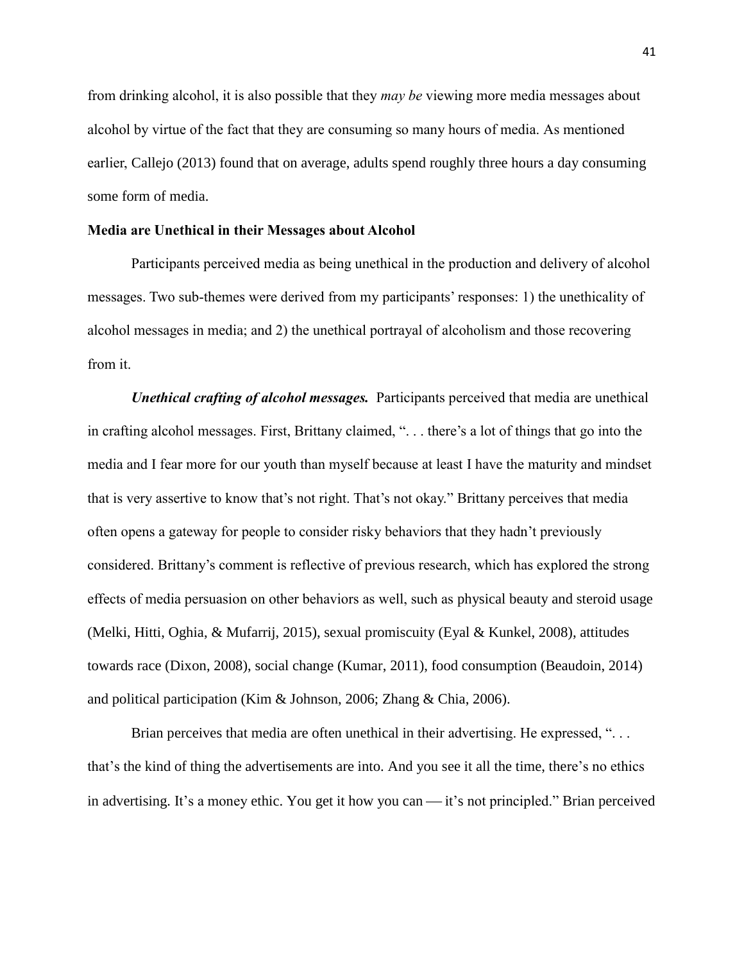from drinking alcohol, it is also possible that they *may be* viewing more media messages about alcohol by virtue of the fact that they are consuming so many hours of media. As mentioned earlier, Callejo (2013) found that on average, adults spend roughly three hours a day consuming some form of media.

## **Media are Unethical in their Messages about Alcohol**

Participants perceived media as being unethical in the production and delivery of alcohol messages. Two sub-themes were derived from my participants' responses: 1) the unethicality of alcohol messages in media; and 2) the unethical portrayal of alcoholism and those recovering from it.

*Unethical crafting of alcohol messages.* Participants perceived that media are unethical in crafting alcohol messages. First, Brittany claimed, ". . . there's a lot of things that go into the media and I fear more for our youth than myself because at least I have the maturity and mindset that is very assertive to know that's not right. That's not okay." Brittany perceives that media often opens a gateway for people to consider risky behaviors that they hadn't previously considered. Brittany's comment is reflective of previous research, which has explored the strong effects of media persuasion on other behaviors as well, such as physical beauty and steroid usage (Melki, Hitti, Oghia, & Mufarrij, 2015), sexual promiscuity (Eyal & Kunkel, 2008), attitudes towards race (Dixon, 2008), social change (Kumar, 2011), food consumption (Beaudoin, 2014) and political participation (Kim & Johnson, 2006; Zhang & Chia, 2006).

Brian perceives that media are often unethical in their advertising. He expressed, "... that's the kind of thing the advertisements are into. And you see it all the time, there's no ethics in advertising. It's a money ethic. You get it how you can — it's not principled." Brian perceived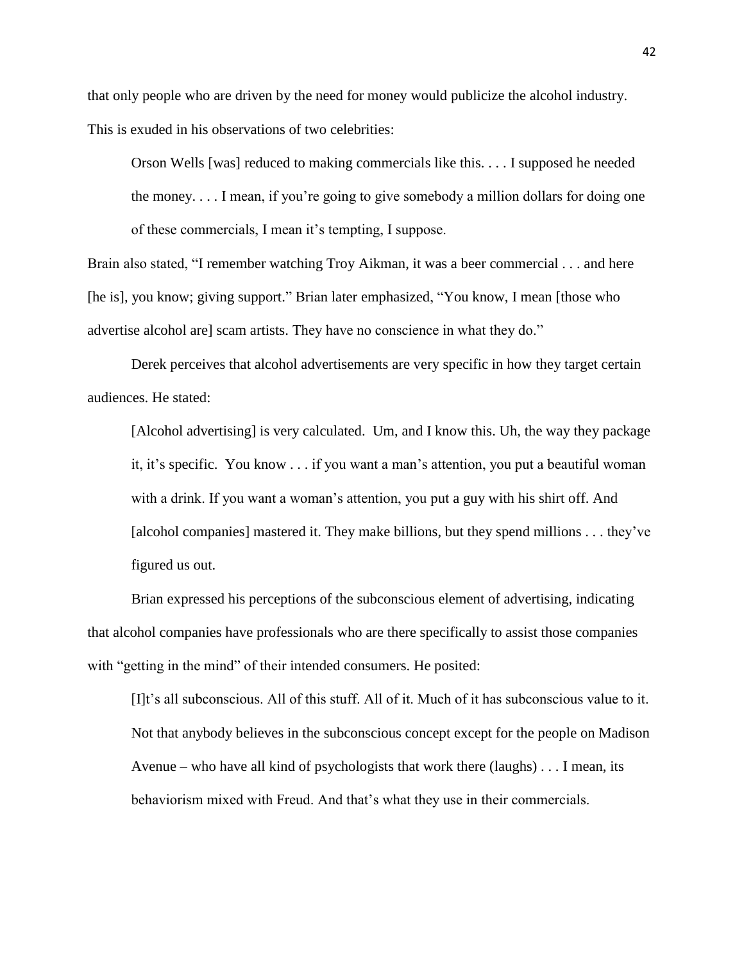that only people who are driven by the need for money would publicize the alcohol industry. This is exuded in his observations of two celebrities:

Orson Wells [was] reduced to making commercials like this. . . . I supposed he needed the money. . . . I mean, if you're going to give somebody a million dollars for doing one of these commercials, I mean it's tempting, I suppose.

Brain also stated, "I remember watching Troy Aikman, it was a beer commercial . . . and here [he is], you know; giving support." Brian later emphasized, "You know, I mean [those who advertise alcohol are] scam artists. They have no conscience in what they do."

Derek perceives that alcohol advertisements are very specific in how they target certain audiences. He stated:

[Alcohol advertising] is very calculated. Um, and I know this. Uh, the way they package it, it's specific. You know . . . if you want a man's attention, you put a beautiful woman with a drink. If you want a woman's attention, you put a guy with his shirt off. And [alcohol companies] mastered it. They make billions, but they spend millions . . . they've figured us out.

Brian expressed his perceptions of the subconscious element of advertising, indicating that alcohol companies have professionals who are there specifically to assist those companies with "getting in the mind" of their intended consumers. He posited:

[I]t's all subconscious. All of this stuff. All of it. Much of it has subconscious value to it. Not that anybody believes in the subconscious concept except for the people on Madison Avenue – who have all kind of psychologists that work there (laughs) . . . I mean, its behaviorism mixed with Freud. And that's what they use in their commercials.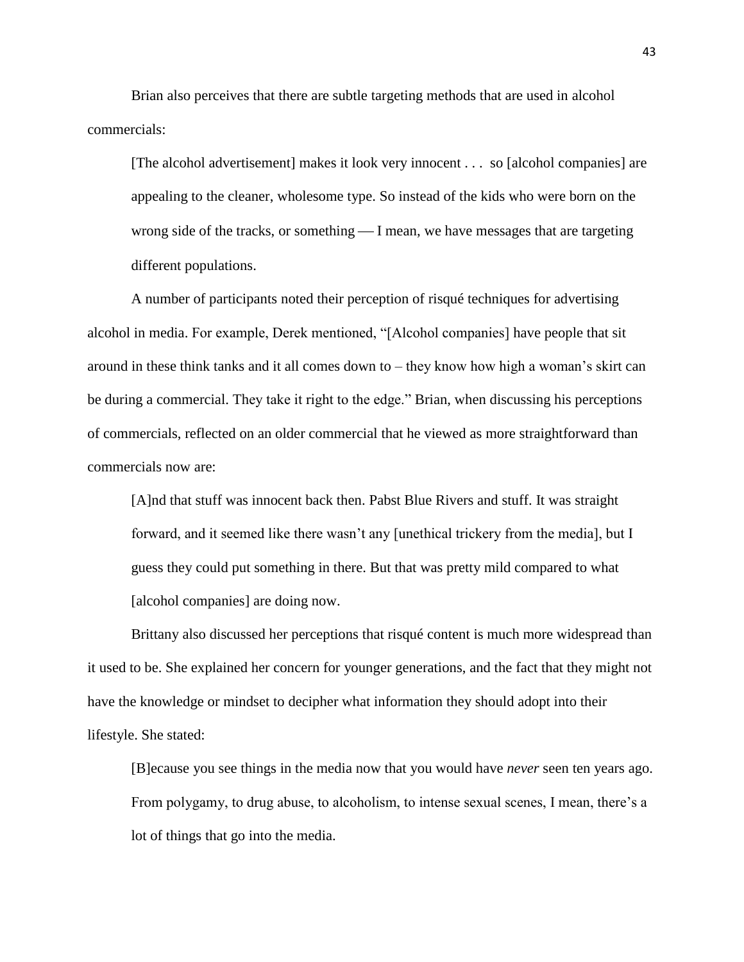Brian also perceives that there are subtle targeting methods that are used in alcohol commercials:

[The alcohol advertisement] makes it look very innocent . . . so [alcohol companies] are appealing to the cleaner, wholesome type. So instead of the kids who were born on the wrong side of the tracks, or something  $\frac{1}{1}$  mean, we have messages that are targeting different populations.

A number of participants noted their perception of risqué techniques for advertising alcohol in media. For example, Derek mentioned, "[Alcohol companies] have people that sit around in these think tanks and it all comes down to – they know how high a woman's skirt can be during a commercial. They take it right to the edge." Brian, when discussing his perceptions of commercials, reflected on an older commercial that he viewed as more straightforward than commercials now are:

[A]nd that stuff was innocent back then. Pabst Blue Rivers and stuff. It was straight forward, and it seemed like there wasn't any [unethical trickery from the media], but I guess they could put something in there. But that was pretty mild compared to what [alcohol companies] are doing now.

Brittany also discussed her perceptions that risqué content is much more widespread than it used to be. She explained her concern for younger generations, and the fact that they might not have the knowledge or mindset to decipher what information they should adopt into their lifestyle. She stated:

[B]ecause you see things in the media now that you would have *never* seen ten years ago. From polygamy, to drug abuse, to alcoholism, to intense sexual scenes, I mean, there's a lot of things that go into the media.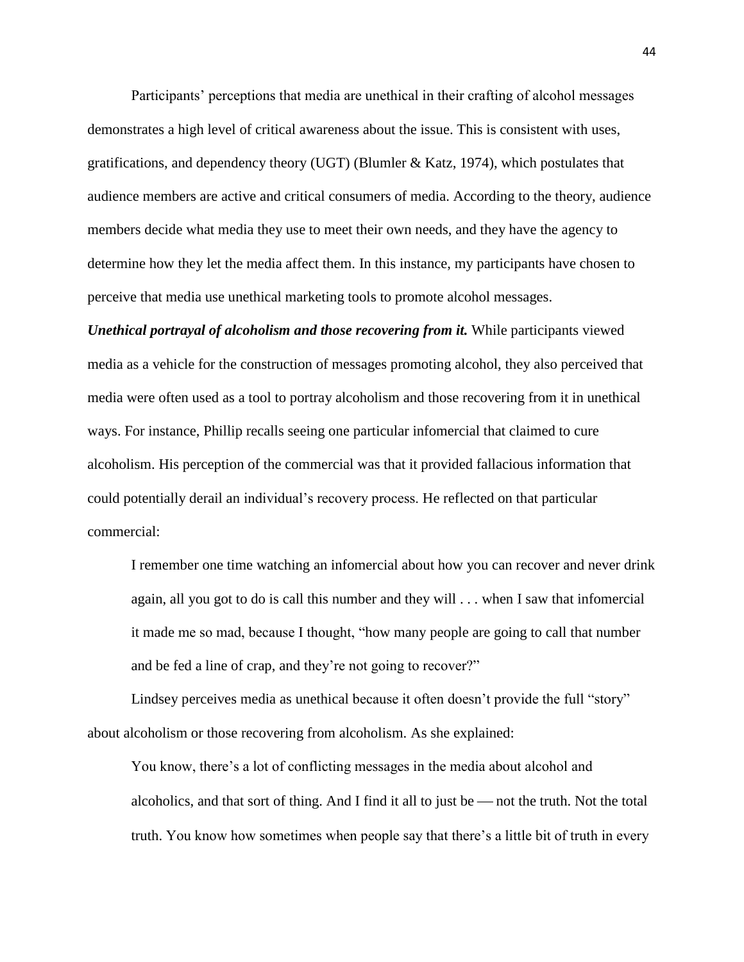Participants' perceptions that media are unethical in their crafting of alcohol messages demonstrates a high level of critical awareness about the issue. This is consistent with uses, gratifications, and dependency theory (UGT) (Blumler & Katz, 1974), which postulates that audience members are active and critical consumers of media. According to the theory, audience members decide what media they use to meet their own needs, and they have the agency to determine how they let the media affect them. In this instance, my participants have chosen to perceive that media use unethical marketing tools to promote alcohol messages.

*Unethical portrayal of alcoholism and those recovering from it.* While participants viewed media as a vehicle for the construction of messages promoting alcohol, they also perceived that media were often used as a tool to portray alcoholism and those recovering from it in unethical ways. For instance, Phillip recalls seeing one particular infomercial that claimed to cure alcoholism. His perception of the commercial was that it provided fallacious information that could potentially derail an individual's recovery process. He reflected on that particular commercial:

I remember one time watching an infomercial about how you can recover and never drink again, all you got to do is call this number and they will . . . when I saw that infomercial it made me so mad, because I thought, "how many people are going to call that number and be fed a line of crap, and they're not going to recover?"

Lindsey perceives media as unethical because it often doesn't provide the full "story" about alcoholism or those recovering from alcoholism. As she explained:

You know, there's a lot of conflicting messages in the media about alcohol and alcoholics, and that sort of thing. And I find it all to just be  $-$  not the truth. Not the total truth. You know how sometimes when people say that there's a little bit of truth in every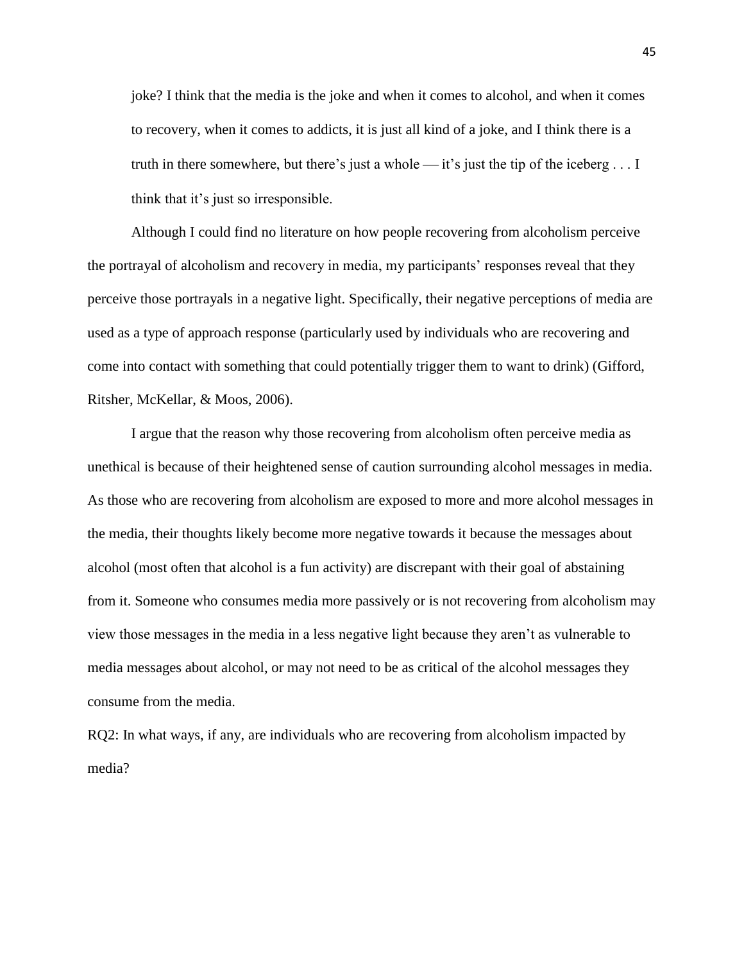joke? I think that the media is the joke and when it comes to alcohol, and when it comes to recovery, when it comes to addicts, it is just all kind of a joke, and I think there is a truth in there somewhere, but there's just a whole  $\frac{d}{dt}$  is just the tip of the iceberg ... I think that it's just so irresponsible.

Although I could find no literature on how people recovering from alcoholism perceive the portrayal of alcoholism and recovery in media, my participants' responses reveal that they perceive those portrayals in a negative light. Specifically, their negative perceptions of media are used as a type of approach response (particularly used by individuals who are recovering and come into contact with something that could potentially trigger them to want to drink) (Gifford, Ritsher, McKellar, & Moos, 2006).

I argue that the reason why those recovering from alcoholism often perceive media as unethical is because of their heightened sense of caution surrounding alcohol messages in media. As those who are recovering from alcoholism are exposed to more and more alcohol messages in the media, their thoughts likely become more negative towards it because the messages about alcohol (most often that alcohol is a fun activity) are discrepant with their goal of abstaining from it. Someone who consumes media more passively or is not recovering from alcoholism may view those messages in the media in a less negative light because they aren't as vulnerable to media messages about alcohol, or may not need to be as critical of the alcohol messages they consume from the media.

RQ2: In what ways, if any, are individuals who are recovering from alcoholism impacted by media?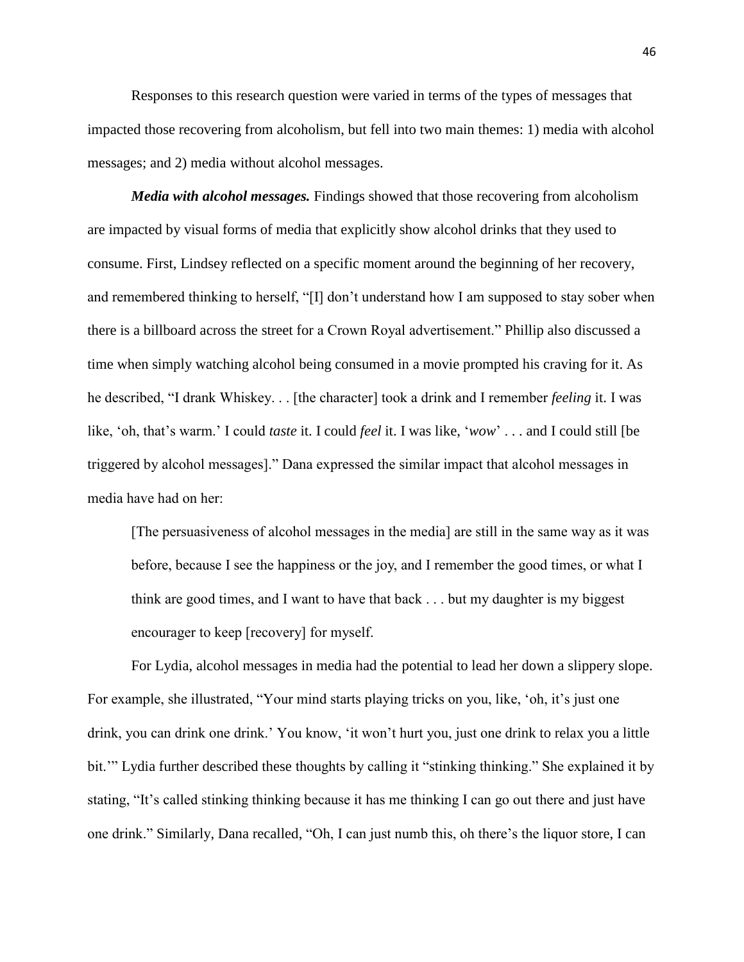Responses to this research question were varied in terms of the types of messages that impacted those recovering from alcoholism, but fell into two main themes: 1) media with alcohol messages; and 2) media without alcohol messages.

*Media with alcohol messages.* Findings showed that those recovering from alcoholism are impacted by visual forms of media that explicitly show alcohol drinks that they used to consume. First, Lindsey reflected on a specific moment around the beginning of her recovery, and remembered thinking to herself, "[I] don't understand how I am supposed to stay sober when there is a billboard across the street for a Crown Royal advertisement." Phillip also discussed a time when simply watching alcohol being consumed in a movie prompted his craving for it. As he described, "I drank Whiskey. . . [the character] took a drink and I remember *feeling* it. I was like, 'oh, that's warm.' I could *taste* it. I could *feel* it. I was like, '*wow*' . . . and I could still [be triggered by alcohol messages]." Dana expressed the similar impact that alcohol messages in media have had on her:

[The persuasiveness of alcohol messages in the media] are still in the same way as it was before, because I see the happiness or the joy, and I remember the good times, or what I think are good times, and I want to have that back . . . but my daughter is my biggest encourager to keep [recovery] for myself.

For Lydia, alcohol messages in media had the potential to lead her down a slippery slope. For example, she illustrated, "Your mind starts playing tricks on you, like, 'oh, it's just one drink, you can drink one drink.' You know, 'it won't hurt you, just one drink to relax you a little bit.'" Lydia further described these thoughts by calling it "stinking thinking." She explained it by stating, "It's called stinking thinking because it has me thinking I can go out there and just have one drink." Similarly, Dana recalled, "Oh, I can just numb this, oh there's the liquor store, I can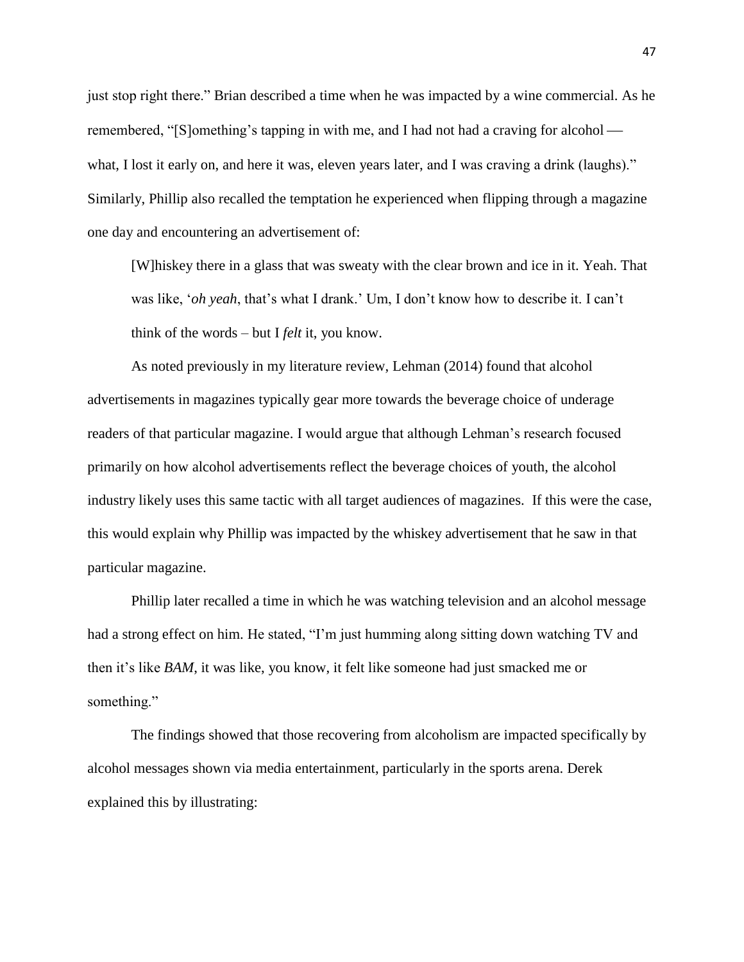just stop right there." Brian described a time when he was impacted by a wine commercial. As he remembered, "[S]omething's tapping in with me, and I had not had a craving for alcohol what, I lost it early on, and here it was, eleven years later, and I was craving a drink (laughs)." Similarly, Phillip also recalled the temptation he experienced when flipping through a magazine one day and encountering an advertisement of:

[W]hiskey there in a glass that was sweaty with the clear brown and ice in it. Yeah. That was like, '*oh yeah*, that's what I drank.' Um, I don't know how to describe it. I can't think of the words – but I *felt* it, you know.

As noted previously in my literature review, Lehman (2014) found that alcohol advertisements in magazines typically gear more towards the beverage choice of underage readers of that particular magazine. I would argue that although Lehman's research focused primarily on how alcohol advertisements reflect the beverage choices of youth, the alcohol industry likely uses this same tactic with all target audiences of magazines. If this were the case, this would explain why Phillip was impacted by the whiskey advertisement that he saw in that particular magazine.

Phillip later recalled a time in which he was watching television and an alcohol message had a strong effect on him. He stated, "I'm just humming along sitting down watching TV and then it's like *BAM*, it was like, you know, it felt like someone had just smacked me or something."

The findings showed that those recovering from alcoholism are impacted specifically by alcohol messages shown via media entertainment, particularly in the sports arena. Derek explained this by illustrating: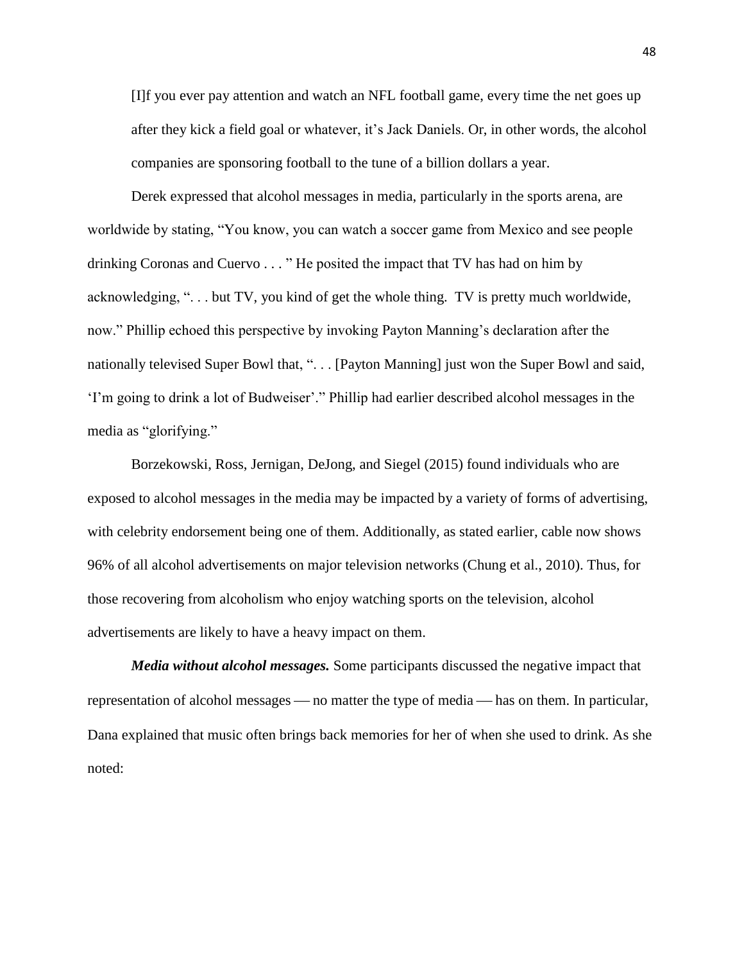[I]f you ever pay attention and watch an NFL football game, every time the net goes up after they kick a field goal or whatever, it's Jack Daniels. Or, in other words, the alcohol companies are sponsoring football to the tune of a billion dollars a year.

Derek expressed that alcohol messages in media, particularly in the sports arena, are worldwide by stating, "You know, you can watch a soccer game from Mexico and see people drinking Coronas and Cuervo . . . " He posited the impact that TV has had on him by acknowledging, ". . . but TV, you kind of get the whole thing. TV is pretty much worldwide, now." Phillip echoed this perspective by invoking Payton Manning's declaration after the nationally televised Super Bowl that, ". . . [Payton Manning] just won the Super Bowl and said, 'I'm going to drink a lot of Budweiser'." Phillip had earlier described alcohol messages in the media as "glorifying."

Borzekowski, Ross, Jernigan, DeJong, and Siegel (2015) found individuals who are exposed to alcohol messages in the media may be impacted by a variety of forms of advertising, with celebrity endorsement being one of them. Additionally, as stated earlier, cable now shows 96% of all alcohol advertisements on major television networks (Chung et al., 2010). Thus, for those recovering from alcoholism who enjoy watching sports on the television, alcohol advertisements are likely to have a heavy impact on them.

*Media without alcohol messages.* Some participants discussed the negative impact that representation of alcohol messages — no matter the type of media — has on them. In particular, Dana explained that music often brings back memories for her of when she used to drink. As she noted: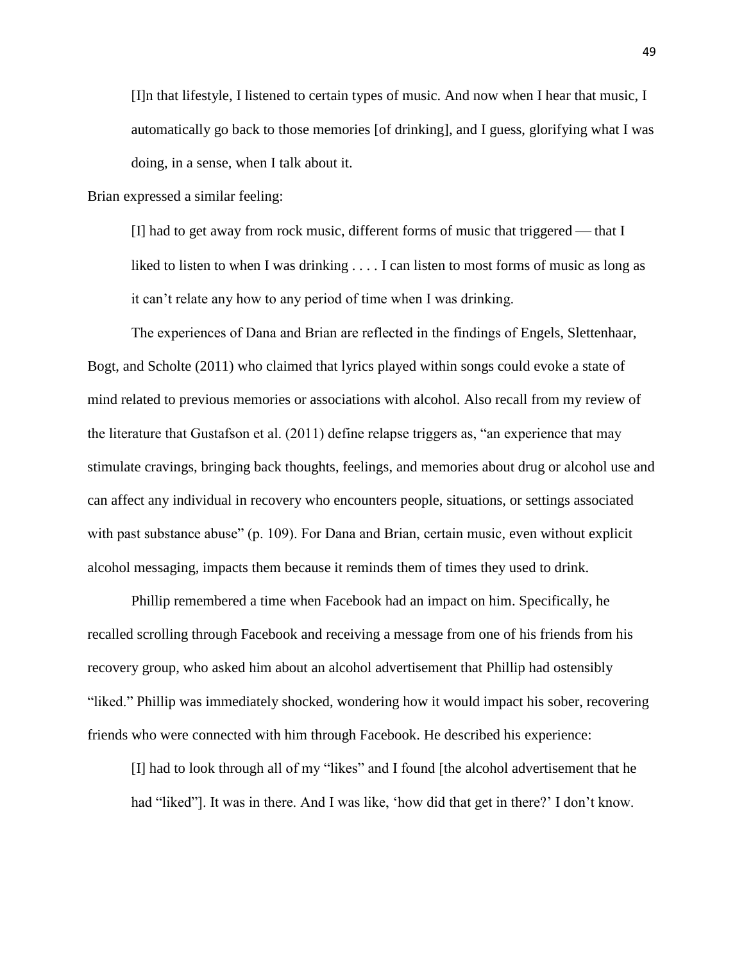[I]n that lifestyle, I listened to certain types of music. And now when I hear that music, I automatically go back to those memories [of drinking], and I guess, glorifying what I was doing, in a sense, when I talk about it.

Brian expressed a similar feeling:

[I] had to get away from rock music, different forms of music that triggered  $-$  that I liked to listen to when I was drinking . . . . I can listen to most forms of music as long as it can't relate any how to any period of time when I was drinking.

The experiences of Dana and Brian are reflected in the findings of Engels, Slettenhaar, Bogt, and Scholte (2011) who claimed that lyrics played within songs could evoke a state of mind related to previous memories or associations with alcohol. Also recall from my review of the literature that Gustafson et al. (2011) define relapse triggers as, "an experience that may stimulate cravings, bringing back thoughts, feelings, and memories about drug or alcohol use and can affect any individual in recovery who encounters people, situations, or settings associated with past substance abuse" (p. 109). For Dana and Brian, certain music, even without explicit alcohol messaging, impacts them because it reminds them of times they used to drink.

Phillip remembered a time when Facebook had an impact on him. Specifically, he recalled scrolling through Facebook and receiving a message from one of his friends from his recovery group, who asked him about an alcohol advertisement that Phillip had ostensibly "liked." Phillip was immediately shocked, wondering how it would impact his sober, recovering friends who were connected with him through Facebook. He described his experience:

[I] had to look through all of my "likes" and I found [the alcohol advertisement that he had "liked"]. It was in there. And I was like, 'how did that get in there?' I don't know.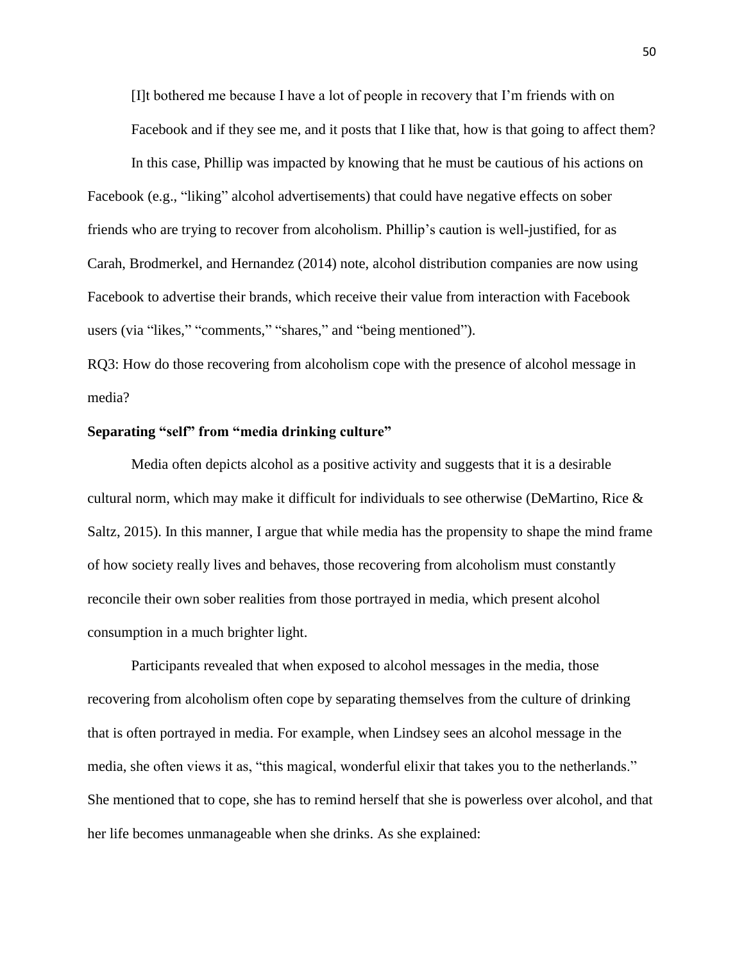[I]t bothered me because I have a lot of people in recovery that I'm friends with on Facebook and if they see me, and it posts that I like that, how is that going to affect them?

In this case, Phillip was impacted by knowing that he must be cautious of his actions on Facebook (e.g., "liking" alcohol advertisements) that could have negative effects on sober friends who are trying to recover from alcoholism. Phillip's caution is well-justified, for as Carah, Brodmerkel, and Hernandez (2014) note, alcohol distribution companies are now using Facebook to advertise their brands, which receive their value from interaction with Facebook users (via "likes," "comments," "shares," and "being mentioned").

RQ3: How do those recovering from alcoholism cope with the presence of alcohol message in media?

#### **Separating "self" from "media drinking culture"**

Media often depicts alcohol as a positive activity and suggests that it is a desirable cultural norm, which may make it difficult for individuals to see otherwise (DeMartino, Rice & Saltz, 2015). In this manner, I argue that while media has the propensity to shape the mind frame of how society really lives and behaves, those recovering from alcoholism must constantly reconcile their own sober realities from those portrayed in media, which present alcohol consumption in a much brighter light.

Participants revealed that when exposed to alcohol messages in the media, those recovering from alcoholism often cope by separating themselves from the culture of drinking that is often portrayed in media. For example, when Lindsey sees an alcohol message in the media, she often views it as, "this magical, wonderful elixir that takes you to the netherlands." She mentioned that to cope, she has to remind herself that she is powerless over alcohol, and that her life becomes unmanageable when she drinks. As she explained: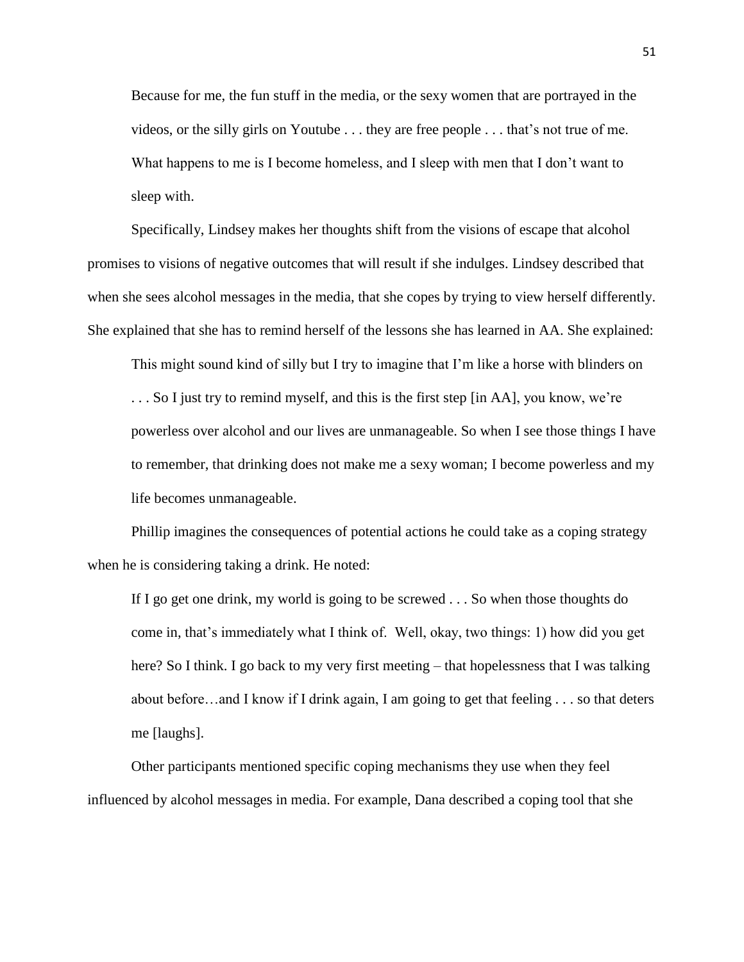Because for me, the fun stuff in the media, or the sexy women that are portrayed in the videos, or the silly girls on Youtube . . . they are free people . . . that's not true of me. What happens to me is I become homeless, and I sleep with men that I don't want to sleep with.

Specifically, Lindsey makes her thoughts shift from the visions of escape that alcohol promises to visions of negative outcomes that will result if she indulges. Lindsey described that when she sees alcohol messages in the media, that she copes by trying to view herself differently. She explained that she has to remind herself of the lessons she has learned in AA. She explained:

This might sound kind of silly but I try to imagine that I'm like a horse with blinders on

. . . So I just try to remind myself, and this is the first step [in AA], you know, we're powerless over alcohol and our lives are unmanageable. So when I see those things I have to remember, that drinking does not make me a sexy woman; I become powerless and my life becomes unmanageable.

Phillip imagines the consequences of potential actions he could take as a coping strategy when he is considering taking a drink. He noted:

If I go get one drink, my world is going to be screwed . . . So when those thoughts do come in, that's immediately what I think of. Well, okay, two things: 1) how did you get here? So I think. I go back to my very first meeting – that hopelessness that I was talking about before…and I know if I drink again, I am going to get that feeling . . . so that deters me [laughs].

Other participants mentioned specific coping mechanisms they use when they feel influenced by alcohol messages in media. For example, Dana described a coping tool that she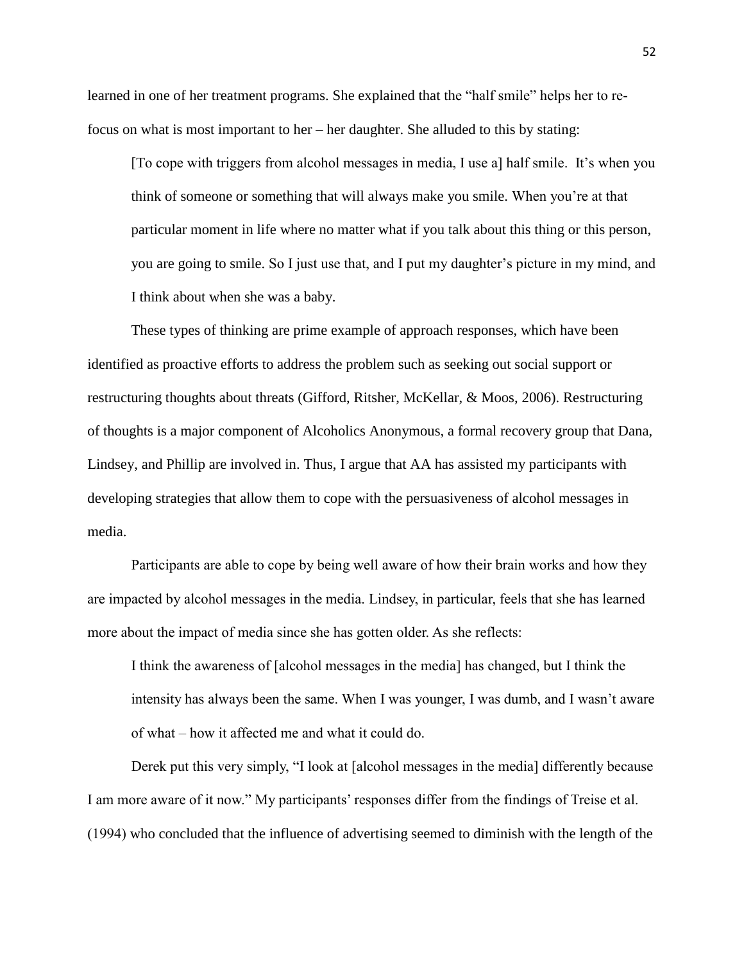learned in one of her treatment programs. She explained that the "half smile" helps her to refocus on what is most important to her – her daughter. She alluded to this by stating:

[To cope with triggers from alcohol messages in media, I use a] half smile. It's when you think of someone or something that will always make you smile. When you're at that particular moment in life where no matter what if you talk about this thing or this person, you are going to smile. So I just use that, and I put my daughter's picture in my mind, and I think about when she was a baby.

These types of thinking are prime example of approach responses, which have been identified as proactive efforts to address the problem such as seeking out social support or restructuring thoughts about threats (Gifford, Ritsher, McKellar, & Moos, 2006). Restructuring of thoughts is a major component of Alcoholics Anonymous, a formal recovery group that Dana, Lindsey, and Phillip are involved in. Thus, I argue that AA has assisted my participants with developing strategies that allow them to cope with the persuasiveness of alcohol messages in media.

Participants are able to cope by being well aware of how their brain works and how they are impacted by alcohol messages in the media. Lindsey, in particular, feels that she has learned more about the impact of media since she has gotten older. As she reflects:

I think the awareness of [alcohol messages in the media] has changed, but I think the intensity has always been the same. When I was younger, I was dumb, and I wasn't aware of what – how it affected me and what it could do.

Derek put this very simply, "I look at [alcohol messages in the media] differently because I am more aware of it now." My participants' responses differ from the findings of Treise et al. (1994) who concluded that the influence of advertising seemed to diminish with the length of the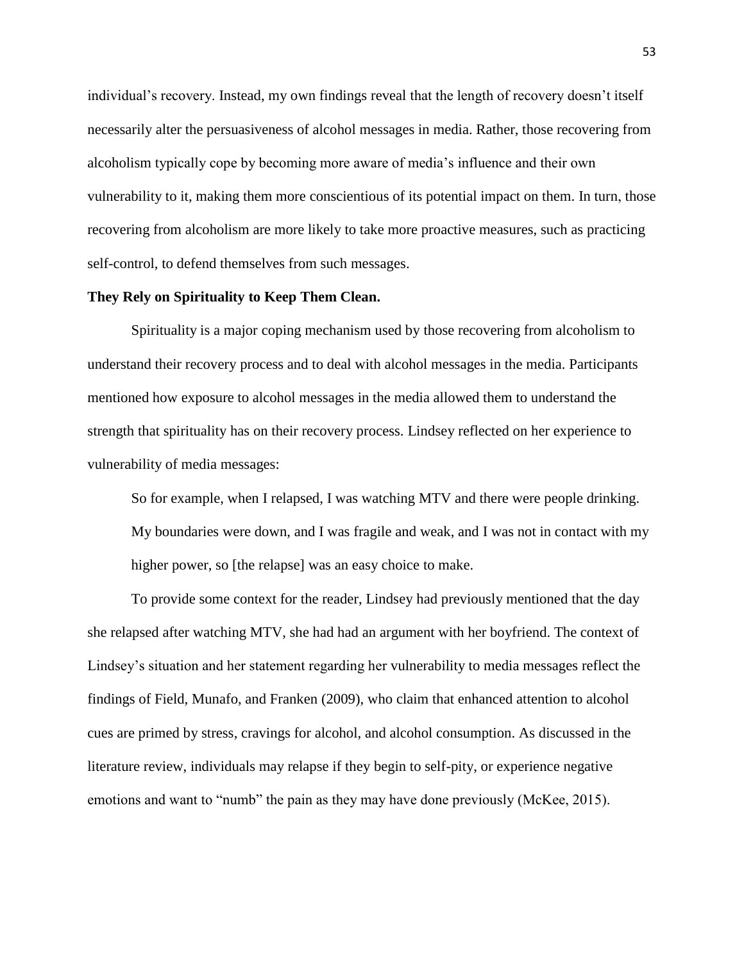individual's recovery. Instead, my own findings reveal that the length of recovery doesn't itself necessarily alter the persuasiveness of alcohol messages in media. Rather, those recovering from alcoholism typically cope by becoming more aware of media's influence and their own vulnerability to it, making them more conscientious of its potential impact on them. In turn, those recovering from alcoholism are more likely to take more proactive measures, such as practicing self-control, to defend themselves from such messages.

#### **They Rely on Spirituality to Keep Them Clean.**

Spirituality is a major coping mechanism used by those recovering from alcoholism to understand their recovery process and to deal with alcohol messages in the media. Participants mentioned how exposure to alcohol messages in the media allowed them to understand the strength that spirituality has on their recovery process. Lindsey reflected on her experience to vulnerability of media messages:

So for example, when I relapsed, I was watching MTV and there were people drinking. My boundaries were down, and I was fragile and weak, and I was not in contact with my higher power, so [the relapse] was an easy choice to make.

To provide some context for the reader, Lindsey had previously mentioned that the day she relapsed after watching MTV, she had had an argument with her boyfriend. The context of Lindsey's situation and her statement regarding her vulnerability to media messages reflect the findings of Field, Munafo, and Franken (2009), who claim that enhanced attention to alcohol cues are primed by stress, cravings for alcohol, and alcohol consumption. As discussed in the literature review, individuals may relapse if they begin to self-pity, or experience negative emotions and want to "numb" the pain as they may have done previously (McKee, 2015).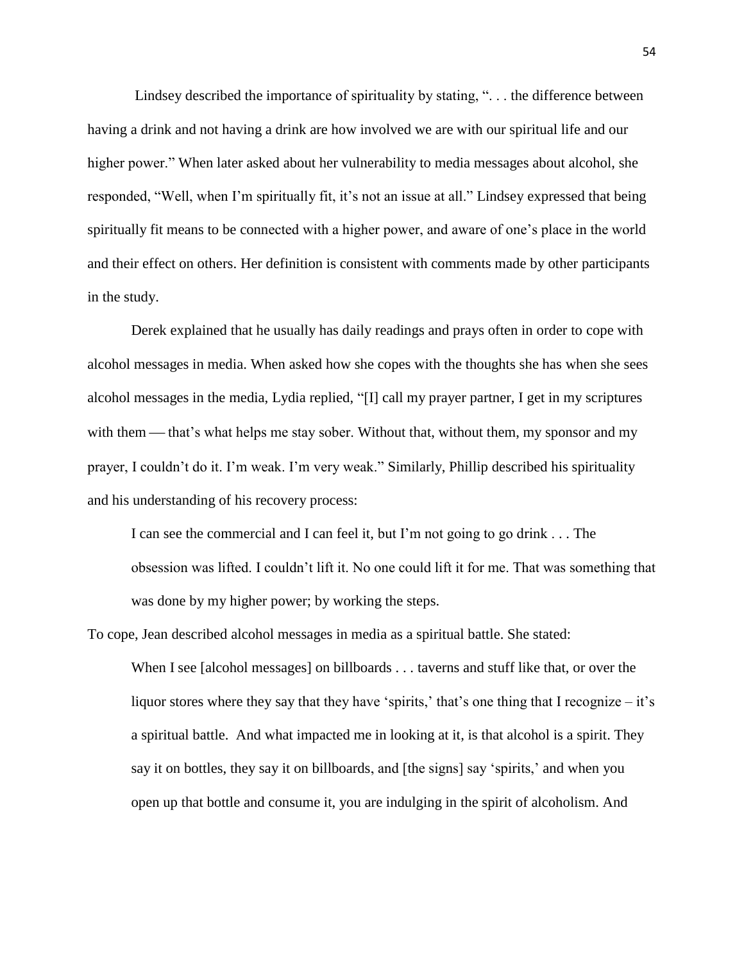Lindsey described the importance of spirituality by stating, ". . . the difference between having a drink and not having a drink are how involved we are with our spiritual life and our higher power." When later asked about her vulnerability to media messages about alcohol, she responded, "Well, when I'm spiritually fit, it's not an issue at all." Lindsey expressed that being spiritually fit means to be connected with a higher power, and aware of one's place in the world and their effect on others. Her definition is consistent with comments made by other participants in the study.

Derek explained that he usually has daily readings and prays often in order to cope with alcohol messages in media. When asked how she copes with the thoughts she has when she sees alcohol messages in the media, Lydia replied, "[I] call my prayer partner, I get in my scriptures with them — that's what helps me stay sober. Without that, without them, my sponsor and my prayer, I couldn't do it. I'm weak. I'm very weak." Similarly, Phillip described his spirituality and his understanding of his recovery process:

I can see the commercial and I can feel it, but I'm not going to go drink . . . The obsession was lifted. I couldn't lift it. No one could lift it for me. That was something that was done by my higher power; by working the steps.

To cope, Jean described alcohol messages in media as a spiritual battle. She stated:

When I see [alcohol messages] on billboards . . . taverns and stuff like that, or over the liquor stores where they say that they have 'spirits,' that's one thing that I recognize – it's a spiritual battle. And what impacted me in looking at it, is that alcohol is a spirit. They say it on bottles, they say it on billboards, and [the signs] say 'spirits,' and when you open up that bottle and consume it, you are indulging in the spirit of alcoholism. And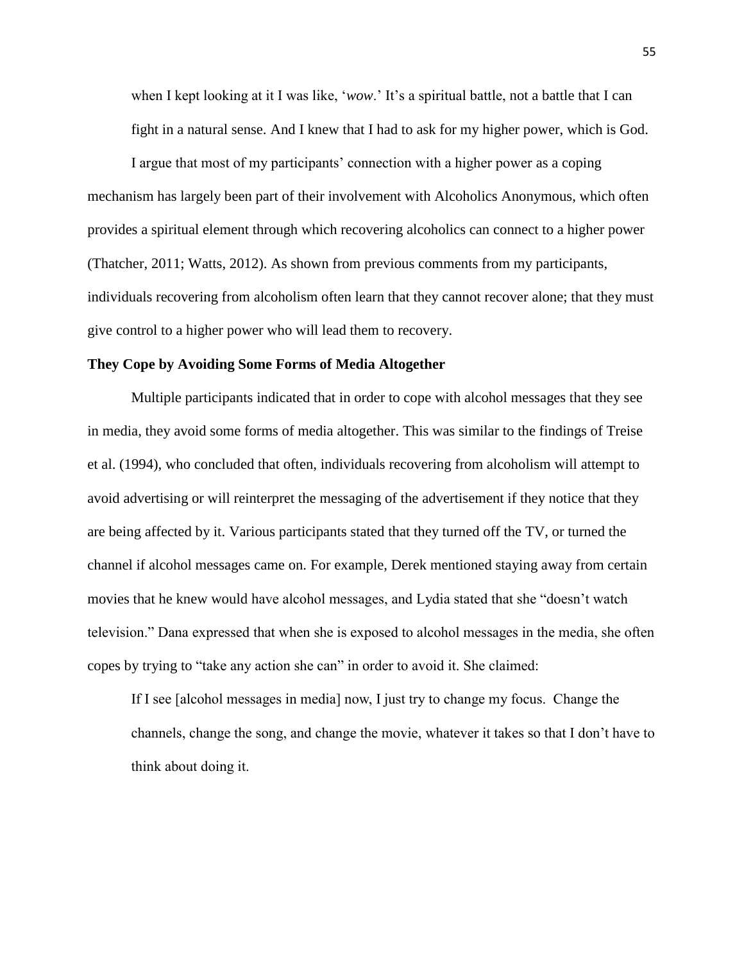when I kept looking at it I was like, '*wow*.' It's a spiritual battle, not a battle that I can fight in a natural sense. And I knew that I had to ask for my higher power, which is God.

I argue that most of my participants' connection with a higher power as a coping mechanism has largely been part of their involvement with Alcoholics Anonymous, which often provides a spiritual element through which recovering alcoholics can connect to a higher power (Thatcher, 2011; Watts, 2012). As shown from previous comments from my participants, individuals recovering from alcoholism often learn that they cannot recover alone; that they must give control to a higher power who will lead them to recovery.

#### **They Cope by Avoiding Some Forms of Media Altogether**

Multiple participants indicated that in order to cope with alcohol messages that they see in media, they avoid some forms of media altogether. This was similar to the findings of Treise et al. (1994), who concluded that often, individuals recovering from alcoholism will attempt to avoid advertising or will reinterpret the messaging of the advertisement if they notice that they are being affected by it. Various participants stated that they turned off the TV, or turned the channel if alcohol messages came on. For example, Derek mentioned staying away from certain movies that he knew would have alcohol messages, and Lydia stated that she "doesn't watch television." Dana expressed that when she is exposed to alcohol messages in the media, she often copes by trying to "take any action she can" in order to avoid it. She claimed:

If I see [alcohol messages in media] now, I just try to change my focus. Change the channels, change the song, and change the movie, whatever it takes so that I don't have to think about doing it.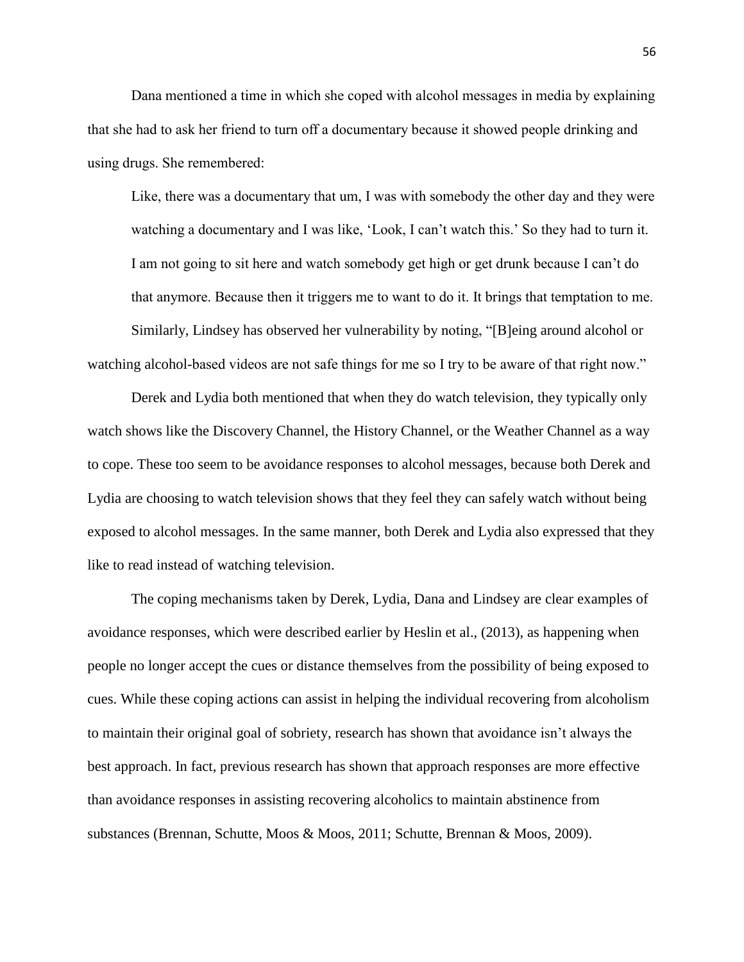Dana mentioned a time in which she coped with alcohol messages in media by explaining that she had to ask her friend to turn off a documentary because it showed people drinking and using drugs. She remembered:

Like, there was a documentary that um, I was with somebody the other day and they were watching a documentary and I was like, 'Look, I can't watch this.' So they had to turn it. I am not going to sit here and watch somebody get high or get drunk because I can't do that anymore. Because then it triggers me to want to do it. It brings that temptation to me. Similarly, Lindsey has observed her vulnerability by noting, "[B]eing around alcohol or

watching alcohol-based videos are not safe things for me so I try to be aware of that right now."

Derek and Lydia both mentioned that when they do watch television, they typically only watch shows like the Discovery Channel, the History Channel, or the Weather Channel as a way to cope. These too seem to be avoidance responses to alcohol messages, because both Derek and Lydia are choosing to watch television shows that they feel they can safely watch without being exposed to alcohol messages. In the same manner, both Derek and Lydia also expressed that they like to read instead of watching television.

The coping mechanisms taken by Derek, Lydia, Dana and Lindsey are clear examples of avoidance responses, which were described earlier by Heslin et al., (2013), as happening when people no longer accept the cues or distance themselves from the possibility of being exposed to cues. While these coping actions can assist in helping the individual recovering from alcoholism to maintain their original goal of sobriety, research has shown that avoidance isn't always the best approach. In fact, previous research has shown that approach responses are more effective than avoidance responses in assisting recovering alcoholics to maintain abstinence from substances (Brennan, Schutte, Moos & Moos, 2011; Schutte, Brennan & Moos, 2009).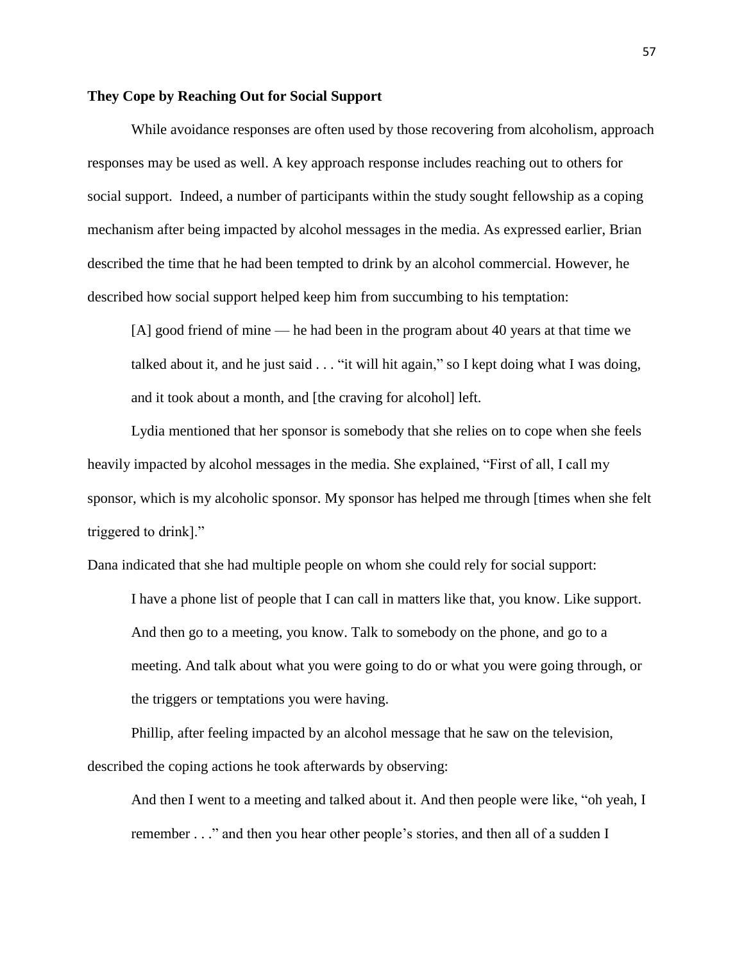## **They Cope by Reaching Out for Social Support**

While avoidance responses are often used by those recovering from alcoholism, approach responses may be used as well. A key approach response includes reaching out to others for social support. Indeed, a number of participants within the study sought fellowship as a coping mechanism after being impacted by alcohol messages in the media. As expressed earlier, Brian described the time that he had been tempted to drink by an alcohol commercial. However, he described how social support helped keep him from succumbing to his temptation:

[A] good friend of mine — he had been in the program about 40 years at that time we talked about it, and he just said  $\ldots$  "it will hit again," so I kept doing what I was doing, and it took about a month, and [the craving for alcohol] left.

Lydia mentioned that her sponsor is somebody that she relies on to cope when she feels heavily impacted by alcohol messages in the media. She explained, "First of all, I call my sponsor, which is my alcoholic sponsor. My sponsor has helped me through [times when she felt triggered to drink]."

Dana indicated that she had multiple people on whom she could rely for social support:

I have a phone list of people that I can call in matters like that, you know. Like support. And then go to a meeting, you know. Talk to somebody on the phone, and go to a meeting. And talk about what you were going to do or what you were going through, or the triggers or temptations you were having.

Phillip, after feeling impacted by an alcohol message that he saw on the television, described the coping actions he took afterwards by observing:

And then I went to a meeting and talked about it. And then people were like, "oh yeah, I remember . . ." and then you hear other people's stories, and then all of a sudden I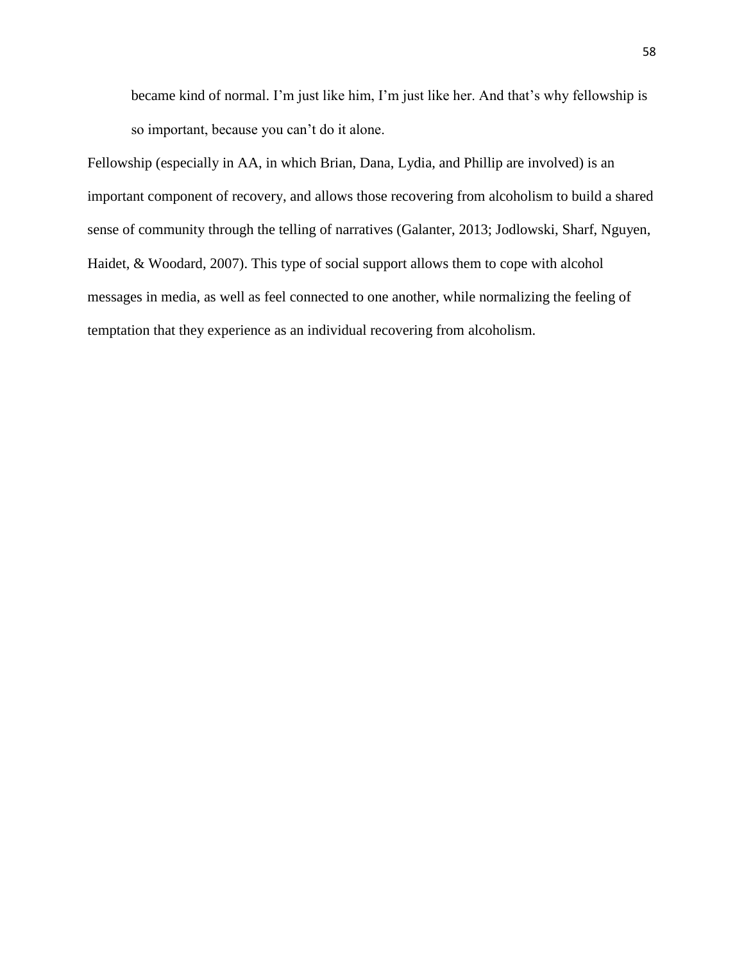became kind of normal. I'm just like him, I'm just like her. And that's why fellowship is so important, because you can't do it alone.

Fellowship (especially in AA, in which Brian, Dana, Lydia, and Phillip are involved) is an important component of recovery, and allows those recovering from alcoholism to build a shared sense of community through the telling of narratives (Galanter, 2013; Jodlowski, Sharf, Nguyen, Haidet, & Woodard, 2007). This type of social support allows them to cope with alcohol messages in media, as well as feel connected to one another, while normalizing the feeling of temptation that they experience as an individual recovering from alcoholism.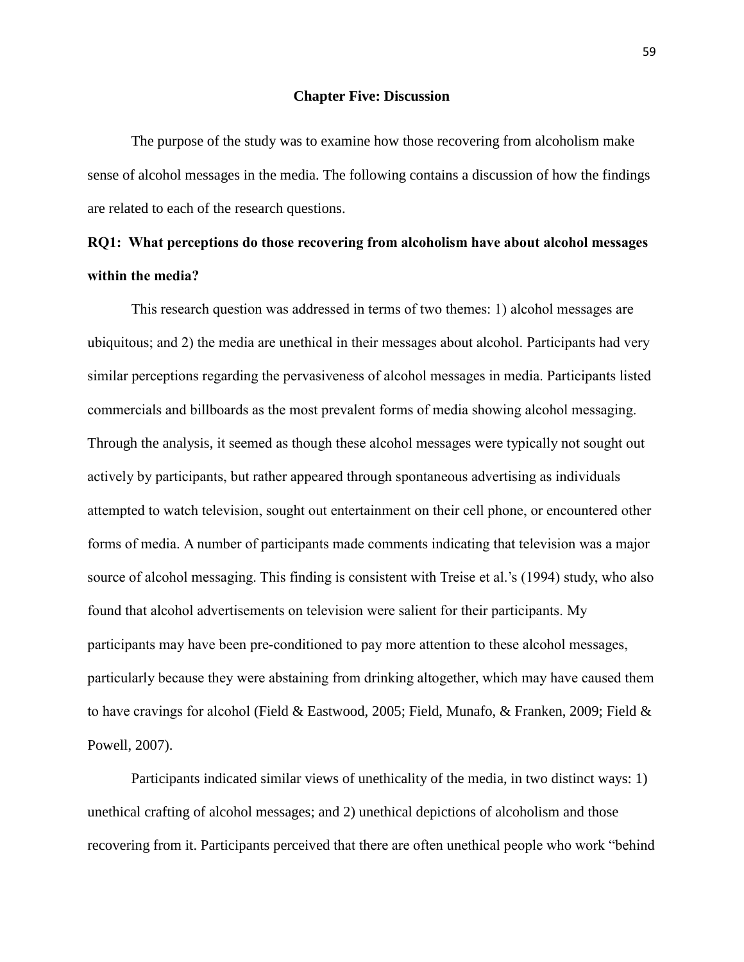#### **Chapter Five: Discussion**

The purpose of the study was to examine how those recovering from alcoholism make sense of alcohol messages in the media. The following contains a discussion of how the findings are related to each of the research questions.

## **RQ1: What perceptions do those recovering from alcoholism have about alcohol messages within the media?**

This research question was addressed in terms of two themes: 1) alcohol messages are ubiquitous; and 2) the media are unethical in their messages about alcohol. Participants had very similar perceptions regarding the pervasiveness of alcohol messages in media. Participants listed commercials and billboards as the most prevalent forms of media showing alcohol messaging. Through the analysis, it seemed as though these alcohol messages were typically not sought out actively by participants, but rather appeared through spontaneous advertising as individuals attempted to watch television, sought out entertainment on their cell phone, or encountered other forms of media. A number of participants made comments indicating that television was a major source of alcohol messaging. This finding is consistent with Treise et al.'s (1994) study, who also found that alcohol advertisements on television were salient for their participants. My participants may have been pre-conditioned to pay more attention to these alcohol messages, particularly because they were abstaining from drinking altogether, which may have caused them to have cravings for alcohol (Field & Eastwood, 2005; Field, Munafo, & Franken, 2009; Field & Powell, 2007).

Participants indicated similar views of unethicality of the media, in two distinct ways: 1) unethical crafting of alcohol messages; and 2) unethical depictions of alcoholism and those recovering from it. Participants perceived that there are often unethical people who work "behind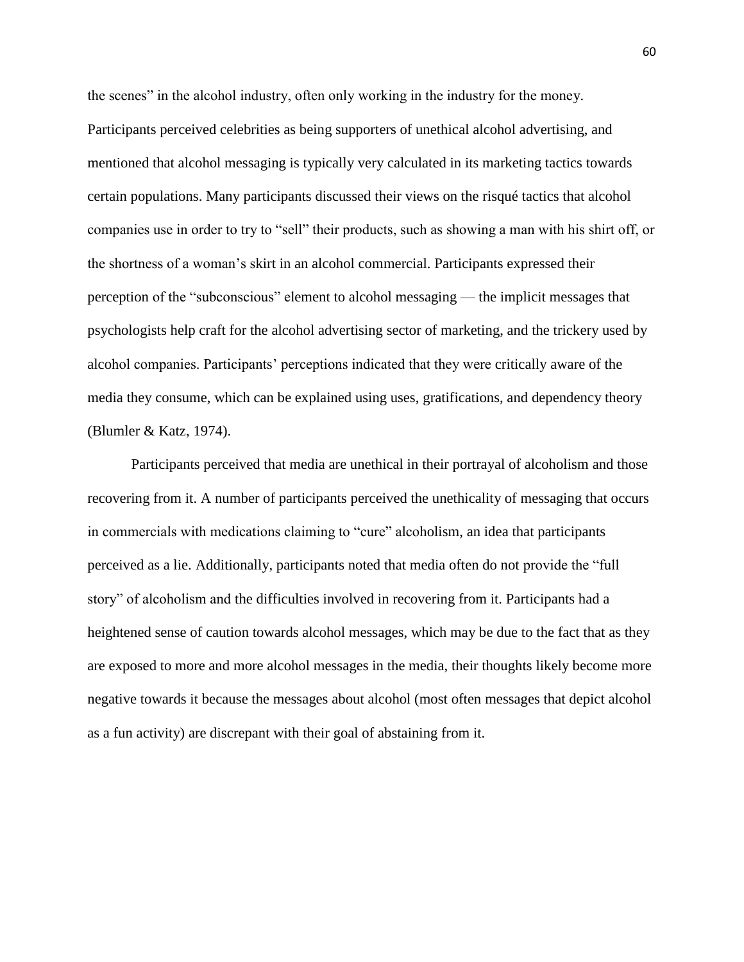the scenes" in the alcohol industry, often only working in the industry for the money. Participants perceived celebrities as being supporters of unethical alcohol advertising, and mentioned that alcohol messaging is typically very calculated in its marketing tactics towards certain populations. Many participants discussed their views on the risqué tactics that alcohol companies use in order to try to "sell" their products, such as showing a man with his shirt off, or the shortness of a woman's skirt in an alcohol commercial. Participants expressed their perception of the "subconscious" element to alcohol messaging — the implicit messages that psychologists help craft for the alcohol advertising sector of marketing, and the trickery used by alcohol companies. Participants' perceptions indicated that they were critically aware of the media they consume, which can be explained using uses, gratifications, and dependency theory (Blumler & Katz, 1974).

Participants perceived that media are unethical in their portrayal of alcoholism and those recovering from it. A number of participants perceived the unethicality of messaging that occurs in commercials with medications claiming to "cure" alcoholism, an idea that participants perceived as a lie. Additionally, participants noted that media often do not provide the "full story" of alcoholism and the difficulties involved in recovering from it. Participants had a heightened sense of caution towards alcohol messages, which may be due to the fact that as they are exposed to more and more alcohol messages in the media, their thoughts likely become more negative towards it because the messages about alcohol (most often messages that depict alcohol as a fun activity) are discrepant with their goal of abstaining from it.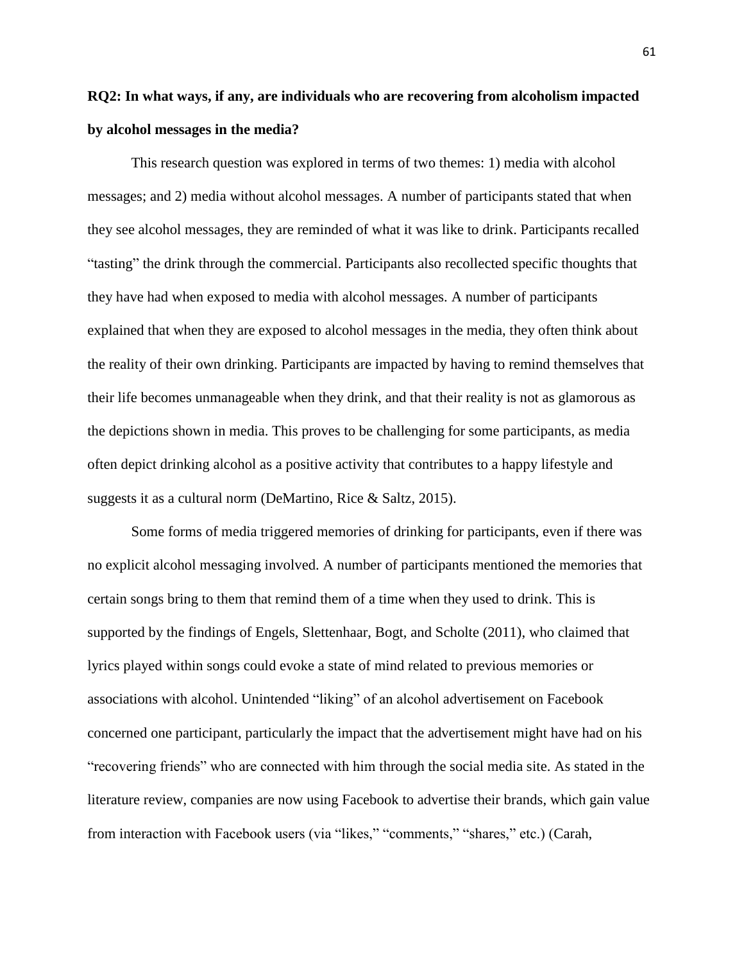# **RQ2: In what ways, if any, are individuals who are recovering from alcoholism impacted by alcohol messages in the media?**

This research question was explored in terms of two themes: 1) media with alcohol messages; and 2) media without alcohol messages. A number of participants stated that when they see alcohol messages, they are reminded of what it was like to drink. Participants recalled "tasting" the drink through the commercial. Participants also recollected specific thoughts that they have had when exposed to media with alcohol messages. A number of participants explained that when they are exposed to alcohol messages in the media, they often think about the reality of their own drinking. Participants are impacted by having to remind themselves that their life becomes unmanageable when they drink, and that their reality is not as glamorous as the depictions shown in media. This proves to be challenging for some participants, as media often depict drinking alcohol as a positive activity that contributes to a happy lifestyle and suggests it as a cultural norm (DeMartino, Rice & Saltz, 2015).

Some forms of media triggered memories of drinking for participants, even if there was no explicit alcohol messaging involved. A number of participants mentioned the memories that certain songs bring to them that remind them of a time when they used to drink. This is supported by the findings of Engels, Slettenhaar, Bogt, and Scholte (2011), who claimed that lyrics played within songs could evoke a state of mind related to previous memories or associations with alcohol. Unintended "liking" of an alcohol advertisement on Facebook concerned one participant, particularly the impact that the advertisement might have had on his "recovering friends" who are connected with him through the social media site. As stated in the literature review, companies are now using Facebook to advertise their brands, which gain value from interaction with Facebook users (via "likes," "comments," "shares," etc.) (Carah,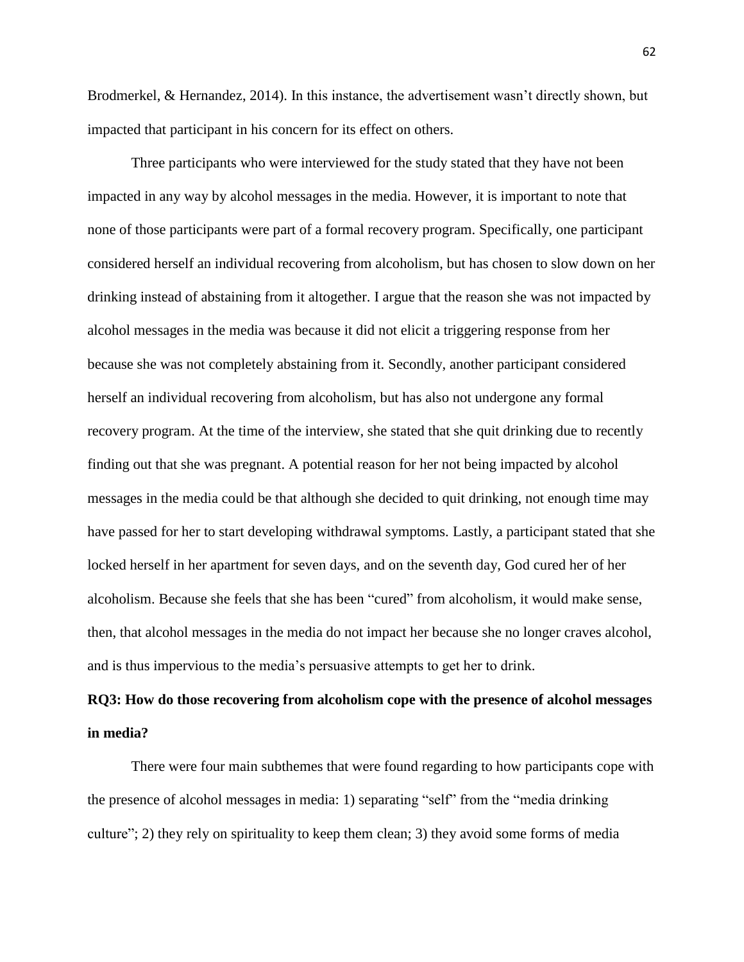Brodmerkel, & Hernandez, 2014). In this instance, the advertisement wasn't directly shown, but impacted that participant in his concern for its effect on others.

Three participants who were interviewed for the study stated that they have not been impacted in any way by alcohol messages in the media. However, it is important to note that none of those participants were part of a formal recovery program. Specifically, one participant considered herself an individual recovering from alcoholism, but has chosen to slow down on her drinking instead of abstaining from it altogether. I argue that the reason she was not impacted by alcohol messages in the media was because it did not elicit a triggering response from her because she was not completely abstaining from it. Secondly, another participant considered herself an individual recovering from alcoholism, but has also not undergone any formal recovery program. At the time of the interview, she stated that she quit drinking due to recently finding out that she was pregnant. A potential reason for her not being impacted by alcohol messages in the media could be that although she decided to quit drinking, not enough time may have passed for her to start developing withdrawal symptoms. Lastly, a participant stated that she locked herself in her apartment for seven days, and on the seventh day, God cured her of her alcoholism. Because she feels that she has been "cured" from alcoholism, it would make sense, then, that alcohol messages in the media do not impact her because she no longer craves alcohol, and is thus impervious to the media's persuasive attempts to get her to drink.

## **RQ3: How do those recovering from alcoholism cope with the presence of alcohol messages in media?**

There were four main subthemes that were found regarding to how participants cope with the presence of alcohol messages in media: 1) separating "self" from the "media drinking culture"; 2) they rely on spirituality to keep them clean; 3) they avoid some forms of media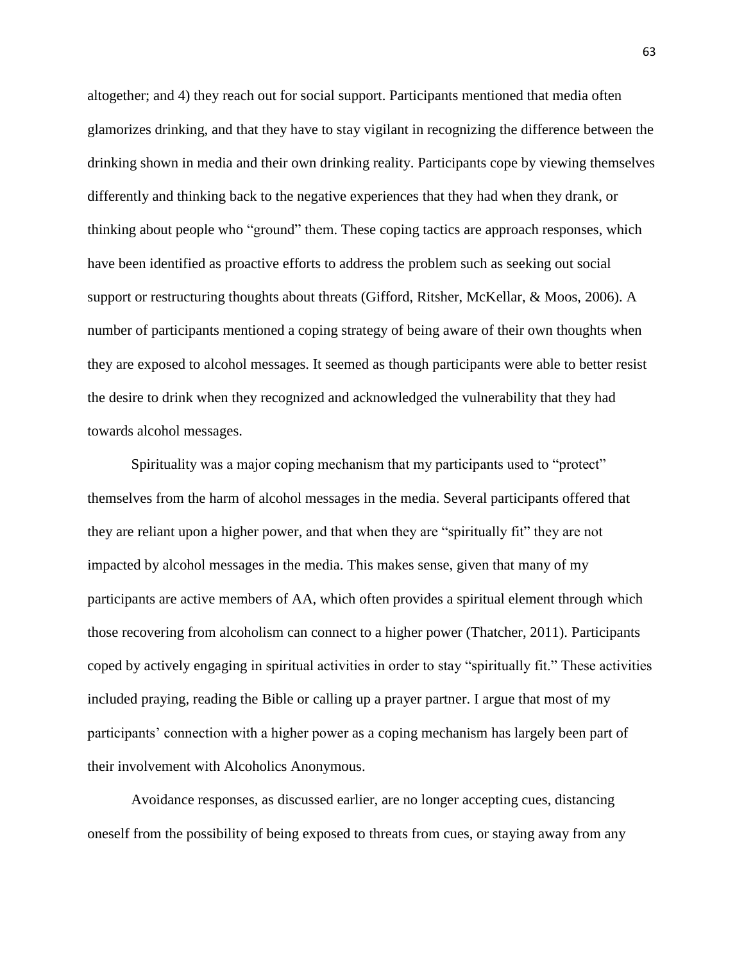altogether; and 4) they reach out for social support. Participants mentioned that media often glamorizes drinking, and that they have to stay vigilant in recognizing the difference between the drinking shown in media and their own drinking reality. Participants cope by viewing themselves differently and thinking back to the negative experiences that they had when they drank, or thinking about people who "ground" them. These coping tactics are approach responses, which have been identified as proactive efforts to address the problem such as seeking out social support or restructuring thoughts about threats (Gifford, Ritsher, McKellar, & Moos, 2006). A number of participants mentioned a coping strategy of being aware of their own thoughts when they are exposed to alcohol messages. It seemed as though participants were able to better resist the desire to drink when they recognized and acknowledged the vulnerability that they had towards alcohol messages.

Spirituality was a major coping mechanism that my participants used to "protect" themselves from the harm of alcohol messages in the media. Several participants offered that they are reliant upon a higher power, and that when they are "spiritually fit" they are not impacted by alcohol messages in the media. This makes sense, given that many of my participants are active members of AA, which often provides a spiritual element through which those recovering from alcoholism can connect to a higher power (Thatcher, 2011). Participants coped by actively engaging in spiritual activities in order to stay "spiritually fit." These activities included praying, reading the Bible or calling up a prayer partner. I argue that most of my participants' connection with a higher power as a coping mechanism has largely been part of their involvement with Alcoholics Anonymous.

Avoidance responses, as discussed earlier, are no longer accepting cues, distancing oneself from the possibility of being exposed to threats from cues, or staying away from any 63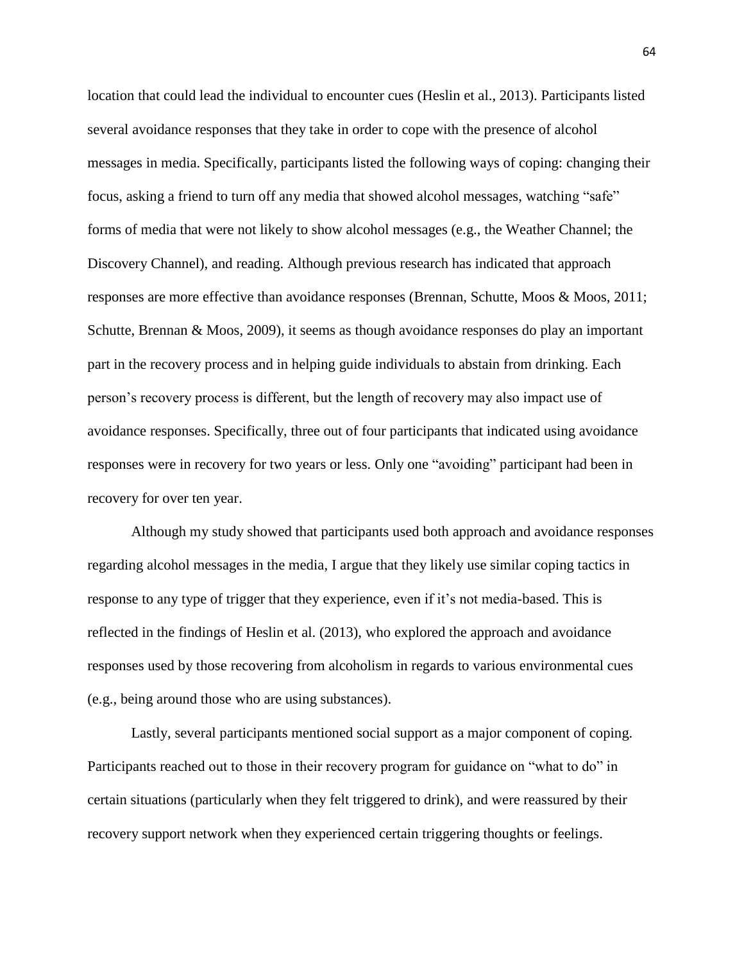location that could lead the individual to encounter cues (Heslin et al., 2013). Participants listed several avoidance responses that they take in order to cope with the presence of alcohol messages in media. Specifically, participants listed the following ways of coping: changing their focus, asking a friend to turn off any media that showed alcohol messages, watching "safe" forms of media that were not likely to show alcohol messages (e.g., the Weather Channel; the Discovery Channel), and reading. Although previous research has indicated that approach responses are more effective than avoidance responses (Brennan, Schutte, Moos & Moos, 2011; Schutte, Brennan & Moos, 2009), it seems as though avoidance responses do play an important part in the recovery process and in helping guide individuals to abstain from drinking. Each person's recovery process is different, but the length of recovery may also impact use of avoidance responses. Specifically, three out of four participants that indicated using avoidance responses were in recovery for two years or less. Only one "avoiding" participant had been in recovery for over ten year.

Although my study showed that participants used both approach and avoidance responses regarding alcohol messages in the media, I argue that they likely use similar coping tactics in response to any type of trigger that they experience, even if it's not media-based. This is reflected in the findings of Heslin et al. (2013), who explored the approach and avoidance responses used by those recovering from alcoholism in regards to various environmental cues (e.g., being around those who are using substances).

Lastly, several participants mentioned social support as a major component of coping. Participants reached out to those in their recovery program for guidance on "what to do" in certain situations (particularly when they felt triggered to drink), and were reassured by their recovery support network when they experienced certain triggering thoughts or feelings.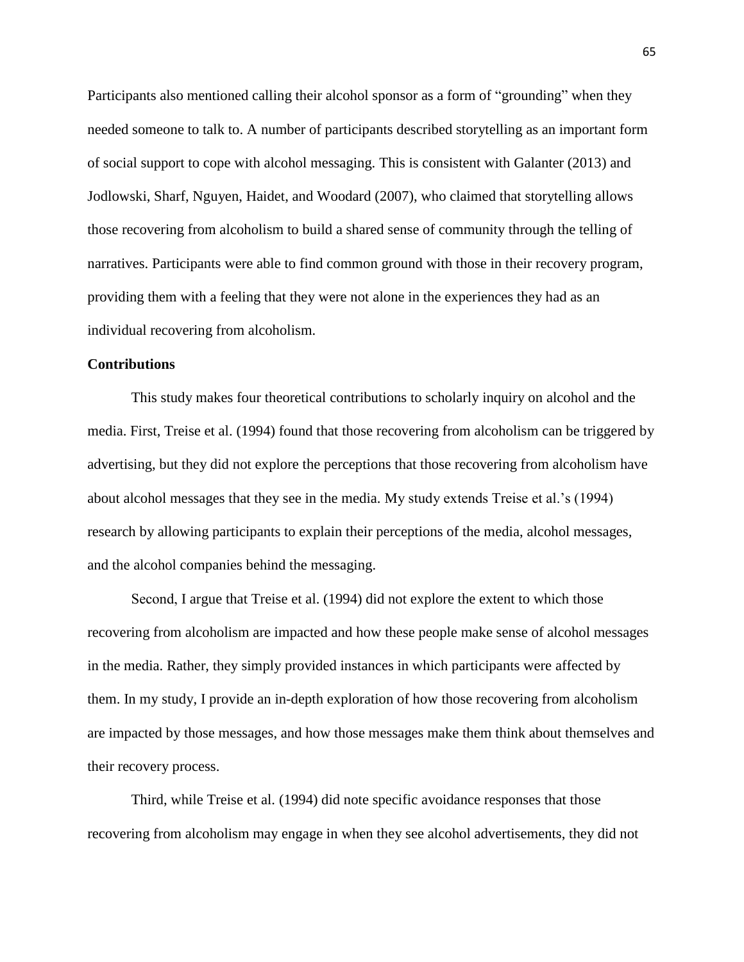Participants also mentioned calling their alcohol sponsor as a form of "grounding" when they needed someone to talk to. A number of participants described storytelling as an important form of social support to cope with alcohol messaging. This is consistent with Galanter (2013) and Jodlowski, Sharf, Nguyen, Haidet, and Woodard (2007), who claimed that storytelling allows those recovering from alcoholism to build a shared sense of community through the telling of narratives. Participants were able to find common ground with those in their recovery program, providing them with a feeling that they were not alone in the experiences they had as an individual recovering from alcoholism.

#### **Contributions**

This study makes four theoretical contributions to scholarly inquiry on alcohol and the media. First, Treise et al. (1994) found that those recovering from alcoholism can be triggered by advertising, but they did not explore the perceptions that those recovering from alcoholism have about alcohol messages that they see in the media. My study extends Treise et al.'s (1994) research by allowing participants to explain their perceptions of the media, alcohol messages, and the alcohol companies behind the messaging.

Second, I argue that Treise et al. (1994) did not explore the extent to which those recovering from alcoholism are impacted and how these people make sense of alcohol messages in the media. Rather, they simply provided instances in which participants were affected by them. In my study, I provide an in-depth exploration of how those recovering from alcoholism are impacted by those messages, and how those messages make them think about themselves and their recovery process.

Third, while Treise et al. (1994) did note specific avoidance responses that those recovering from alcoholism may engage in when they see alcohol advertisements, they did not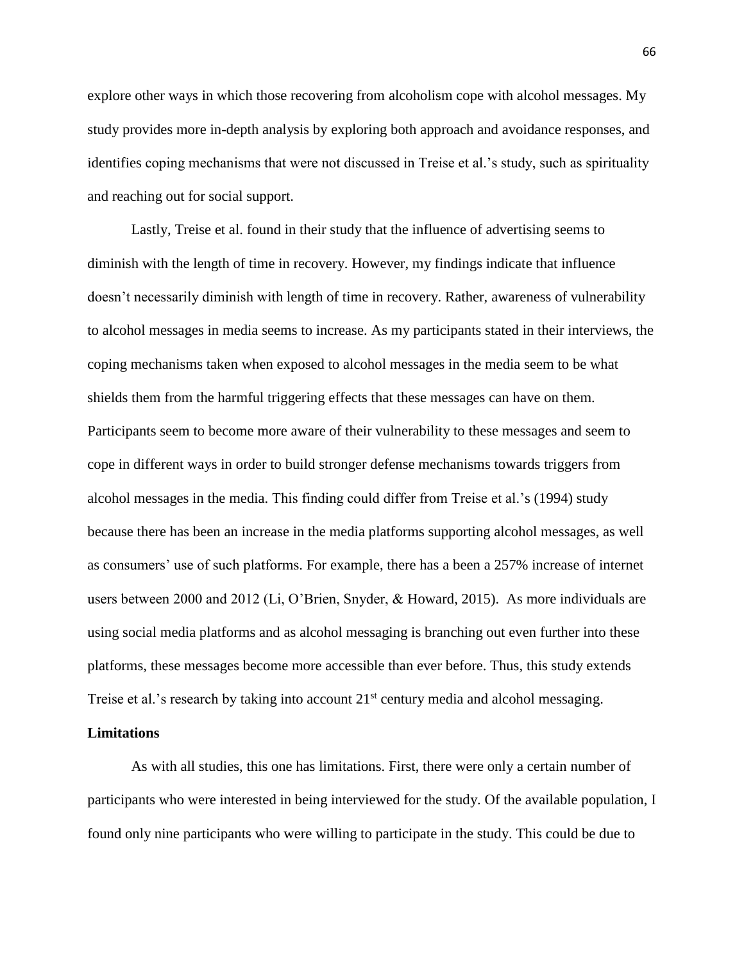explore other ways in which those recovering from alcoholism cope with alcohol messages. My study provides more in-depth analysis by exploring both approach and avoidance responses, and identifies coping mechanisms that were not discussed in Treise et al.'s study, such as spirituality and reaching out for social support.

Lastly, Treise et al. found in their study that the influence of advertising seems to diminish with the length of time in recovery. However, my findings indicate that influence doesn't necessarily diminish with length of time in recovery. Rather, awareness of vulnerability to alcohol messages in media seems to increase. As my participants stated in their interviews, the coping mechanisms taken when exposed to alcohol messages in the media seem to be what shields them from the harmful triggering effects that these messages can have on them. Participants seem to become more aware of their vulnerability to these messages and seem to cope in different ways in order to build stronger defense mechanisms towards triggers from alcohol messages in the media. This finding could differ from Treise et al.'s (1994) study because there has been an increase in the media platforms supporting alcohol messages, as well as consumers' use of such platforms. For example, there has a been a 257% increase of internet users between 2000 and 2012 (Li, O'Brien, Snyder, & Howard, 2015). As more individuals are using social media platforms and as alcohol messaging is branching out even further into these platforms, these messages become more accessible than ever before. Thus, this study extends Treise et al.'s research by taking into account 21<sup>st</sup> century media and alcohol messaging.

#### **Limitations**

As with all studies, this one has limitations. First, there were only a certain number of participants who were interested in being interviewed for the study. Of the available population, I found only nine participants who were willing to participate in the study. This could be due to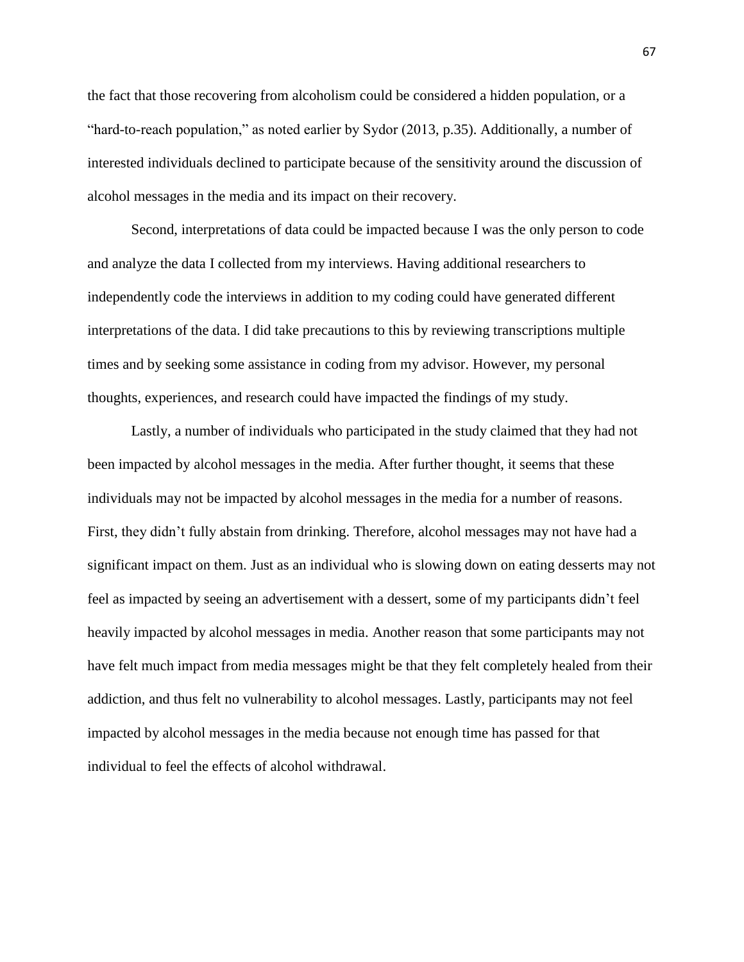the fact that those recovering from alcoholism could be considered a hidden population, or a "hard-to-reach population," as noted earlier by Sydor (2013, p.35). Additionally, a number of interested individuals declined to participate because of the sensitivity around the discussion of alcohol messages in the media and its impact on their recovery.

Second, interpretations of data could be impacted because I was the only person to code and analyze the data I collected from my interviews. Having additional researchers to independently code the interviews in addition to my coding could have generated different interpretations of the data. I did take precautions to this by reviewing transcriptions multiple times and by seeking some assistance in coding from my advisor. However, my personal thoughts, experiences, and research could have impacted the findings of my study.

Lastly, a number of individuals who participated in the study claimed that they had not been impacted by alcohol messages in the media. After further thought, it seems that these individuals may not be impacted by alcohol messages in the media for a number of reasons. First, they didn't fully abstain from drinking. Therefore, alcohol messages may not have had a significant impact on them. Just as an individual who is slowing down on eating desserts may not feel as impacted by seeing an advertisement with a dessert, some of my participants didn't feel heavily impacted by alcohol messages in media. Another reason that some participants may not have felt much impact from media messages might be that they felt completely healed from their addiction, and thus felt no vulnerability to alcohol messages. Lastly, participants may not feel impacted by alcohol messages in the media because not enough time has passed for that individual to feel the effects of alcohol withdrawal.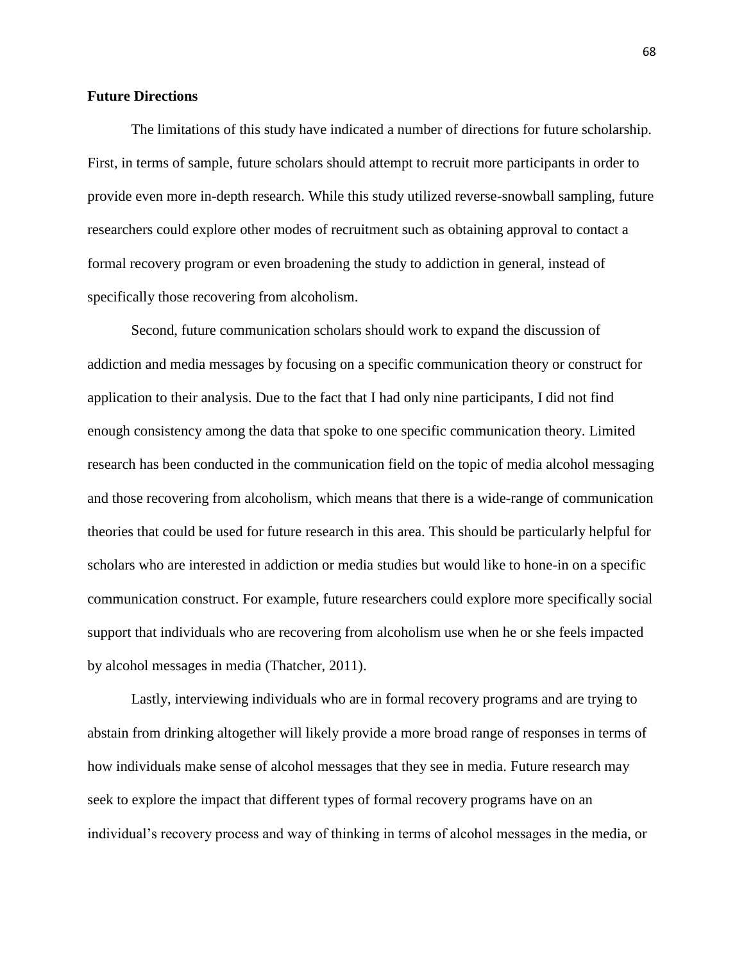## **Future Directions**

The limitations of this study have indicated a number of directions for future scholarship. First, in terms of sample, future scholars should attempt to recruit more participants in order to provide even more in-depth research. While this study utilized reverse-snowball sampling, future researchers could explore other modes of recruitment such as obtaining approval to contact a formal recovery program or even broadening the study to addiction in general, instead of specifically those recovering from alcoholism.

Second, future communication scholars should work to expand the discussion of addiction and media messages by focusing on a specific communication theory or construct for application to their analysis. Due to the fact that I had only nine participants, I did not find enough consistency among the data that spoke to one specific communication theory. Limited research has been conducted in the communication field on the topic of media alcohol messaging and those recovering from alcoholism, which means that there is a wide-range of communication theories that could be used for future research in this area. This should be particularly helpful for scholars who are interested in addiction or media studies but would like to hone-in on a specific communication construct. For example, future researchers could explore more specifically social support that individuals who are recovering from alcoholism use when he or she feels impacted by alcohol messages in media (Thatcher, 2011).

Lastly, interviewing individuals who are in formal recovery programs and are trying to abstain from drinking altogether will likely provide a more broad range of responses in terms of how individuals make sense of alcohol messages that they see in media. Future research may seek to explore the impact that different types of formal recovery programs have on an individual's recovery process and way of thinking in terms of alcohol messages in the media, or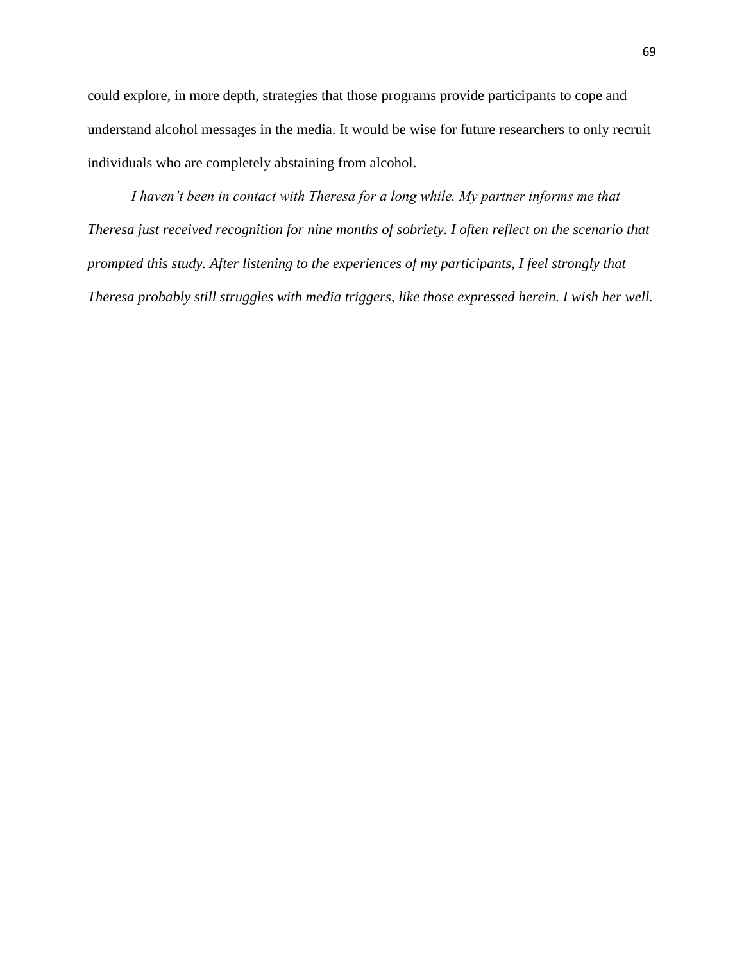could explore, in more depth, strategies that those programs provide participants to cope and understand alcohol messages in the media. It would be wise for future researchers to only recruit individuals who are completely abstaining from alcohol.

*I haven't been in contact with Theresa for a long while. My partner informs me that Theresa just received recognition for nine months of sobriety. I often reflect on the scenario that prompted this study. After listening to the experiences of my participants, I feel strongly that Theresa probably still struggles with media triggers, like those expressed herein. I wish her well.*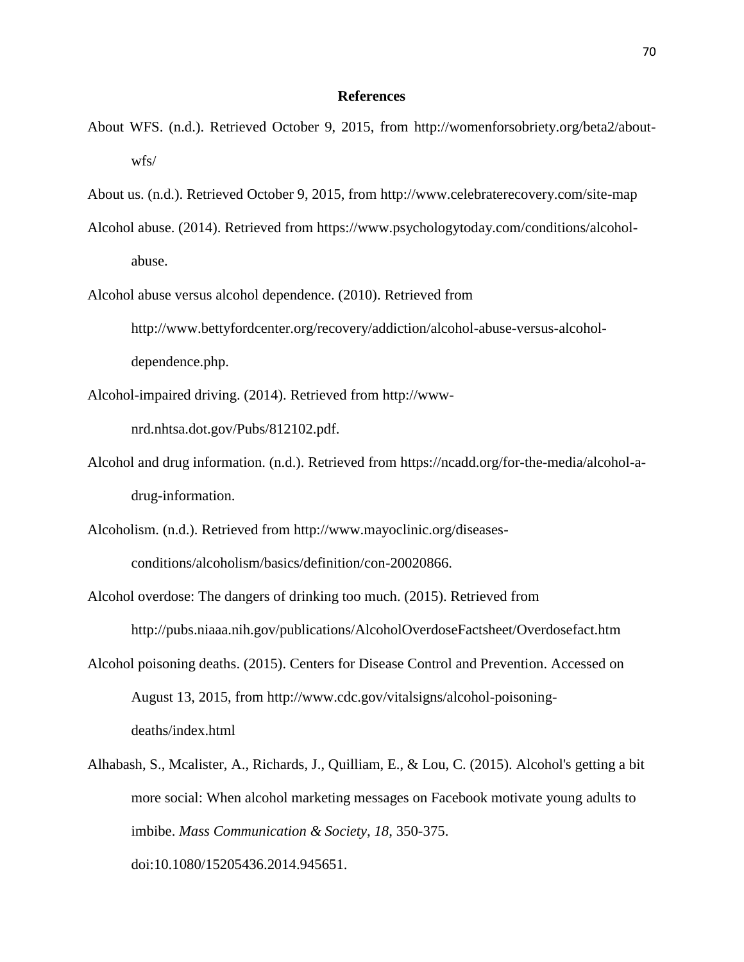#### **References**

- About WFS. (n.d.). Retrieved October 9, 2015, from http://womenforsobriety.org/beta2/aboutwfs/
- About us. (n.d.). Retrieved October 9, 2015, from http://www.celebraterecovery.com/site-map
- Alcohol abuse. (2014). Retrieved from https://www.psychologytoday.com/conditions/alcoholabuse.
- Alcohol abuse versus alcohol dependence. (2010). Retrieved from http://www.bettyfordcenter.org/recovery/addiction/alcohol-abuse-versus-alcoholdependence.php.
- Alcohol-impaired driving. (2014). Retrieved from http://www-

nrd.nhtsa.dot.gov/Pubs/812102.pdf.

- Alcohol and drug information. (n.d.). Retrieved from https://ncadd.org/for-the-media/alcohol-adrug-information.
- Alcoholism. (n.d.). Retrieved from http://www.mayoclinic.org/diseasesconditions/alcoholism/basics/definition/con-20020866.
- Alcohol overdose: The dangers of drinking too much. (2015). Retrieved from http://pubs.niaaa.nih.gov/publications/AlcoholOverdoseFactsheet/Overdosefact.htm
- Alcohol poisoning deaths. (2015). Centers for Disease Control and Prevention. Accessed on August 13, 2015, from http://www.cdc.gov/vitalsigns/alcohol-poisoningdeaths/index.html
- Alhabash, S., Mcalister, A., Richards, J., Quilliam, E., & Lou, C. (2015). Alcohol's getting a bit more social: When alcohol marketing messages on Facebook motivate young adults to imbibe. *Mass Communication & Society, 18,* 350-375. doi:10.1080/15205436.2014.945651.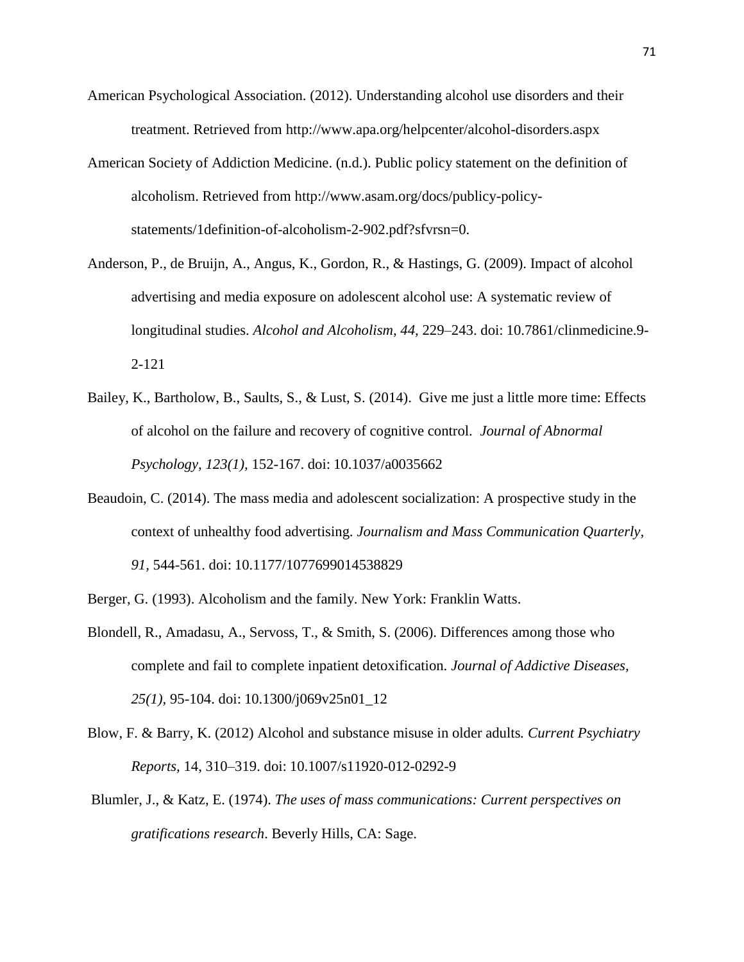- American Psychological Association. (2012). Understanding alcohol use disorders and their treatment. Retrieved from http://www.apa.org/helpcenter/alcohol-disorders.aspx
- American Society of Addiction Medicine. (n.d.). Public policy statement on the definition of alcoholism. Retrieved from http://www.asam.org/docs/publicy-policystatements/1definition-of-alcoholism-2-902.pdf?sfvrsn=0.
- Anderson, P., de Bruijn, A., Angus, K., Gordon, R., & Hastings, G. (2009). Impact of alcohol advertising and media exposure on adolescent alcohol use: A systematic review of longitudinal studies. *Alcohol and Alcoholism, 44,* 229–243. doi: 10.7861/clinmedicine.9- 2-121
- Bailey, K., Bartholow, B., Saults, S., & Lust, S. (2014). Give me just a little more time: Effects of alcohol on the failure and recovery of cognitive control. *Journal of Abnormal Psychology, 123(1),* 152-167. doi: 10.1037/a0035662
- Beaudoin, C. (2014). The mass media and adolescent socialization: A prospective study in the context of unhealthy food advertising. *Journalism and Mass Communication Quarterly, 91,* 544-561. doi: 10.1177/1077699014538829
- Berger, G. (1993). Alcoholism and the family. New York: Franklin Watts.
- Blondell, R., Amadasu, A., Servoss, T., & Smith, S. (2006). Differences among those who complete and fail to complete inpatient detoxification. *Journal of Addictive Diseases, 25(1),* 95-104. doi: 10.1300/j069v25n01\_12
- Blow, F. & Barry, K. (2012) Alcohol and substance misuse in older adults*. Current Psychiatry Reports,* 14, 310–319. doi: 10.1007/s11920-012-0292-9
- Blumler, J., & Katz, E. (1974). *The uses of mass communications: Current perspectives on gratifications research*. Beverly Hills, CA: Sage.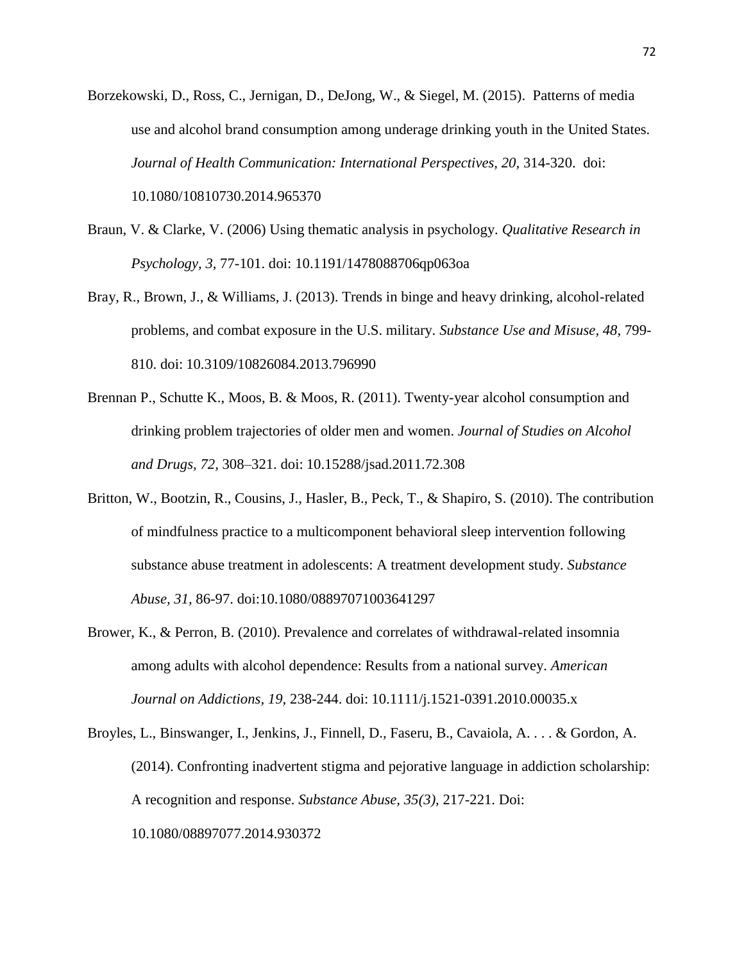- Borzekowski, D., Ross, C., Jernigan, D., DeJong, W., & Siegel, M. (2015). Patterns of media use and alcohol brand consumption among underage drinking youth in the United States. *Journal of Health Communication: International Perspectives, 20,* 314-320. doi: 10.1080/10810730.2014.965370
- Braun, V. & Clarke, V. (2006) Using thematic analysis in psychology. *Qualitative Research in Psychology, 3,* 77-101. doi: 10.1191/1478088706qp063oa
- Bray, R., Brown, J., & Williams, J. (2013). Trends in binge and heavy drinking, alcohol-related problems, and combat exposure in the U.S. military. *Substance Use and Misuse, 48,* 799- 810. doi: 10.3109/10826084.2013.796990
- Brennan P., Schutte K., Moos, B. & Moos, R. (2011). Twenty-year alcohol consumption and drinking problem trajectories of older men and women. *Journal of Studies on Alcohol and Drugs, 72,* 308–321. doi: 10.15288/jsad.2011.72.308
- Britton, W., Bootzin, R., Cousins, J., Hasler, B., Peck, T., & Shapiro, S. (2010). The contribution of mindfulness practice to a multicomponent behavioral sleep intervention following substance abuse treatment in adolescents: A treatment development study. *Substance Abuse, 31,* 86-97. doi:10.1080/08897071003641297
- Brower, K., & Perron, B. (2010). Prevalence and correlates of withdrawal-related insomnia among adults with alcohol dependence: Results from a national survey. *American Journal on Addictions, 19,* 238-244. doi: 10.1111/j.1521-0391.2010.00035.x
- Broyles, L., Binswanger, I., Jenkins, J., Finnell, D., Faseru, B., Cavaiola, A. . . . & Gordon, A. (2014). Confronting inadvertent stigma and pejorative language in addiction scholarship: A recognition and response. *Substance Abuse, 35(3),* 217-221. Doi: 10.1080/08897077.2014.930372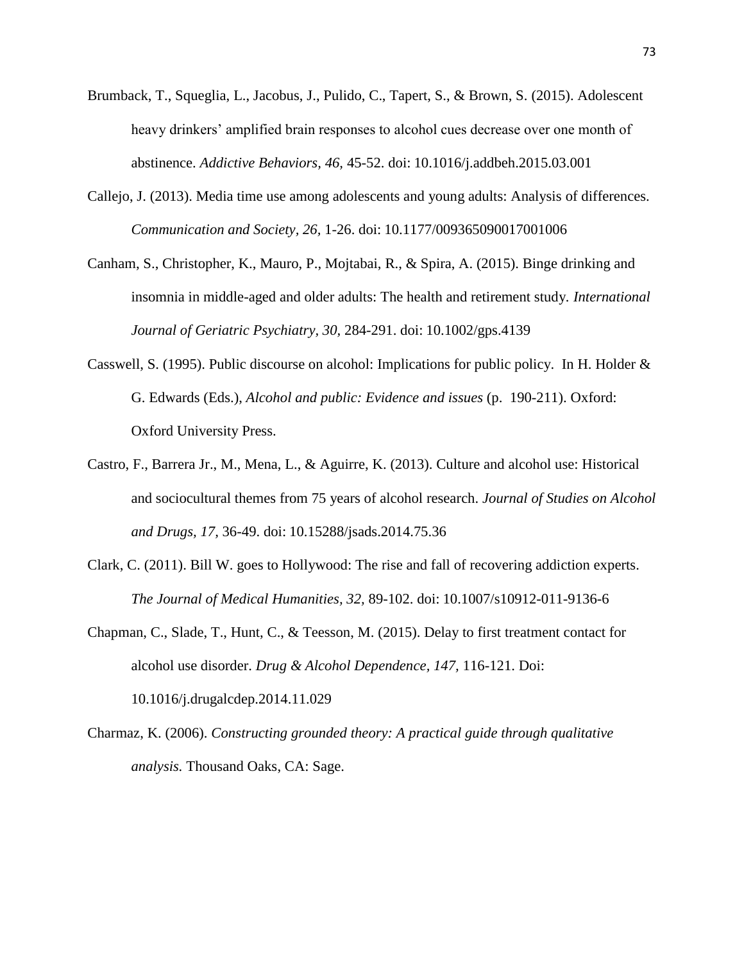- Brumback, T., Squeglia, L., Jacobus, J., Pulido, C., Tapert, S., & Brown, S. (2015). Adolescent heavy drinkers' amplified brain responses to alcohol cues decrease over one month of abstinence. *Addictive Behaviors, 46,* 45-52. doi: 10.1016/j.addbeh.2015.03.001
- Callejo, J. (2013). Media time use among adolescents and young adults: Analysis of differences. *Communication and Society, 26,* 1-26. doi: 10.1177/009365090017001006
- Canham, S., Christopher, K., Mauro, P., Mojtabai, R., & Spira, A. (2015). Binge drinking and insomnia in middle-aged and older adults: The health and retirement study*. International Journal of Geriatric Psychiatry, 30,* 284-291. doi: 10.1002/gps.4139
- Casswell, S. (1995). Public discourse on alcohol: Implications for public policy. In H. Holder & G. Edwards (Eds.), *Alcohol and public: Evidence and issues* (p. 190-211). Oxford: Oxford University Press.
- Castro, F., Barrera Jr., M., Mena, L., & Aguirre, K. (2013). Culture and alcohol use: Historical and sociocultural themes from 75 years of alcohol research. *Journal of Studies on Alcohol and Drugs, 17,* 36-49. doi: 10.15288/jsads.2014.75.36
- Clark, C. (2011). Bill W. goes to Hollywood: The rise and fall of recovering addiction experts. *The Journal of Medical Humanities, 32,* 89-102. doi: 10.1007/s10912-011-9136-6
- Chapman, C., Slade, T., Hunt, C., & Teesson, M. (2015). Delay to first treatment contact for alcohol use disorder. *Drug & Alcohol Dependence, 147,* 116-121. Doi: 10.1016/j.drugalcdep.2014.11.029
- Charmaz, K. (2006). *Constructing grounded theory: A practical guide through qualitative analysis.* Thousand Oaks, CA: Sage.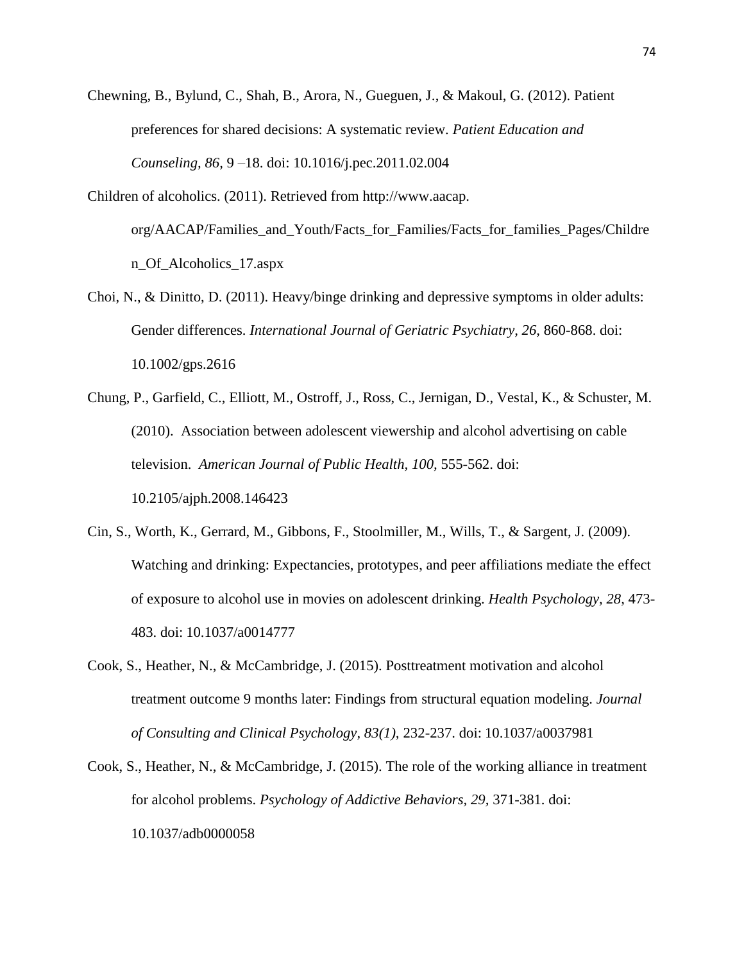Chewning, B., Bylund, C., Shah, B., Arora, N., Gueguen, J., & Makoul, G. (2012). Patient preferences for shared decisions: A systematic review. *Patient Education and Counseling, 86,* 9 –18. doi: 10.1016/j.pec.2011.02.004

- Children of alcoholics. (2011). Retrieved from http://www.aacap. org/AACAP/Families\_and\_Youth/Facts\_for\_Families/Facts\_for\_families\_Pages/Childre n\_Of\_Alcoholics\_17.aspx
- Choi, N., & Dinitto, D. (2011). Heavy/binge drinking and depressive symptoms in older adults: Gender differences. *International Journal of Geriatric Psychiatry, 26,* 860-868. doi: 10.1002/gps.2616
- Chung, P., Garfield, C., Elliott, M., Ostroff, J., Ross, C., Jernigan, D., Vestal, K., & Schuster, M. (2010). Association between adolescent viewership and alcohol advertising on cable television. *American Journal of Public Health, 100,* 555-562. doi: 10.2105/ajph.2008.146423
- Cin, S., Worth, K., Gerrard, M., Gibbons, F., Stoolmiller, M., Wills, T., & Sargent, J. (2009). Watching and drinking: Expectancies, prototypes, and peer affiliations mediate the effect of exposure to alcohol use in movies on adolescent drinking. *Health Psychology, 28,* 473- 483. doi: 10.1037/a0014777
- Cook, S., Heather, N., & McCambridge, J. (2015). Posttreatment motivation and alcohol treatment outcome 9 months later: Findings from structural equation modeling. *Journal of Consulting and Clinical Psychology, 83(1),* 232-237. doi: 10.1037/a0037981
- Cook, S., Heather, N., & McCambridge, J. (2015). The role of the working alliance in treatment for alcohol problems. *Psychology of Addictive Behaviors, 29,* 371-381. doi: 10.1037/adb0000058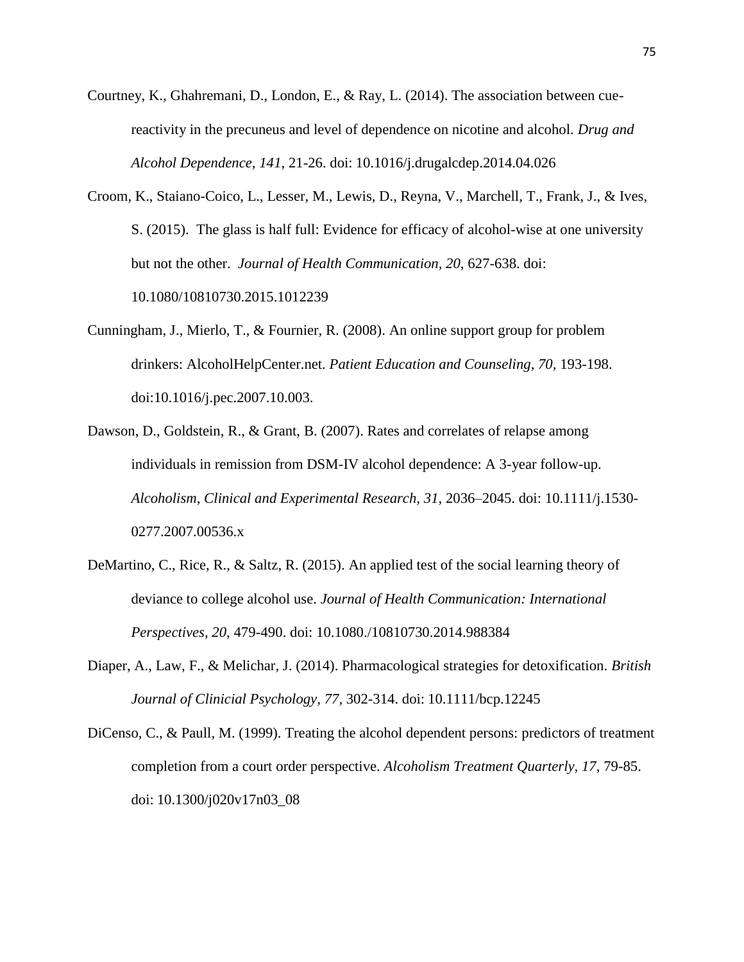- Courtney, K., Ghahremani, D., London, E., & Ray, L. (2014). The association between cuereactivity in the precuneus and level of dependence on nicotine and alcohol. *Drug and Alcohol Dependence, 141,* 21-26. doi: 10.1016/j.drugalcdep.2014.04.026
- Croom, K., Staiano-Coico, L., Lesser, M., Lewis, D., Reyna, V., Marchell, T., Frank, J., & Ives, S. (2015). The glass is half full: Evidence for efficacy of alcohol-wise at one university but not the other. *Journal of Health Communication, 20,* 627-638. doi: 10.1080/10810730.2015.1012239
- Cunningham, J., Mierlo, T., & Fournier, R. (2008). An online support group for problem drinkers: AlcoholHelpCenter.net. *Patient Education and Counseling, 70,* 193-198. doi:10.1016/j.pec.2007.10.003.
- Dawson, D., Goldstein, R., & Grant, B. (2007). Rates and correlates of relapse among individuals in remission from DSM-IV alcohol dependence: A 3-year follow-up. *Alcoholism, Clinical and Experimental Research, 31,* 2036–2045. doi: 10.1111/j.1530- 0277.2007.00536.x
- DeMartino, C., Rice, R., & Saltz, R. (2015). An applied test of the social learning theory of deviance to college alcohol use. *Journal of Health Communication: International Perspectives, 20*, 479-490. doi: 10.1080./10810730.2014.988384
- Diaper, A., Law, F., & Melichar, J. (2014). Pharmacological strategies for detoxification. *British Journal of Clinicial Psychology, 77,* 302-314. doi: 10.1111/bcp.12245
- DiCenso, C., & Paull, M. (1999). Treating the alcohol dependent persons: predictors of treatment completion from a court order perspective. *Alcoholism Treatment Quarterly, 17,* 79-85. doi: 10.1300/j020v17n03\_08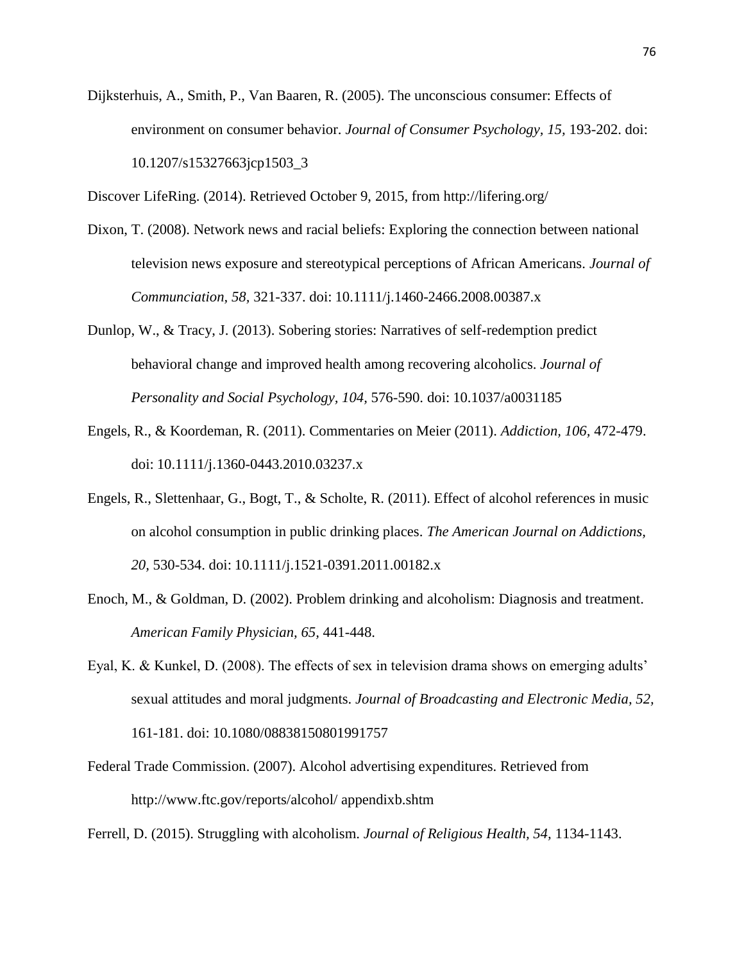Dijksterhuis, A., Smith, P., Van Baaren, R. (2005). The unconscious consumer: Effects of environment on consumer behavior. *Journal of Consumer Psychology, 15,* 193-202. doi: 10.1207/s15327663jcp1503\_3

Discover LifeRing. (2014). Retrieved October 9, 2015, from http://lifering.org/

- Dixon, T. (2008). Network news and racial beliefs: Exploring the connection between national television news exposure and stereotypical perceptions of African Americans. *Journal of Communciation, 58,* 321-337. doi: 10.1111/j.1460-2466.2008.00387.x
- Dunlop, W., & Tracy, J. (2013). Sobering stories: Narratives of self-redemption predict behavioral change and improved health among recovering alcoholics. *Journal of Personality and Social Psychology, 104,* 576-590. doi: 10.1037/a0031185
- Engels, R., & Koordeman, R. (2011). Commentaries on Meier (2011). *Addiction, 106,* 472-479. doi: 10.1111/j.1360-0443.2010.03237.x
- Engels, R., Slettenhaar, G., Bogt, T., & Scholte, R. (2011). Effect of alcohol references in music on alcohol consumption in public drinking places. *The American Journal on Addictions, 20,* 530-534. doi: 10.1111/j.1521-0391.2011.00182.x
- Enoch, M., & Goldman, D. (2002). Problem drinking and alcoholism: Diagnosis and treatment. *American Family Physician, 65,* 441-448.
- Eyal, K. & Kunkel, D. (2008). The effects of sex in television drama shows on emerging adults' sexual attitudes and moral judgments. *Journal of Broadcasting and Electronic Media, 52,* 161-181. doi: 10.1080/08838150801991757
- Federal Trade Commission. (2007). Alcohol advertising expenditures. Retrieved from http://www.ftc.gov/reports/alcohol/ appendixb.shtm

Ferrell, D. (2015). Struggling with alcoholism. *Journal of Religious Health, 54,* 1134-1143.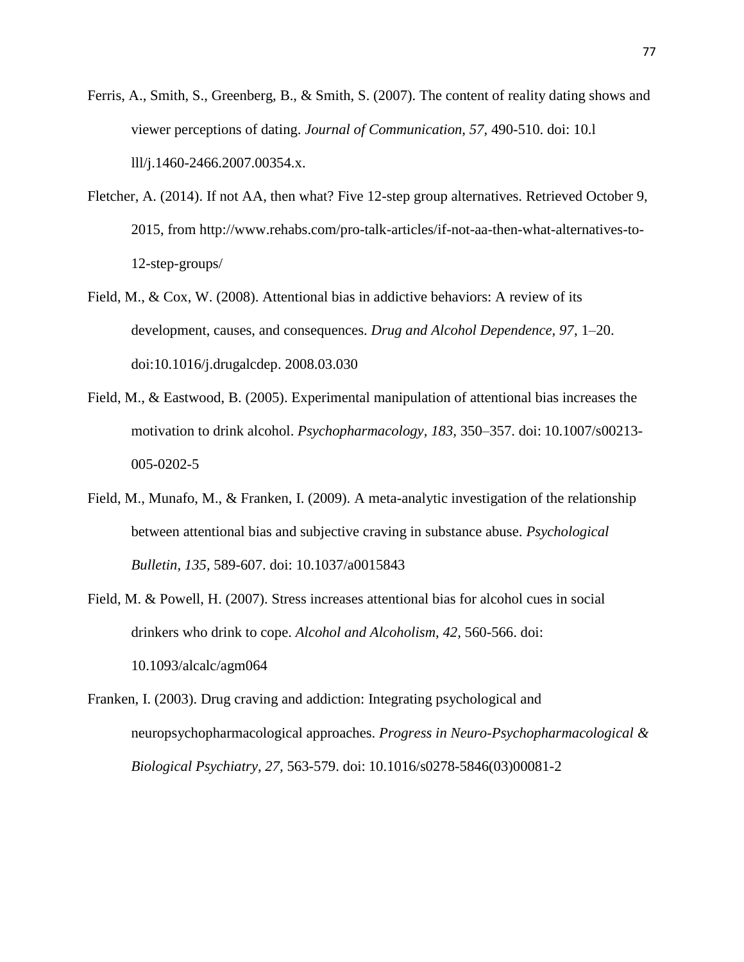- Ferris, A., Smith, S., Greenberg, B., & Smith, S. (2007). The content of reality dating shows and viewer perceptions of dating. *Journal of Communication, 57,* 490-510. doi: 10.l lll/j.1460-2466.2007.00354.x.
- Fletcher, A. (2014). If not AA, then what? Five 12-step group alternatives. Retrieved October 9, 2015, from http://www.rehabs.com/pro-talk-articles/if-not-aa-then-what-alternatives-to-12-step-groups/
- Field, M., & Cox, W. (2008). Attentional bias in addictive behaviors: A review of its development, causes, and consequences. *Drug and Alcohol Dependence, 97*, 1–20. doi:10.1016/j.drugalcdep. 2008.03.030
- Field, M., & Eastwood, B. (2005). Experimental manipulation of attentional bias increases the motivation to drink alcohol. *Psychopharmacology, 183,* 350–357. doi: 10.1007/s00213- 005-0202-5
- Field, M., Munafo, M., & Franken, I. (2009). A meta-analytic investigation of the relationship between attentional bias and subjective craving in substance abuse. *Psychological Bulletin, 135,* 589-607. doi: 10.1037/a0015843
- Field, M. & Powell, H. (2007). Stress increases attentional bias for alcohol cues in social drinkers who drink to cope. *Alcohol and Alcoholism, 42,* 560-566. doi: 10.1093/alcalc/agm064
- Franken, I. (2003). Drug craving and addiction: Integrating psychological and neuropsychopharmacological approaches. *Progress in Neuro-Psychopharmacological & Biological Psychiatry, 27,* 563-579. doi: 10.1016/s0278-5846(03)00081-2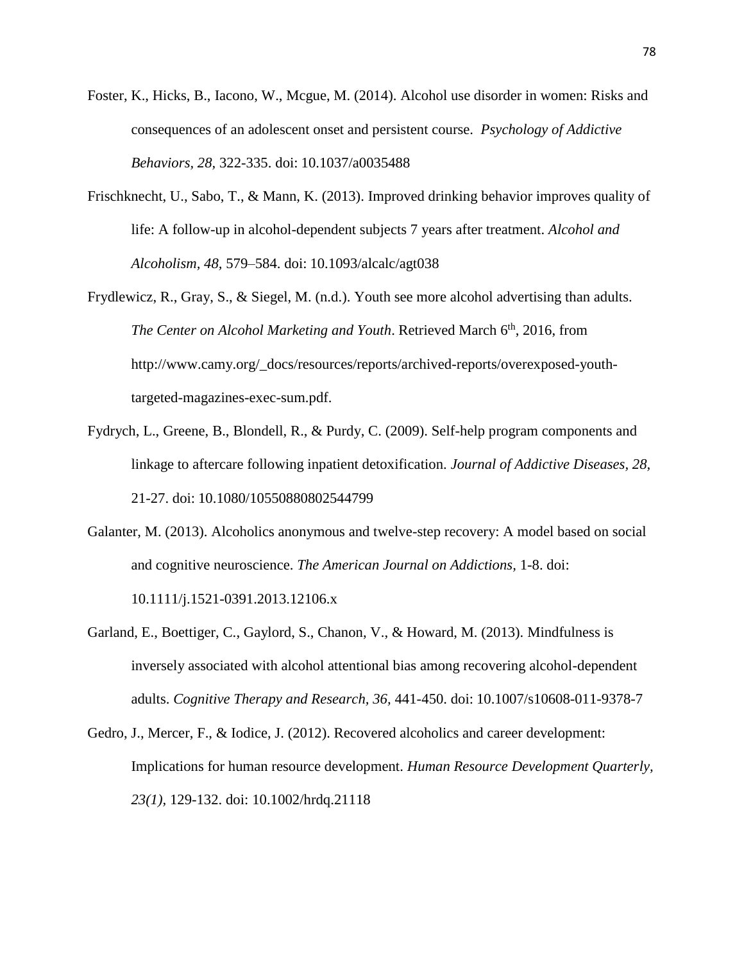- Foster, K., Hicks, B., Iacono, W., Mcgue, M. (2014). Alcohol use disorder in women: Risks and consequences of an adolescent onset and persistent course. *Psychology of Addictive Behaviors, 28,* 322-335. doi: 10.1037/a0035488
- Frischknecht, U., Sabo, T., & Mann, K. (2013). Improved drinking behavior improves quality of life: A follow-up in alcohol-dependent subjects 7 years after treatment. *Alcohol and Alcoholism, 48,* 579–584. doi: 10.1093/alcalc/agt038
- Frydlewicz, R., Gray, S., & Siegel, M. (n.d.). Youth see more alcohol advertising than adults. *The Center on Alcohol Marketing and Youth.* Retrieved March 6<sup>th</sup>, 2016, from http://www.camy.org/\_docs/resources/reports/archived-reports/overexposed-youthtargeted-magazines-exec-sum.pdf.
- Fydrych, L., Greene, B., Blondell, R., & Purdy, C. (2009). Self-help program components and linkage to aftercare following inpatient detoxification. *Journal of Addictive Diseases, 28,*  21-27. doi: 10.1080/10550880802544799
- Galanter, M. (2013). Alcoholics anonymous and twelve-step recovery: A model based on social and cognitive neuroscience. *The American Journal on Addictions,* 1-8. doi: 10.1111/j.1521-0391.2013.12106.x
- Garland, E., Boettiger, C., Gaylord, S., Chanon, V., & Howard, M. (2013). Mindfulness is inversely associated with alcohol attentional bias among recovering alcohol-dependent adults. *Cognitive Therapy and Research, 36,* 441-450. doi: 10.1007/s10608-011-9378-7
- Gedro, J., Mercer, F., & Iodice, J. (2012). Recovered alcoholics and career development: Implications for human resource development. *Human Resource Development Quarterly, 23(1),* 129-132. doi: 10.1002/hrdq.21118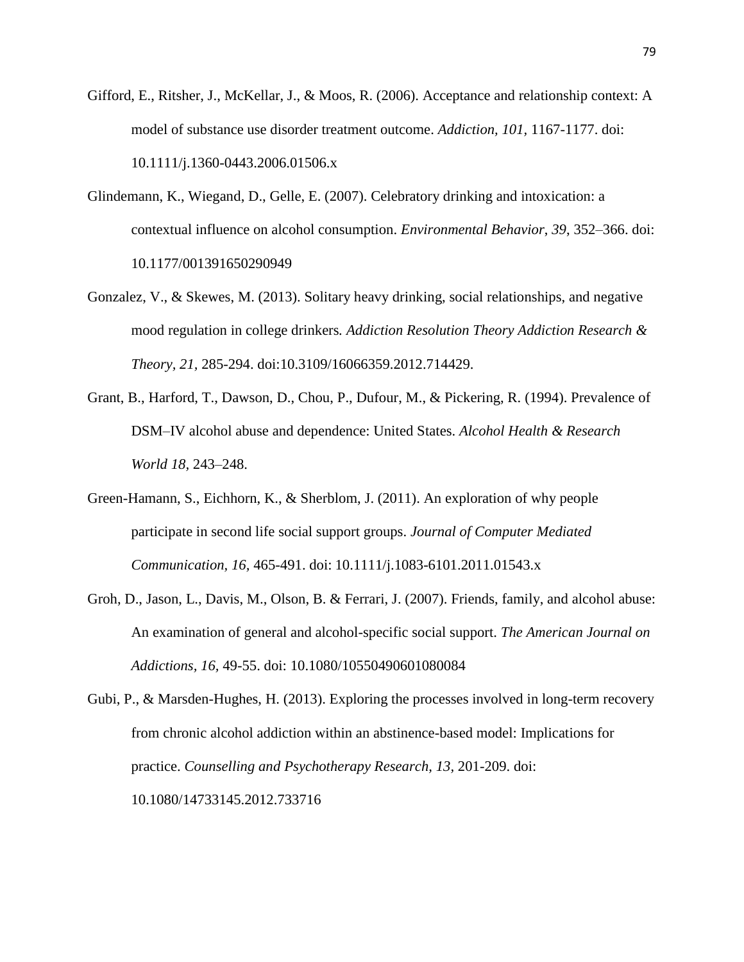- Gifford, E., Ritsher, J., McKellar, J., & Moos, R. (2006). Acceptance and relationship context: A model of substance use disorder treatment outcome. *Addiction, 101,* 1167-1177. doi: 10.1111/j.1360-0443.2006.01506.x
- Glindemann, K., Wiegand, D., Gelle, E. (2007). Celebratory drinking and intoxication: a contextual influence on alcohol consumption. *Environmental Behavior*, *39*, 352–366. doi: 10.1177/001391650290949
- Gonzalez, V., & Skewes, M. (2013). Solitary heavy drinking, social relationships, and negative mood regulation in college drinkers*. Addiction Resolution Theory Addiction Research & Theory, 21,* 285-294. doi:10.3109/16066359.2012.714429.
- Grant, B., Harford, T., Dawson, D., Chou, P., Dufour, M., & Pickering, R. (1994). Prevalence of DSM–IV alcohol abuse and dependence: United States. *Alcohol Health & Research World 18,* 243–248.
- Green-Hamann, S., Eichhorn, K., & Sherblom, J. (2011). An exploration of why people participate in second life social support groups. *Journal of Computer Mediated Communication, 16,* 465-491. doi: 10.1111/j.1083-6101.2011.01543.x
- Groh, D., Jason, L., Davis, M., Olson, B. & Ferrari, J. (2007). Friends, family, and alcohol abuse: An examination of general and alcohol-specific social support. *The American Journal on Addictions, 16,* 49-55. doi: 10.1080/10550490601080084

Gubi, P., & Marsden-Hughes, H. (2013). Exploring the processes involved in long-term recovery from chronic alcohol addiction within an abstinence-based model: Implications for practice. *Counselling and Psychotherapy Research, 13,* 201-209. doi: 10.1080/14733145.2012.733716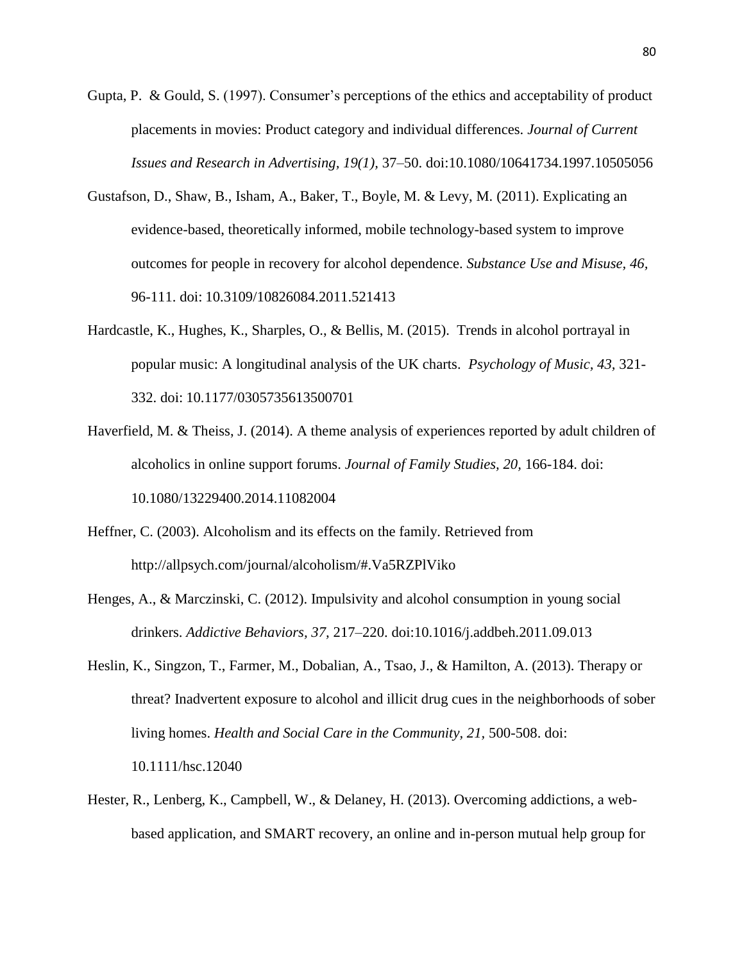- Gupta, P. & Gould, S. (1997). Consumer's perceptions of the ethics and acceptability of product placements in movies: Product category and individual differences. *Journal of Current Issues and Research in Advertising, 19(1),* 37–50. doi:10.1080/10641734.1997.10505056
- Gustafson, D., Shaw, B., Isham, A., Baker, T., Boyle, M. & Levy, M. (2011). Explicating an evidence-based, theoretically informed, mobile technology-based system to improve outcomes for people in recovery for alcohol dependence. *Substance Use and Misuse, 46,*  96-111. doi: 10.3109/10826084.2011.521413
- Hardcastle, K., Hughes, K., Sharples, O., & Bellis, M. (2015). Trends in alcohol portrayal in popular music: A longitudinal analysis of the UK charts. *Psychology of Music, 43,* 321- 332. doi: 10.1177/0305735613500701
- Haverfield, M. & Theiss, J. (2014). A theme analysis of experiences reported by adult children of alcoholics in online support forums. *Journal of Family Studies, 20,* 166-184. doi: 10.1080/13229400.2014.11082004
- Heffner, C. (2003). Alcoholism and its effects on the family. Retrieved from http://allpsych.com/journal/alcoholism/#.Va5RZPlViko
- Henges, A., & Marczinski, C. (2012). Impulsivity and alcohol consumption in young social drinkers. *Addictive Behaviors, 37,* 217–220. doi:10.1016/j.addbeh.2011.09.013
- Heslin, K., Singzon, T., Farmer, M., Dobalian, A., Tsao, J., & Hamilton, A. (2013). Therapy or threat? Inadvertent exposure to alcohol and illicit drug cues in the neighborhoods of sober living homes. *Health and Social Care in the Community, 21,* 500-508. doi: 10.1111/hsc.12040
- Hester, R., Lenberg, K., Campbell, W., & Delaney, H. (2013). Overcoming addictions, a webbased application, and SMART recovery, an online and in-person mutual help group for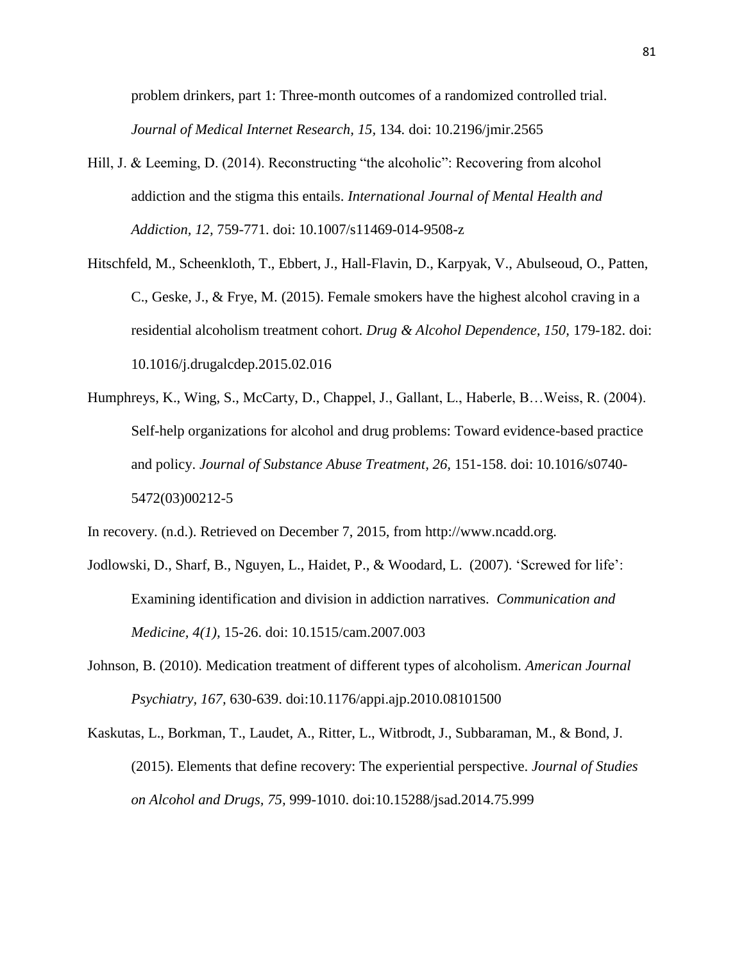problem drinkers, part 1: Three-month outcomes of a randomized controlled trial. *Journal of Medical Internet Research, 15,* 134*.* doi: 10.2196/jmir.2565

- Hill, J. & Leeming, D. (2014). Reconstructing "the alcoholic": Recovering from alcohol addiction and the stigma this entails. *International Journal of Mental Health and Addiction, 12,* 759-771. doi: 10.1007/s11469-014-9508-z
- Hitschfeld, M., Scheenkloth, T., Ebbert, J., Hall-Flavin, D., Karpyak, V., Abulseoud, O., Patten, C., Geske, J., & Frye, M. (2015). Female smokers have the highest alcohol craving in a residential alcoholism treatment cohort. *Drug & Alcohol Dependence, 150,* 179-182. doi: 10.1016/j.drugalcdep.2015.02.016
- Humphreys, K., Wing, S., McCarty, D., Chappel, J., Gallant, L., Haberle, B…Weiss, R. (2004). Self-help organizations for alcohol and drug problems: Toward evidence-based practice and policy. *Journal of Substance Abuse Treatment, 26,* 151-158. doi: 10.1016/s0740- 5472(03)00212-5

In recovery. (n.d.). Retrieved on December 7, 2015, from http://www.ncadd.org.

- Jodlowski, D., Sharf, B., Nguyen, L., Haidet, P., & Woodard, L. (2007). 'Screwed for life': Examining identification and division in addiction narratives. *Communication and Medicine, 4(1),* 15-26. doi: 10.1515/cam.2007.003
- Johnson, B. (2010). Medication treatment of different types of alcoholism*. American Journal Psychiatry, 167,* 630-639. doi:10.1176/appi.ajp.2010.08101500
- Kaskutas, L., Borkman, T., Laudet, A., Ritter, L., Witbrodt, J., Subbaraman, M., & Bond, J. (2015). Elements that define recovery: The experiential perspective. *Journal of Studies on Alcohol and Drugs, 75,* 999-1010. doi:10.15288/jsad.2014.75.999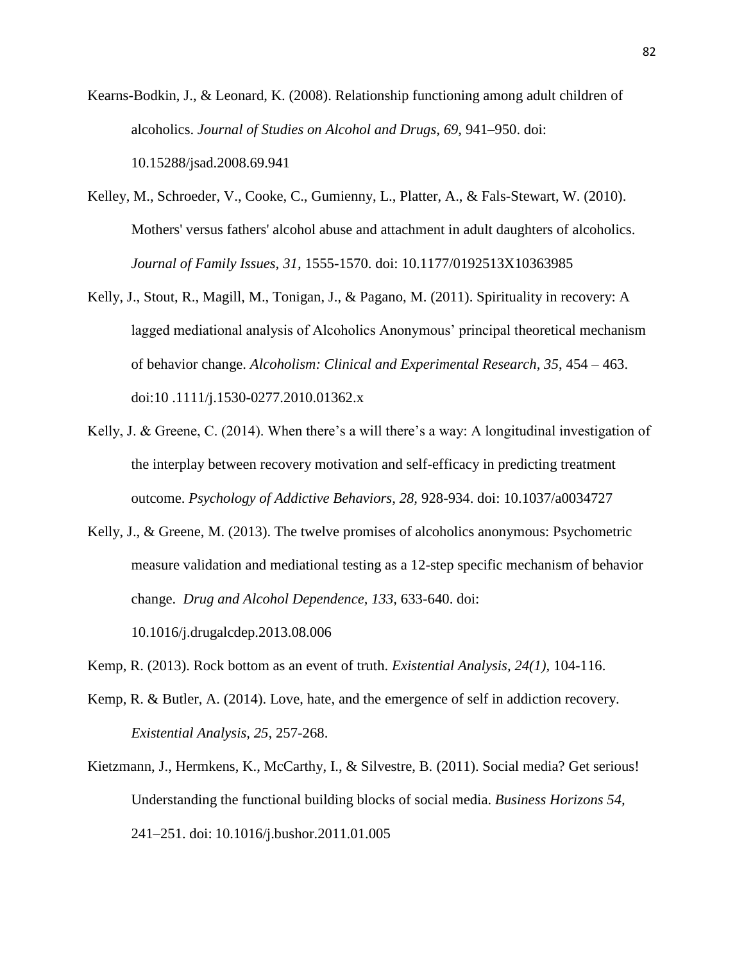Kearns-Bodkin, J., & Leonard, K. (2008). Relationship functioning among adult children of alcoholics. *Journal of Studies on Alcohol and Drugs, 69,* 941–950. doi: 10.15288/jsad.2008.69.941

- Kelley, M., Schroeder, V., Cooke, C., Gumienny, L., Platter, A., & Fals-Stewart, W. (2010). Mothers' versus fathers' alcohol abuse and attachment in adult daughters of alcoholics. *Journal of Family Issues, 31,* 1555-1570. doi: 10.1177/0192513X10363985
- Kelly, J., Stout, R., Magill, M., Tonigan, J., & Pagano, M. (2011). Spirituality in recovery: A lagged mediational analysis of Alcoholics Anonymous' principal theoretical mechanism of behavior change. *Alcoholism: Clinical and Experimental Research, 35*, 454 – 463. doi:10 .1111/j.1530-0277.2010.01362.x
- Kelly, J. & Greene, C. (2014). When there's a will there's a way: A longitudinal investigation of the interplay between recovery motivation and self-efficacy in predicting treatment outcome. *Psychology of Addictive Behaviors, 28,* 928-934. doi: 10.1037/a0034727
- Kelly, J., & Greene, M. (2013). The twelve promises of alcoholics anonymous: Psychometric measure validation and mediational testing as a 12-step specific mechanism of behavior change. *Drug and Alcohol Dependence, 133,* 633-640. doi: 10.1016/j.drugalcdep.2013.08.006
- Kemp, R. (2013). Rock bottom as an event of truth. *Existential Analysis, 24(1),* 104-116.
- Kemp, R. & Butler, A. (2014). Love, hate, and the emergence of self in addiction recovery. *Existential Analysis, 25,* 257-268.
- Kietzmann, J., Hermkens, K., McCarthy, I., & Silvestre, B. (2011). Social media? Get serious! Understanding the functional building blocks of social media. *Business Horizons 54,*  241–251. doi: 10.1016/j.bushor.2011.01.005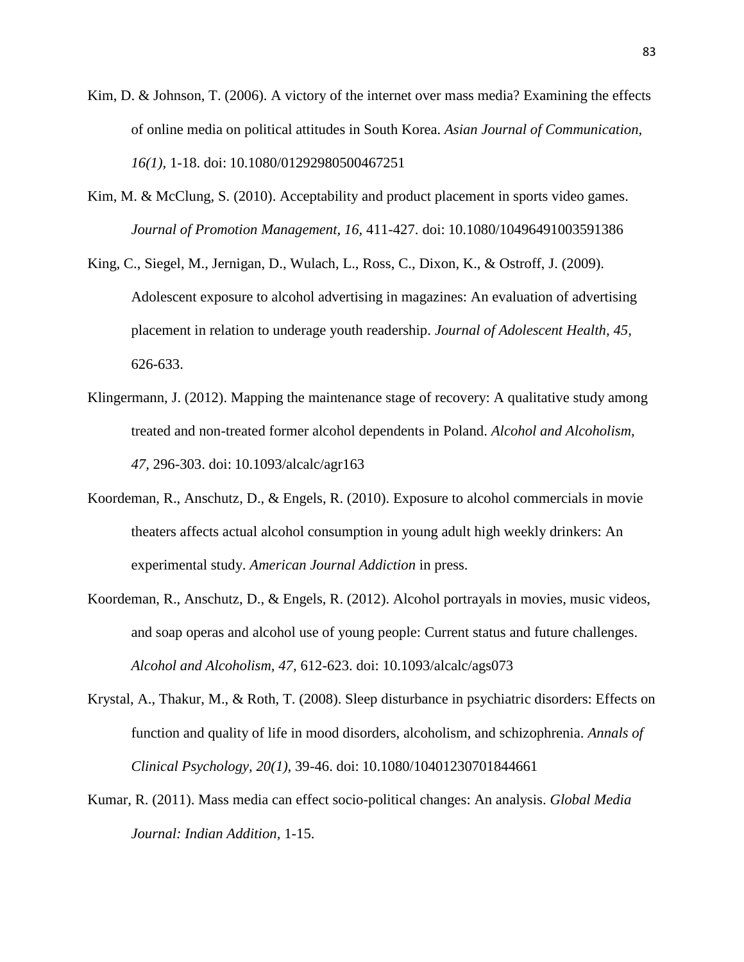- Kim, D. & Johnson, T. (2006). A victory of the internet over mass media? Examining the effects of online media on political attitudes in South Korea. *Asian Journal of Communication, 16(1),* 1-18. doi: 10.1080/01292980500467251
- Kim, M. & McClung, S. (2010). Acceptability and product placement in sports video games. *Journal of Promotion Management, 16,* 411-427. doi: 10.1080/10496491003591386
- King, C., Siegel, M., Jernigan, D., Wulach, L., Ross, C., Dixon, K., & Ostroff, J. (2009). Adolescent exposure to alcohol advertising in magazines: An evaluation of advertising placement in relation to underage youth readership. *Journal of Adolescent Health, 45,*  626-633.
- Klingermann, J. (2012). Mapping the maintenance stage of recovery: A qualitative study among treated and non-treated former alcohol dependents in Poland. *Alcohol and Alcoholism, 47,* 296-303. doi: 10.1093/alcalc/agr163
- Koordeman, R., Anschutz, D., & Engels, R. (2010). Exposure to alcohol commercials in movie theaters affects actual alcohol consumption in young adult high weekly drinkers: An experimental study. *American Journal Addiction* in press.
- Koordeman, R., Anschutz, D., & Engels, R. (2012). Alcohol portrayals in movies, music videos, and soap operas and alcohol use of young people: Current status and future challenges. *Alcohol and Alcoholism, 47,* 612-623. doi: 10.1093/alcalc/ags073
- Krystal, A., Thakur, M., & Roth, T. (2008). Sleep disturbance in psychiatric disorders: Effects on function and quality of life in mood disorders, alcoholism, and schizophrenia. *Annals of Clinical Psychology, 20(1),* 39-46. doi: 10.1080/10401230701844661
- Kumar, R. (2011). Mass media can effect socio-political changes: An analysis. *Global Media Journal: Indian Addition,* 1-15.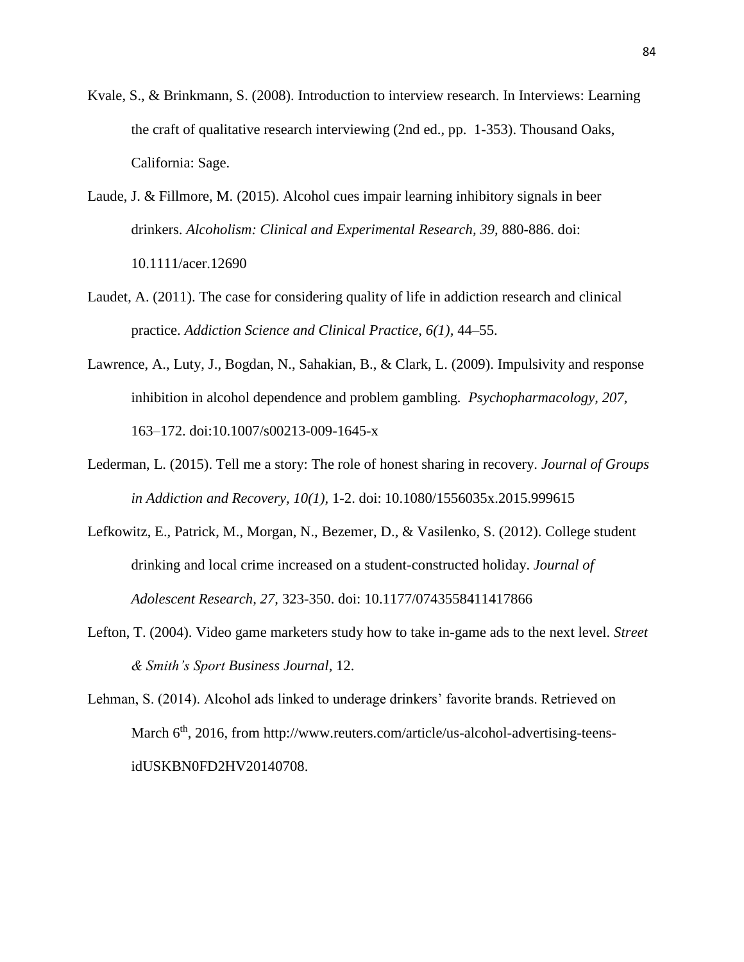- Kvale, S., & Brinkmann, S. (2008). Introduction to interview research. In Interviews: Learning the craft of qualitative research interviewing (2nd ed., pp. 1-353). Thousand Oaks, California: Sage.
- Laude, J. & Fillmore, M. (2015). Alcohol cues impair learning inhibitory signals in beer drinkers. *Alcoholism: Clinical and Experimental Research, 39,* 880-886. doi: 10.1111/acer.12690
- Laudet, A. (2011). The case for considering quality of life in addiction research and clinical practice. *Addiction Science and Clinical Practice, 6(1),* 44–55.
- Lawrence, A., Luty, J., Bogdan, N., Sahakian, B., & Clark, L. (2009). Impulsivity and response inhibition in alcohol dependence and problem gambling*. Psychopharmacology, 207,* 163–172. doi:10.1007/s00213-009-1645-x
- Lederman, L. (2015). Tell me a story: The role of honest sharing in recovery. *Journal of Groups in Addiction and Recovery, 10(1),* 1-2. doi: 10.1080/1556035x.2015.999615
- Lefkowitz, E., Patrick, M., Morgan, N., Bezemer, D., & Vasilenko, S. (2012). College student drinking and local crime increased on a student-constructed holiday. *Journal of Adolescent Research, 27,* 323-350. doi: 10.1177/0743558411417866
- Lefton, T. (2004). Video game marketers study how to take in-game ads to the next level. *Street & Smith's Sport Business Journal*, 12.

Lehman, S. (2014). Alcohol ads linked to underage drinkers' favorite brands. Retrieved on March 6<sup>th</sup>, 2016, from http://www.reuters.com/article/us-alcohol-advertising-teensidUSKBN0FD2HV20140708.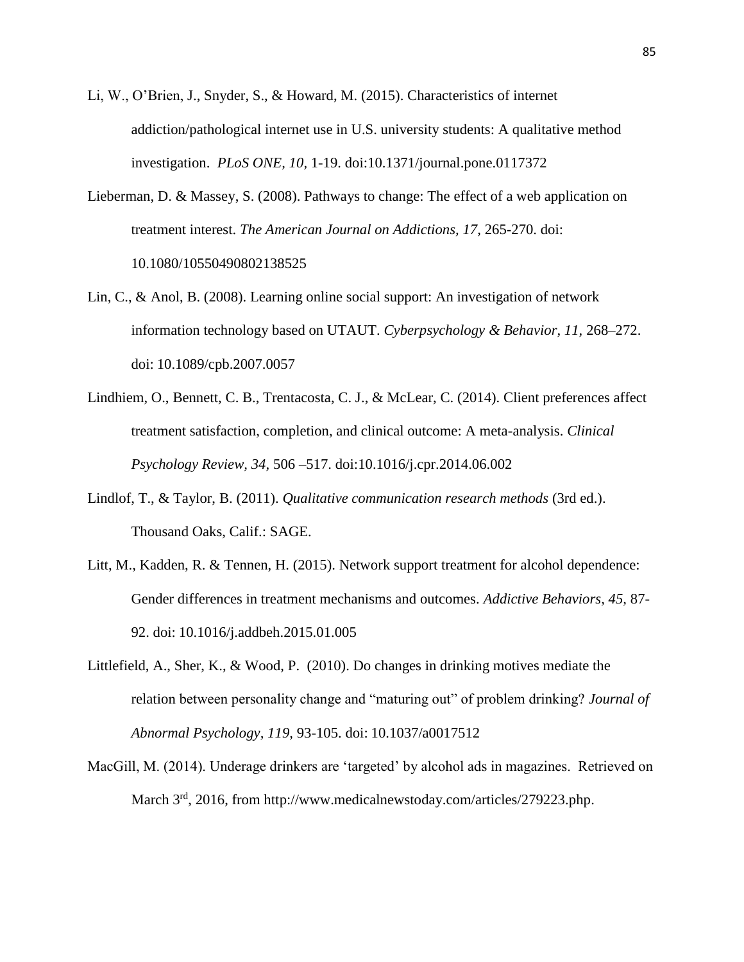- Li, W., O'Brien, J., Snyder, S., & Howard, M. (2015). Characteristics of internet addiction/pathological internet use in U.S. university students: A qualitative method investigation. *PLoS ONE, 10,* 1-19. doi:10.1371/journal.pone.0117372
- Lieberman, D. & Massey, S. (2008). Pathways to change: The effect of a web application on treatment interest. *The American Journal on Addictions, 17,* 265-270. doi: 10.1080/10550490802138525
- Lin, C., & Anol, B. (2008). Learning online social support: An investigation of network information technology based on UTAUT. *Cyberpsychology & Behavior, 11,* 268–272. doi: 10.1089/cpb.2007.0057
- Lindhiem, O., Bennett, C. B., Trentacosta, C. J., & McLear, C. (2014). Client preferences affect treatment satisfaction, completion, and clinical outcome: A meta-analysis. *Clinical Psychology Review, 34,* 506 –517. doi:10.1016/j.cpr.2014.06.002
- Lindlof, T., & Taylor, B. (2011). *Qualitative communication research methods* (3rd ed.). Thousand Oaks, Calif.: SAGE.
- Litt, M., Kadden, R. & Tennen, H. (2015). Network support treatment for alcohol dependence: Gender differences in treatment mechanisms and outcomes. *Addictive Behaviors, 45,* 87- 92. doi: 10.1016/j.addbeh.2015.01.005
- Littlefield, A., Sher, K., & Wood, P. (2010). Do changes in drinking motives mediate the relation between personality change and "maturing out" of problem drinking? *Journal of Abnormal Psychology, 119,* 93-105. doi: 10.1037/a0017512
- MacGill, M. (2014). Underage drinkers are 'targeted' by alcohol ads in magazines. Retrieved on March  $3<sup>rd</sup>$ , 2016, from http://www.medicalnewstoday.com/articles/279223.php.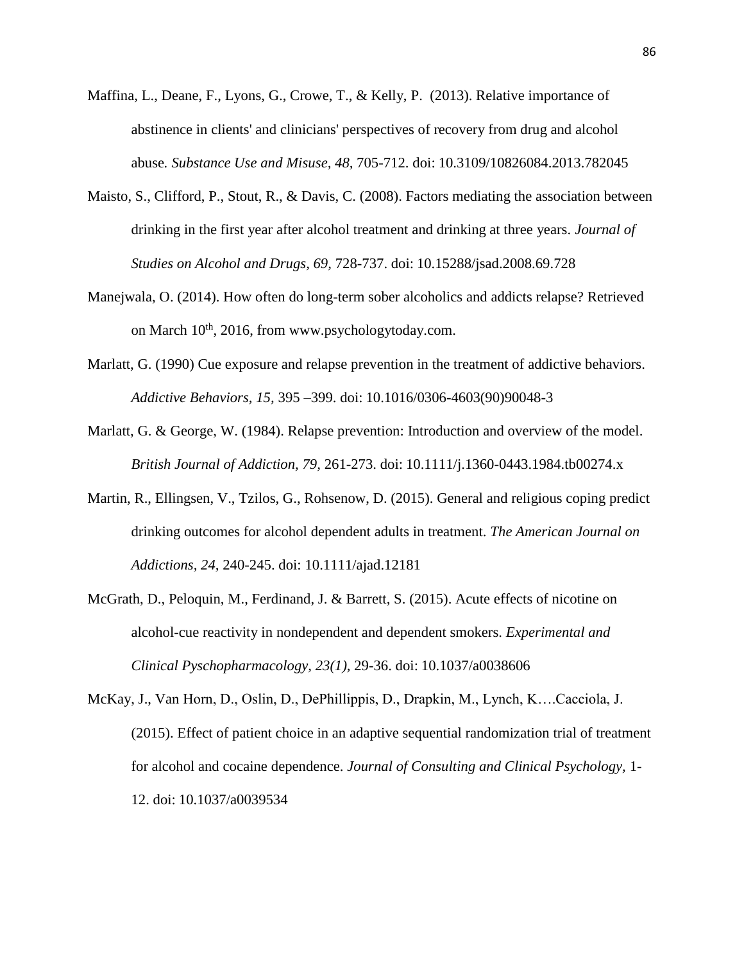- Maffina, L., Deane, F., Lyons, G., Crowe, T., & Kelly, P. (2013). Relative importance of abstinence in clients' and clinicians' perspectives of recovery from drug and alcohol abuse*. Substance Use and Misuse, 48,* 705-712. doi: 10.3109/10826084.2013.782045
- Maisto, S., Clifford, P., Stout, R., & Davis, C. (2008). Factors mediating the association between drinking in the first year after alcohol treatment and drinking at three years. *Journal of Studies on Alcohol and Drugs, 69,* 728-737. doi: 10.15288/jsad.2008.69.728
- Manejwala, O. (2014). How often do long-term sober alcoholics and addicts relapse? Retrieved on March  $10^{th}$ , 2016, from www.psychologytoday.com.
- Marlatt, G. (1990) Cue exposure and relapse prevention in the treatment of addictive behaviors. *Addictive Behaviors, 15,* 395 –399. doi: 10.1016/0306-4603(90)90048-3
- Marlatt, G. & George, W. (1984). Relapse prevention: Introduction and overview of the model. *British Journal of Addiction, 79,* 261-273. doi: 10.1111/j.1360-0443.1984.tb00274.x
- Martin, R., Ellingsen, V., Tzilos, G., Rohsenow, D. (2015). General and religious coping predict drinking outcomes for alcohol dependent adults in treatment. *The American Journal on Addictions, 24,* 240-245. doi: 10.1111/ajad.12181
- McGrath, D., Peloquin, M., Ferdinand, J. & Barrett, S. (2015). Acute effects of nicotine on alcohol-cue reactivity in nondependent and dependent smokers. *Experimental and Clinical Pyschopharmacology, 23(1),* 29-36. doi: 10.1037/a0038606
- McKay, J., Van Horn, D., Oslin, D., DePhillippis, D., Drapkin, M., Lynch, K….Cacciola, J. (2015). Effect of patient choice in an adaptive sequential randomization trial of treatment for alcohol and cocaine dependence. *Journal of Consulting and Clinical Psychology,* 1- 12. doi: 10.1037/a0039534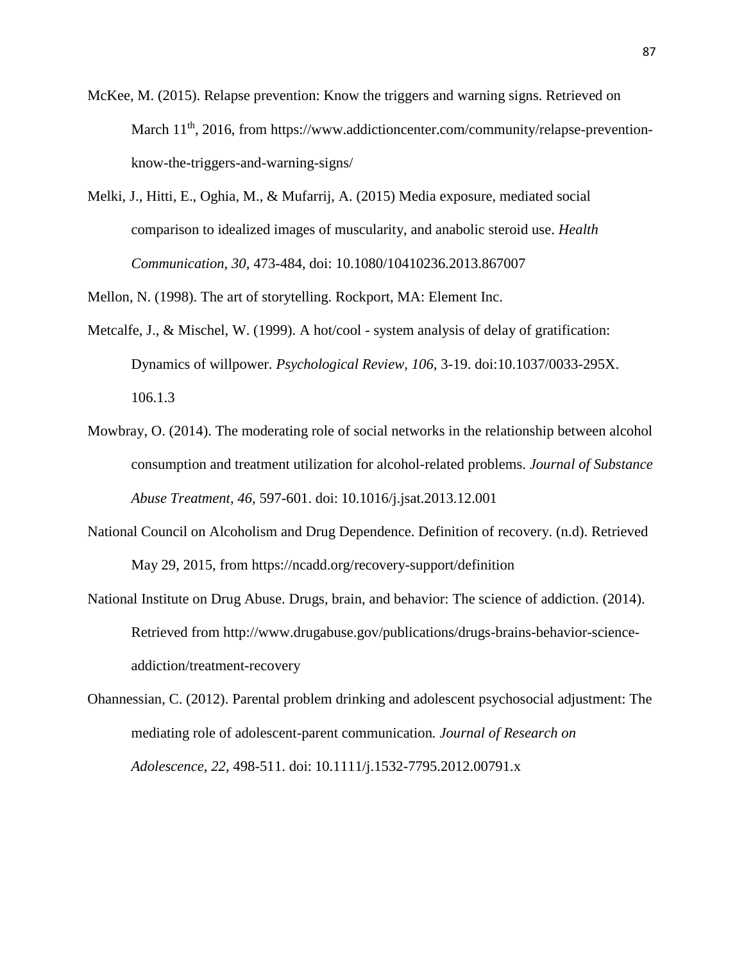- McKee, M. (2015). Relapse prevention: Know the triggers and warning signs. Retrieved on March 11<sup>th</sup>, 2016, from https://www.addictioncenter.com/community/relapse-preventionknow-the-triggers-and-warning-signs/
- Melki, J., Hitti, E., Oghia, M., & Mufarrij, A. (2015) Media exposure, mediated social comparison to idealized images of muscularity, and anabolic steroid use. *Health Communication, 30,* 473-484, doi: 10.1080/10410236.2013.867007

Mellon, N. (1998). The art of storytelling. Rockport, MA: Element Inc.

- Metcalfe, J., & Mischel, W. (1999). A hot/cool system analysis of delay of gratification: Dynamics of willpower. *Psychological Review, 106,* 3-19. doi:10.1037/0033-295X. 106.1.3
- Mowbray, O. (2014). The moderating role of social networks in the relationship between alcohol consumption and treatment utilization for alcohol-related problems. *Journal of Substance Abuse Treatment, 46,* 597-601. doi: 10.1016/j.jsat.2013.12.001
- National Council on Alcoholism and Drug Dependence. Definition of recovery. (n.d). Retrieved May 29, 2015, from https://ncadd.org/recovery-support/definition
- National Institute on Drug Abuse. Drugs, brain, and behavior: The science of addiction. (2014). Retrieved from http://www.drugabuse.gov/publications/drugs-brains-behavior-scienceaddiction/treatment-recovery
- Ohannessian, C. (2012). Parental problem drinking and adolescent psychosocial adjustment: The mediating role of adolescent-parent communication*. Journal of Research on Adolescence, 22,* 498-511. doi: 10.1111/j.1532-7795.2012.00791.x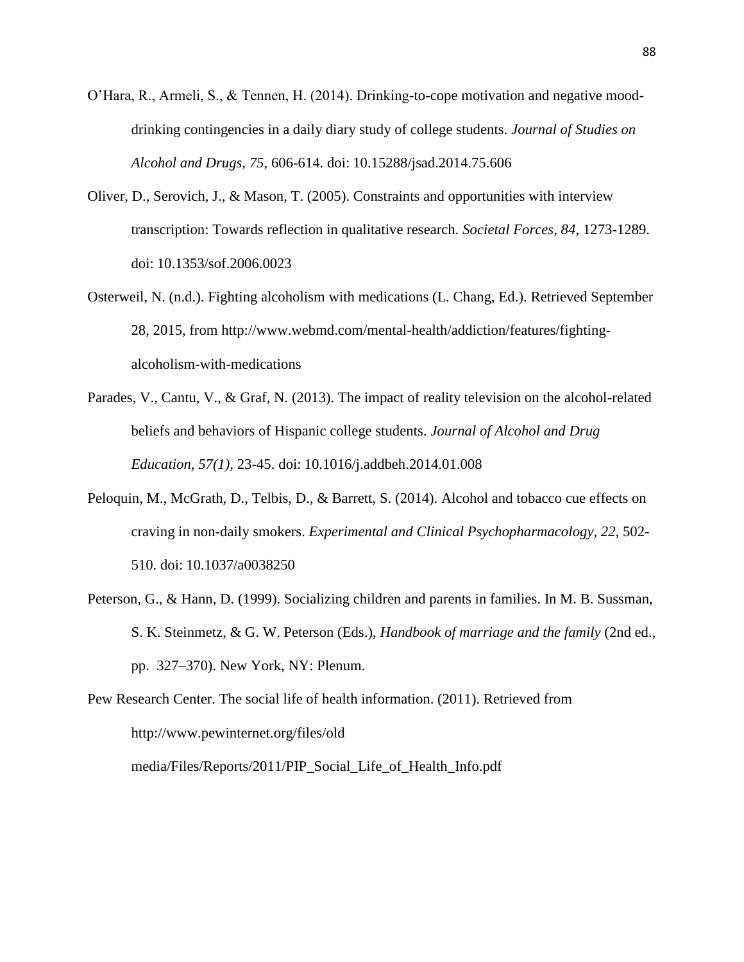- O'Hara, R., Armeli, S., & Tennen, H. (2014). Drinking-to-cope motivation and negative mooddrinking contingencies in a daily diary study of college students. *Journal of Studies on Alcohol and Drugs, 75,* 606-614. doi: 10.15288/jsad.2014.75.606
- Oliver, D., Serovich, J., & Mason, T. (2005). Constraints and opportunities with interview transcription: Towards reflection in qualitative research. *Societal Forces, 84,* 1273-1289. doi: 10.1353/sof.2006.0023
- Osterweil, N. (n.d.). Fighting alcoholism with medications (L. Chang, Ed.). Retrieved September 28, 2015, from http://www.webmd.com/mental-health/addiction/features/fightingalcoholism-with-medications
- Parades, V., Cantu, V., & Graf, N. (2013). The impact of reality television on the alcohol-related beliefs and behaviors of Hispanic college students. *Journal of Alcohol and Drug Education, 57(1),* 23-45. doi: 10.1016/j.addbeh.2014.01.008
- Peloquin, M., McGrath, D., Telbis, D., & Barrett, S. (2014). Alcohol and tobacco cue effects on craving in non-daily smokers. *Experimental and Clinical Psychopharmacology, 22,* 502- 510. doi: 10.1037/a0038250
- Peterson, G., & Hann, D. (1999). Socializing children and parents in families. In M. B. Sussman, S. K. Steinmetz, & G. W. Peterson (Eds.), *Handbook of marriage and the family* (2nd ed., pp. 327–370). New York, NY: Plenum.

Pew Research Center. The social life of health information. (2011). Retrieved from http://www.pewinternet.org/files/old

media/Files/Reports/2011/PIP\_Social\_Life\_of\_Health\_Info.pdf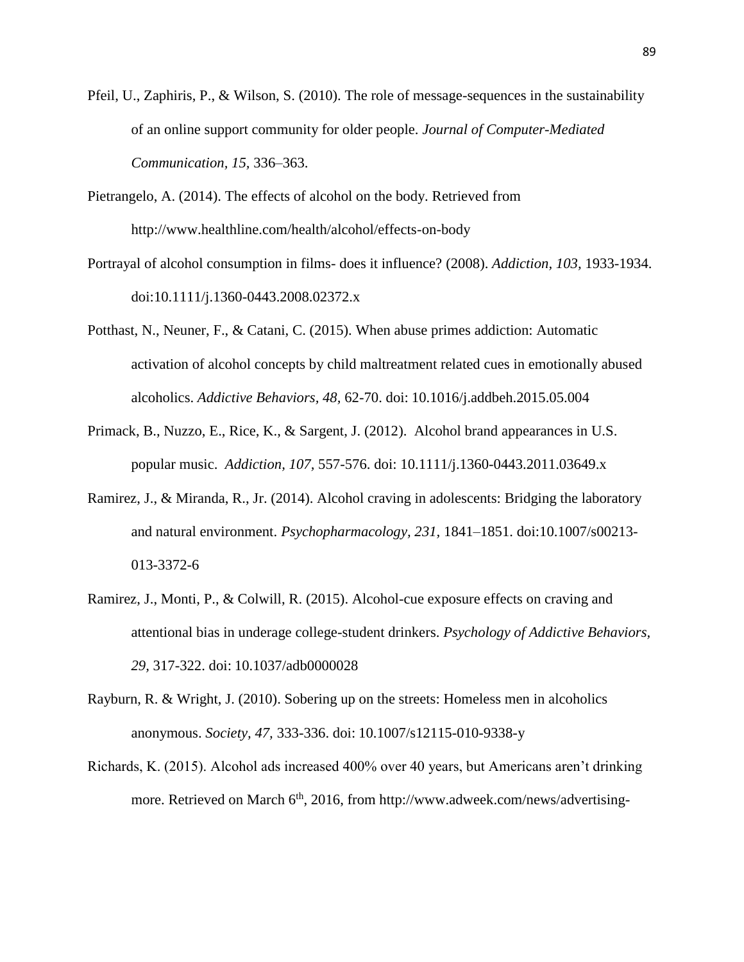- Pfeil, U., Zaphiris, P., & Wilson, S. (2010). The role of message-sequences in the sustainability of an online support community for older people. *Journal of Computer-Mediated Communication, 15,* 336–363.
- Pietrangelo, A. (2014). The effects of alcohol on the body. Retrieved from http://www.healthline.com/health/alcohol/effects-on-body
- Portrayal of alcohol consumption in films- does it influence? (2008). *Addiction, 103,* 1933-1934. doi:10.1111/j.1360-0443.2008.02372.x
- Potthast, N., Neuner, F., & Catani, C. (2015). When abuse primes addiction: Automatic activation of alcohol concepts by child maltreatment related cues in emotionally abused alcoholics. *Addictive Behaviors, 48,* 62-70. doi: 10.1016/j.addbeh.2015.05.004
- Primack, B., Nuzzo, E., Rice, K., & Sargent, J. (2012). Alcohol brand appearances in U.S. popular music. *Addiction, 107,* 557-576. doi: 10.1111/j.1360-0443.2011.03649.x
- Ramirez, J., & Miranda, R., Jr. (2014). Alcohol craving in adolescents: Bridging the laboratory and natural environment. *Psychopharmacology, 231,* 1841–1851. doi:10.1007/s00213- 013-3372-6
- Ramirez, J., Monti, P., & Colwill, R. (2015). Alcohol-cue exposure effects on craving and attentional bias in underage college-student drinkers. *Psychology of Addictive Behaviors, 29,* 317-322. doi: 10.1037/adb0000028
- Rayburn, R. & Wright, J. (2010). Sobering up on the streets: Homeless men in alcoholics anonymous. *Society, 47,* 333-336. doi: 10.1007/s12115-010-9338-y
- Richards, K. (2015). Alcohol ads increased 400% over 40 years, but Americans aren't drinking more. Retrieved on March  $6<sup>th</sup>$ , 2016, from http://www.adweek.com/news/advertising-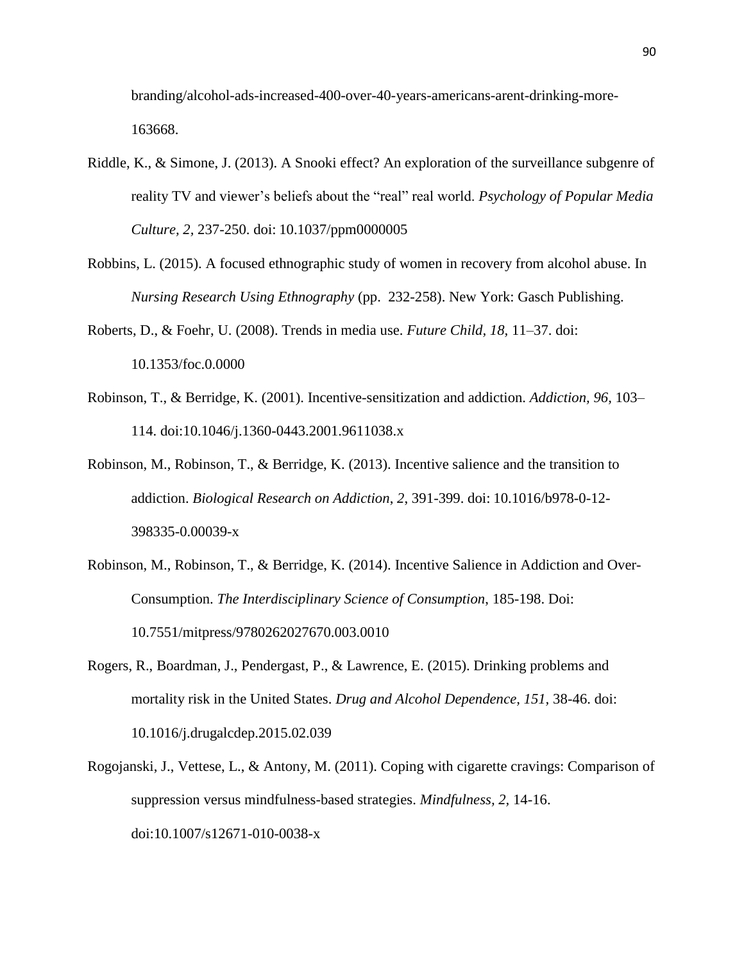branding/alcohol-ads-increased-400-over-40-years-americans-arent-drinking-more-163668.

- Riddle, K., & Simone, J. (2013). A Snooki effect? An exploration of the surveillance subgenre of reality TV and viewer's beliefs about the "real" real world. *Psychology of Popular Media Culture, 2,* 237-250. doi: 10.1037/ppm0000005
- Robbins, L. (2015). A focused ethnographic study of women in recovery from alcohol abuse. In *Nursing Research Using Ethnography* (pp. 232-258). New York: Gasch Publishing.
- Roberts, D., & Foehr, U. (2008). Trends in media use. *Future Child, 18,* 11–37. doi: 10.1353/foc.0.0000
- Robinson, T., & Berridge, K. (2001). Incentive-sensitization and addiction. *Addiction, 96,* 103– 114. doi:10.1046/j.1360-0443.2001.9611038.x
- Robinson, M., Robinson, T., & Berridge, K. (2013). Incentive salience and the transition to addiction. *Biological Research on Addiction*, *2*, 391-399. doi: 10.1016/b978-0-12- 398335-0.00039-x
- Robinson, M., Robinson, T., & Berridge, K. (2014). Incentive Salience in Addiction and Over-Consumption. *The Interdisciplinary Science of Consumption*, 185-198. Doi: 10.7551/mitpress/9780262027670.003.0010
- Rogers, R., Boardman, J., Pendergast, P., & Lawrence, E. (2015). Drinking problems and mortality risk in the United States. *Drug and Alcohol Dependence, 151,* 38-46. doi: 10.1016/j.drugalcdep.2015.02.039
- Rogojanski, J., Vettese, L., & Antony, M. (2011). Coping with cigarette cravings: Comparison of suppression versus mindfulness-based strategies. *Mindfulness, 2,* 14-16. doi:10.1007/s12671-010-0038-x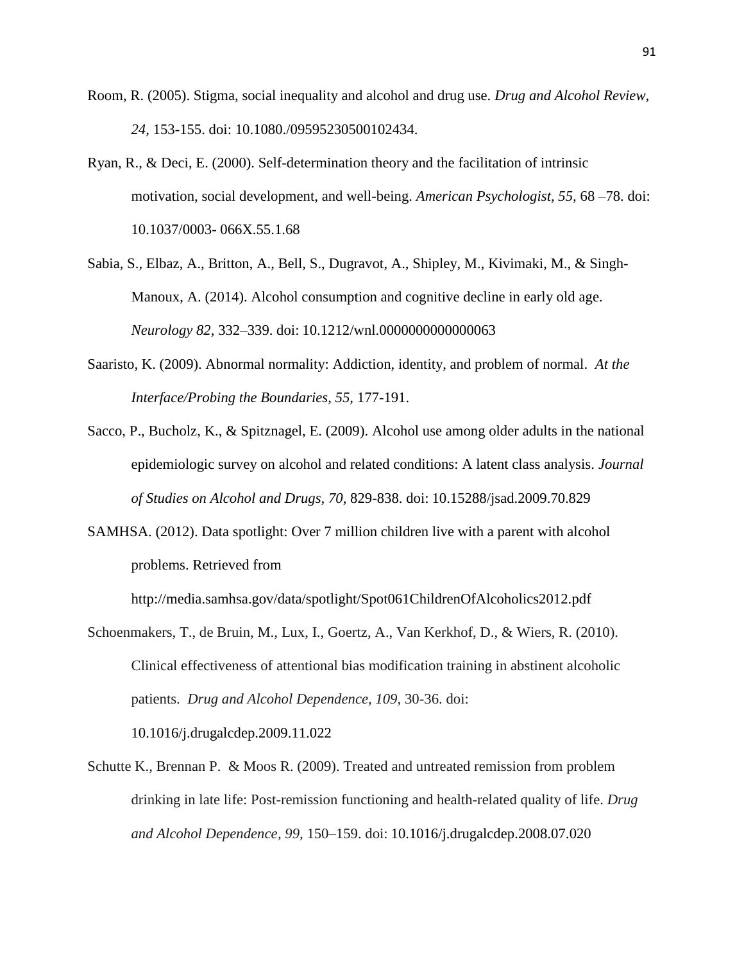- Room, R. (2005). Stigma, social inequality and alcohol and drug use. *Drug and Alcohol Review, 24,* 153-155. doi: 10.1080./09595230500102434.
- Ryan, R., & Deci, E. (2000). Self-determination theory and the facilitation of intrinsic motivation, social development, and well-being. *American Psychologist, 55,* 68 –78. doi: 10.1037/0003- 066X.55.1.68
- Sabia, S., Elbaz, A., Britton, A., Bell, S., Dugravot, A., Shipley, M., Kivimaki, M., & Singh-Manoux, A. (2014). Alcohol consumption and cognitive decline in early old age. *Neurology 82,* 332–339. doi: 10.1212/wnl.0000000000000063
- Saaristo, K. (2009). Abnormal normality: Addiction, identity, and problem of normal. *At the Interface/Probing the Boundaries, 55,* 177-191.
- Sacco, P., Bucholz, K., & Spitznagel, E. (2009). Alcohol use among older adults in the national epidemiologic survey on alcohol and related conditions: A latent class analysis. *Journal of Studies on Alcohol and Drugs, 70,* 829-838. doi: 10.15288/jsad.2009.70.829
- SAMHSA. (2012). Data spotlight: Over 7 million children live with a parent with alcohol problems. Retrieved from

http://media.samhsa.gov/data/spotlight/Spot061ChildrenOfAlcoholics2012.pdf

- Schoenmakers, T., de Bruin, M., Lux, I., Goertz, A., Van Kerkhof, D., & Wiers, R. (2010). Clinical effectiveness of attentional bias modification training in abstinent alcoholic patients. *Drug and Alcohol Dependence, 109,* 30-36. doi: 10.1016/j.drugalcdep.2009.11.022
- Schutte K., Brennan P. & Moos R. (2009). Treated and untreated remission from problem drinking in late life: Post-remission functioning and health-related quality of life. *Drug and Alcohol Dependence, 99,* 150–159. doi: 10.1016/j.drugalcdep.2008.07.020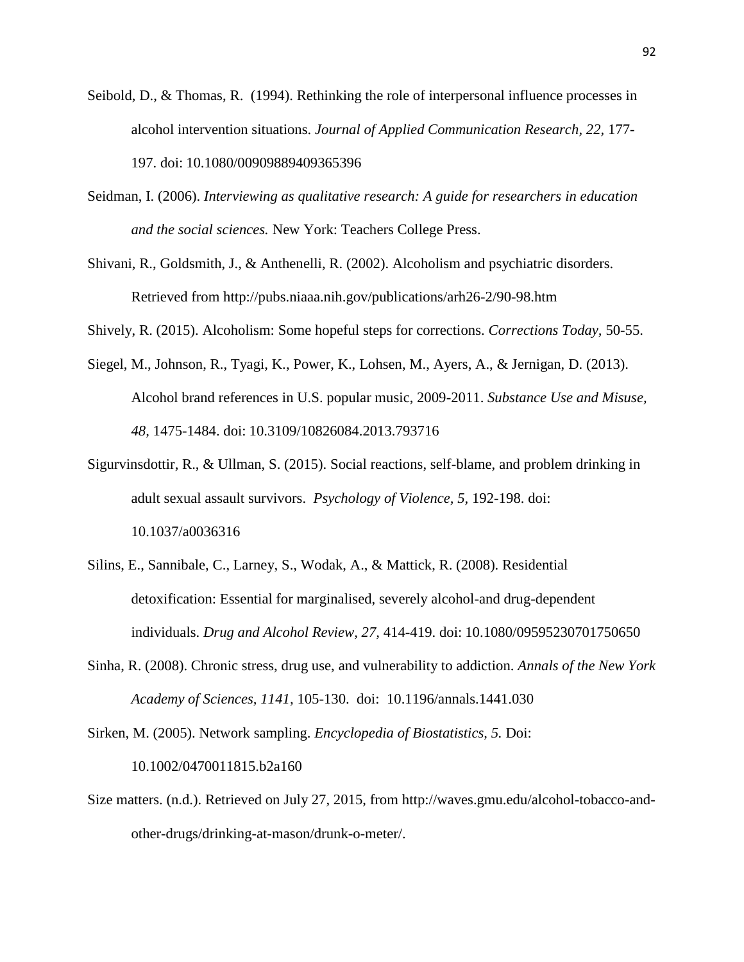- Seibold, D., & Thomas, R. (1994). Rethinking the role of interpersonal influence processes in alcohol intervention situations. *Journal of Applied Communication Research, 22,* 177- 197. doi: 10.1080/00909889409365396
- Seidman, I. (2006). *Interviewing as qualitative research: A guide for researchers in education and the social sciences.* New York: Teachers College Press.
- Shivani, R., Goldsmith, J., & Anthenelli, R. (2002). Alcoholism and psychiatric disorders. Retrieved from http://pubs.niaaa.nih.gov/publications/arh26-2/90-98.htm

Shively, R. (2015). Alcoholism: Some hopeful steps for corrections. *Corrections Today,* 50-55.

- Siegel, M., Johnson, R., Tyagi, K., Power, K., Lohsen, M., Ayers, A., & Jernigan, D. (2013). Alcohol brand references in U.S. popular music, 2009-2011. *Substance Use and Misuse, 48,* 1475-1484. doi: 10.3109/10826084.2013.793716
- Sigurvinsdottir, R., & Ullman, S. (2015). Social reactions, self-blame, and problem drinking in adult sexual assault survivors. *Psychology of Violence, 5,* 192-198. doi: 10.1037/a0036316
- Silins, E., Sannibale, C., Larney, S., Wodak, A., & Mattick, R. (2008). Residential detoxification: Essential for marginalised, severely alcohol-and drug-dependent individuals. *Drug and Alcohol Review, 27,* 414-419. doi: 10.1080/09595230701750650
- Sinha, R. (2008). Chronic stress, drug use, and vulnerability to addiction. *Annals of the New York Academy of Sciences, 1141,* 105-130. doi: [10.1196/annals.1441.030](http://dx.doi.org/10.1196%2Fannals.1441.030)

Sirken, M. (2005). Network sampling. *Encyclopedia of Biostatistics, 5.* Doi: 10.1002/0470011815.b2a160

Size matters. (n.d.). Retrieved on July 27, 2015, from http://waves.gmu.edu/alcohol-tobacco-andother-drugs/drinking-at-mason/drunk-o-meter/.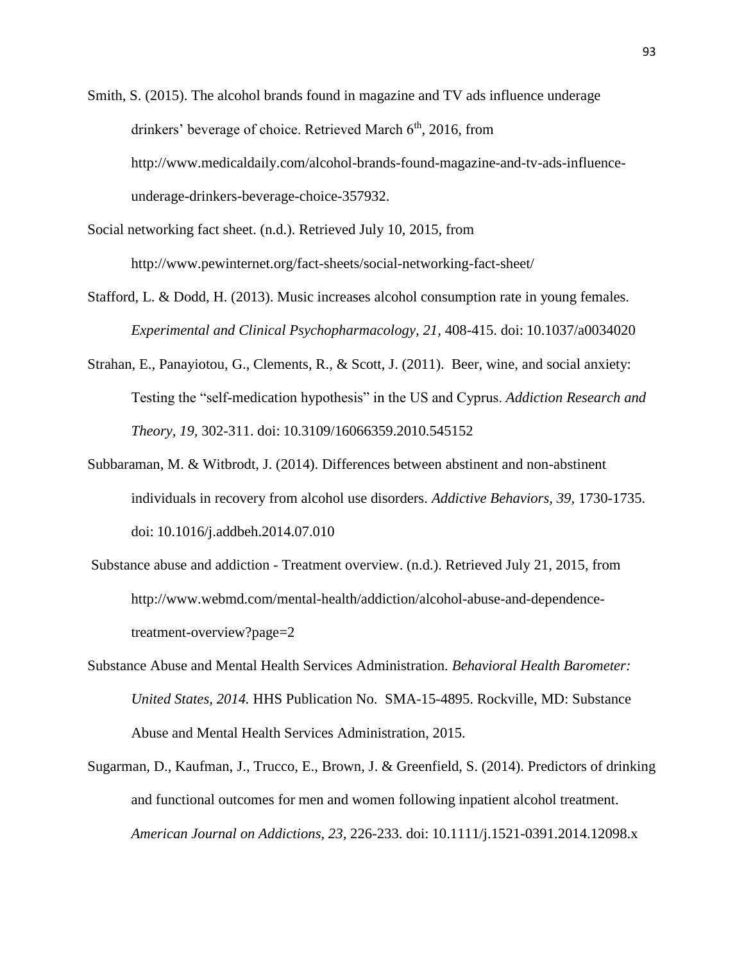Smith, S. (2015). The alcohol brands found in magazine and TV ads influence underage drinkers' beverage of choice. Retrieved March  $6<sup>th</sup>$ , 2016, from http://www.medicaldaily.com/alcohol-brands-found-magazine-and-tv-ads-influenceunderage-drinkers-beverage-choice-357932.

Social networking fact sheet. (n.d.). Retrieved July 10, 2015, from http://www.pewinternet.org/fact-sheets/social-networking-fact-sheet/

- Stafford, L. & Dodd, H. (2013). Music increases alcohol consumption rate in young females. *Experimental and Clinical Psychopharmacology, 21,* 408-415. doi: 10.1037/a0034020
- Strahan, E., Panayiotou, G., Clements, R., & Scott, J. (2011). Beer, wine, and social anxiety: Testing the "self-medication hypothesis" in the US and Cyprus. *Addiction Research and Theory, 19,* 302-311. doi: 10.3109/16066359.2010.545152
- Subbaraman, M. & Witbrodt, J. (2014). Differences between abstinent and non-abstinent individuals in recovery from alcohol use disorders. *Addictive Behaviors, 39,* 1730-1735. doi: 10.1016/j.addbeh.2014.07.010
- Substance abuse and addiction Treatment overview. (n.d.). Retrieved July 21, 2015, from http://www.webmd.com/mental-health/addiction/alcohol-abuse-and-dependencetreatment-overview?page=2
- Substance Abuse and Mental Health Services Administration. *Behavioral Health Barometer: United States, 2014.* HHS Publication No. SMA-15-4895. Rockville, MD: Substance Abuse and Mental Health Services Administration, 2015.
- Sugarman, D., Kaufman, J., Trucco, E., Brown, J. & Greenfield, S. (2014). Predictors of drinking and functional outcomes for men and women following inpatient alcohol treatment. *American Journal on Addictions, 23,* 226-233. doi: 10.1111/j.1521-0391.2014.12098.x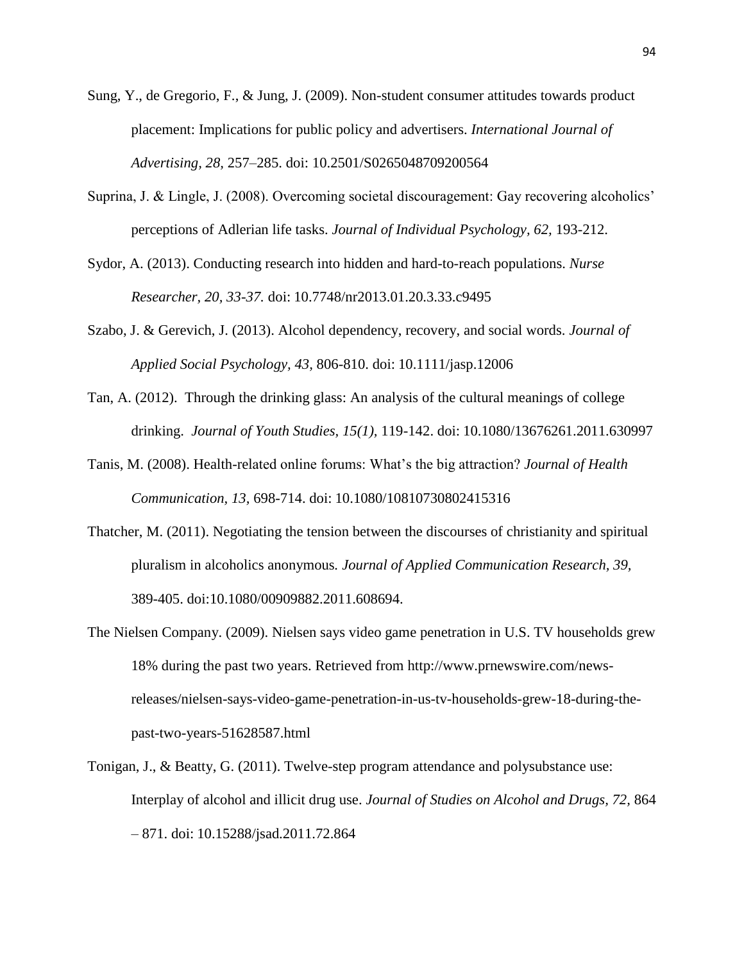- Sung, Y., de Gregorio, F., & Jung, J. (2009). Non-student consumer attitudes towards product placement: Implications for public policy and advertisers. *International Journal of Advertising, 28,* 257–285. doi: 10.2501/S0265048709200564
- Suprina, J. & Lingle, J. (2008). Overcoming societal discouragement: Gay recovering alcoholics' perceptions of Adlerian life tasks. *Journal of Individual Psychology, 62,* 193-212.
- Sydor, A. (2013). Conducting research into hidden and hard-to-reach populations. *Nurse Researcher, 20, 33-37.* doi: 10.7748/nr2013.01.20.3.33.c9495
- Szabo, J. & Gerevich, J. (2013). Alcohol dependency, recovery, and social words. *Journal of Applied Social Psychology, 43,* 806-810. doi: 10.1111/jasp.12006
- Tan, A. (2012). Through the drinking glass: An analysis of the cultural meanings of college drinking. *Journal of Youth Studies, 15(1),* 119-142. doi: 10.1080/13676261.2011.630997
- Tanis, M. (2008). Health-related online forums: What's the big attraction? *Journal of Health Communication, 13,* 698-714. doi: 10.1080/10810730802415316
- Thatcher, M. (2011). Negotiating the tension between the discourses of christianity and spiritual pluralism in alcoholics anonymous*. Journal of Applied Communication Research, 39,* 389-405. doi:10.1080/00909882.2011.608694.
- The Nielsen Company. (2009). Nielsen says video game penetration in U.S. TV households grew 18% during the past two years. Retrieved from http://www.prnewswire.com/newsreleases/nielsen-says-video-game-penetration-in-us-tv-households-grew-18-during-thepast-two-years-51628587.html
- Tonigan, J., & Beatty, G. (2011). Twelve-step program attendance and polysubstance use: Interplay of alcohol and illicit drug use. *Journal of Studies on Alcohol and Drugs, 72,* 864 – 871. doi: 10.15288/jsad.2011.72.864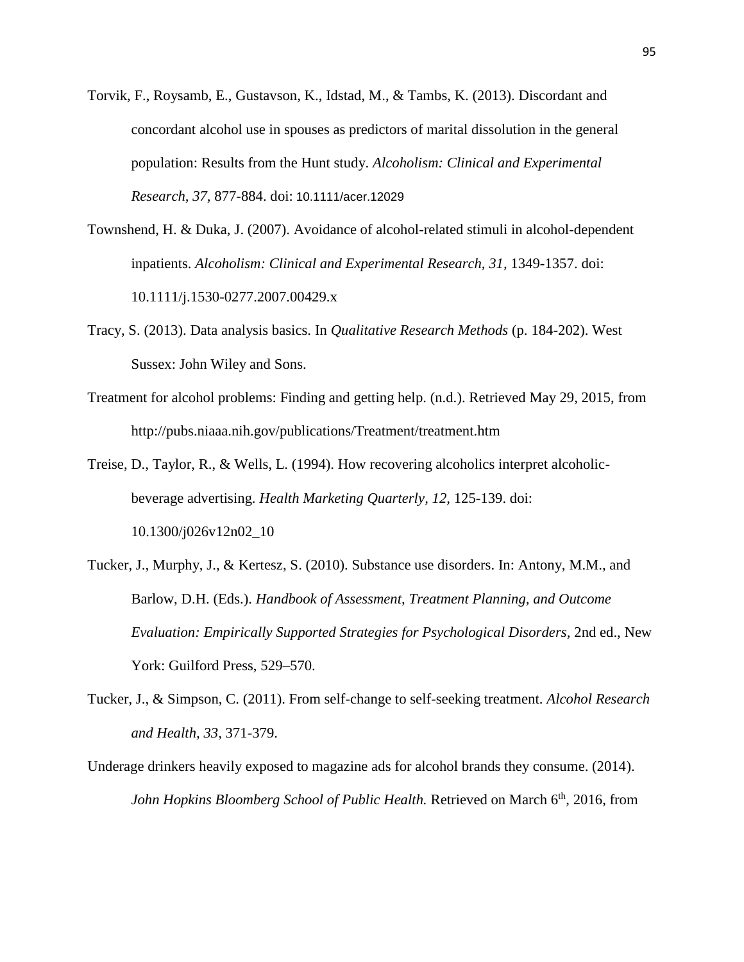- Torvik, F., Roysamb, E., Gustavson, K., Idstad, M., & Tambs, K. (2013). Discordant and concordant alcohol use in spouses as predictors of marital dissolution in the general population: Results from the Hunt study. *Alcoholism: Clinical and Experimental Research, 37,* 877-884. doi: 10.1111/acer.12029
- Townshend, H. & Duka, J. (2007). Avoidance of alcohol-related stimuli in alcohol-dependent inpatients. *Alcoholism: Clinical and Experimental Research, 31,* 1349-1357. doi: 10.1111/j.1530-0277.2007.00429.x
- Tracy, S. (2013). Data analysis basics. In *Qualitative Research Methods* (p. 184-202). West Sussex: John Wiley and Sons.
- Treatment for alcohol problems: Finding and getting help. (n.d.). Retrieved May 29, 2015, from http://pubs.niaaa.nih.gov/publications/Treatment/treatment.htm

Treise, D., Taylor, R., & Wells, L. (1994). How recovering alcoholics interpret alcoholicbeverage advertising. *Health Marketing Quarterly, 12,* 125-139. doi: 10.1300/j026v12n02\_10

- Tucker, J., Murphy, J., & Kertesz, S. (2010). Substance use disorders. In: Antony, M.M., and Barlow, D.H. (Eds.). *Handbook of Assessment, Treatment Planning, and Outcome Evaluation: Empirically Supported Strategies for Psychological Disorders,* 2nd ed., New York: Guilford Press, 529–570.
- Tucker, J., & Simpson, C. (2011). From self-change to self-seeking treatment. *Alcohol Research and Health, 33,* 371-379.
- Underage drinkers heavily exposed to magazine ads for alcohol brands they consume. (2014). *John Hopkins Bloomberg School of Public Health.* Retrieved on March 6<sup>th</sup>, 2016, from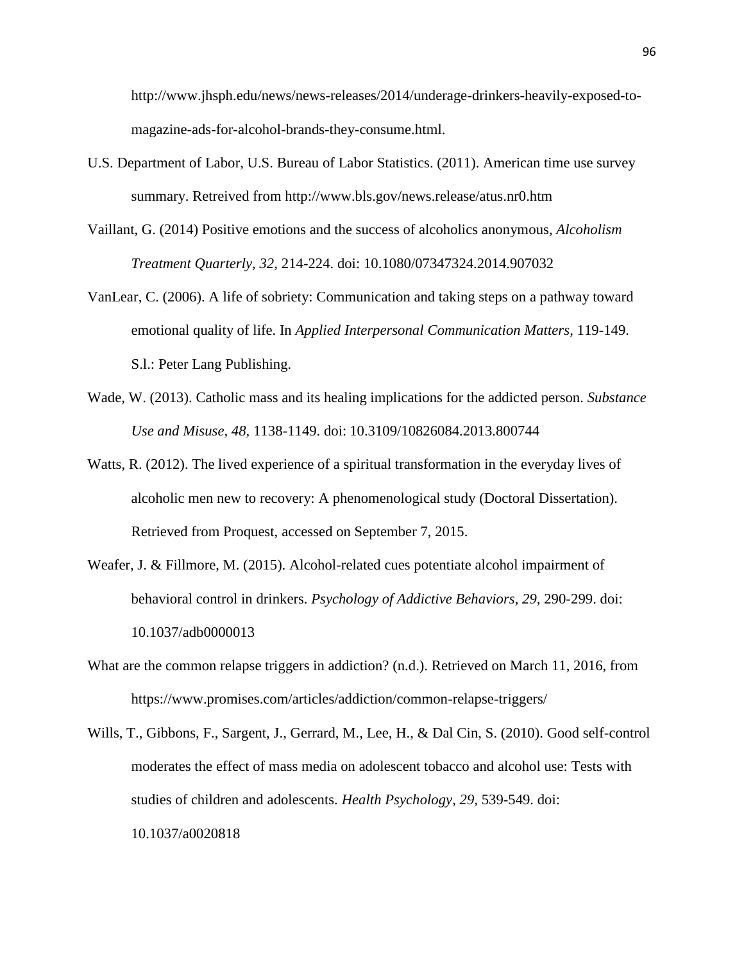http://www.jhsph.edu/news/news-releases/2014/underage-drinkers-heavily-exposed-tomagazine-ads-for-alcohol-brands-they-consume.html.

- U.S. Department of Labor, U.S. Bureau of Labor Statistics. (2011). American time use survey summary. Retreived from http://www.bls.gov/news.release/atus.nr0.htm
- Vaillant, G. (2014) Positive emotions and the success of alcoholics anonymous*, Alcoholism Treatment Quarterly, 32,* 214-224. doi: 10.1080/07347324.2014.907032
- VanLear, C. (2006). A life of sobriety: Communication and taking steps on a pathway toward emotional quality of life. In *Applied Interpersonal Communication Matters,* 119-149. S.l.: Peter Lang Publishing.
- Wade, W. (2013). Catholic mass and its healing implications for the addicted person. *Substance Use and Misuse, 48,* 1138-1149. doi: 10.3109/10826084.2013.800744
- Watts, R. (2012). The lived experience of a spiritual transformation in the everyday lives of alcoholic men new to recovery: A phenomenological study (Doctoral Dissertation). Retrieved from Proquest, accessed on September 7, 2015.
- Weafer, J. & Fillmore, M. (2015). Alcohol-related cues potentiate alcohol impairment of behavioral control in drinkers. *Psychology of Addictive Behaviors, 29,* 290-299. doi: 10.1037/adb0000013
- What are the common relapse triggers in addiction? (n.d.). Retrieved on March 11, 2016, from https://www.promises.com/articles/addiction/common-relapse-triggers/
- Wills, T., Gibbons, F., Sargent, J., Gerrard, M., Lee, H., & Dal Cin, S. (2010). Good self-control moderates the effect of mass media on adolescent tobacco and alcohol use: Tests with studies of children and adolescents. *Health Psychology, 29,* 539-549. doi: 10.1037/a0020818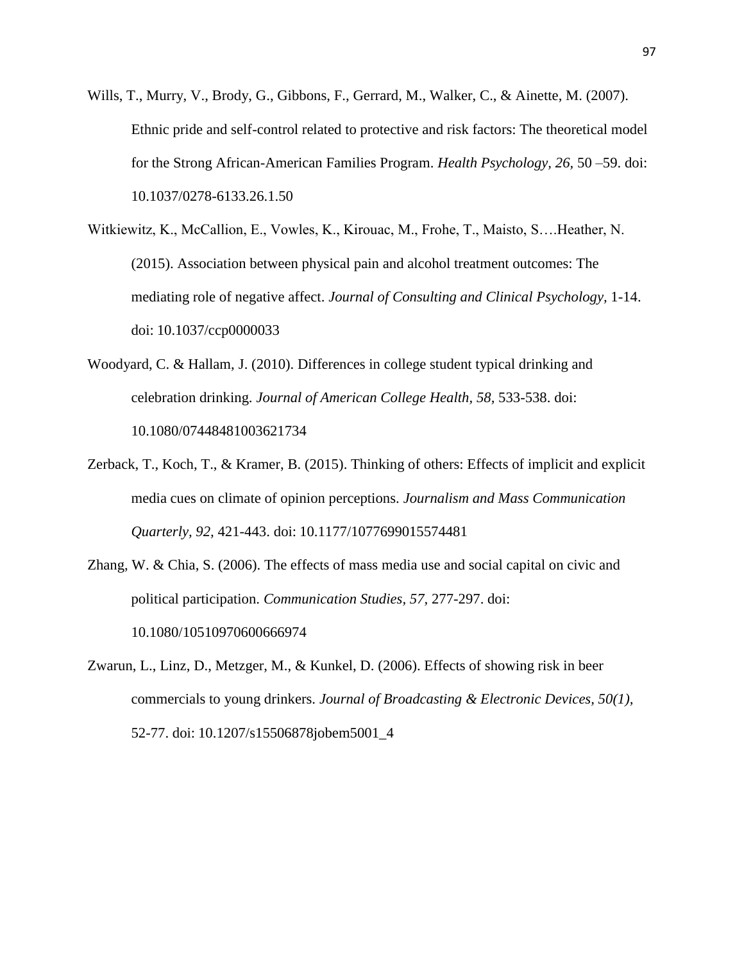- Wills, T., Murry, V., Brody, G., Gibbons, F., Gerrard, M., Walker, C., & Ainette, M. (2007). Ethnic pride and self-control related to protective and risk factors: The theoretical model for the Strong African-American Families Program. *Health Psychology, 26,* 50 –59. doi: 10.1037/0278-6133.26.1.50
- Witkiewitz, K., McCallion, E., Vowles, K., Kirouac, M., Frohe, T., Maisto, S….Heather, N. (2015). Association between physical pain and alcohol treatment outcomes: The mediating role of negative affect. *Journal of Consulting and Clinical Psychology,* 1-14. doi: 10.1037/ccp0000033
- Woodyard, C. & Hallam, J. (2010). Differences in college student typical drinking and celebration drinking. *Journal of American College Health, 58,* 533-538. doi: 10.1080/07448481003621734
- Zerback, T., Koch, T., & Kramer, B. (2015). Thinking of others: Effects of implicit and explicit media cues on climate of opinion perceptions. *Journalism and Mass Communication Quarterly, 92,* 421-443. doi: 10.1177/1077699015574481
- Zhang, W. & Chia, S. (2006). The effects of mass media use and social capital on civic and political participation. *Communication Studies, 57,* 277-297. doi: 10.1080/10510970600666974
- Zwarun, L., Linz, D., Metzger, M., & Kunkel, D. (2006). Effects of showing risk in beer commercials to young drinkers. *Journal of Broadcasting & Electronic Devices, 50(1),* 52-77. doi: 10.1207/s15506878jobem5001\_4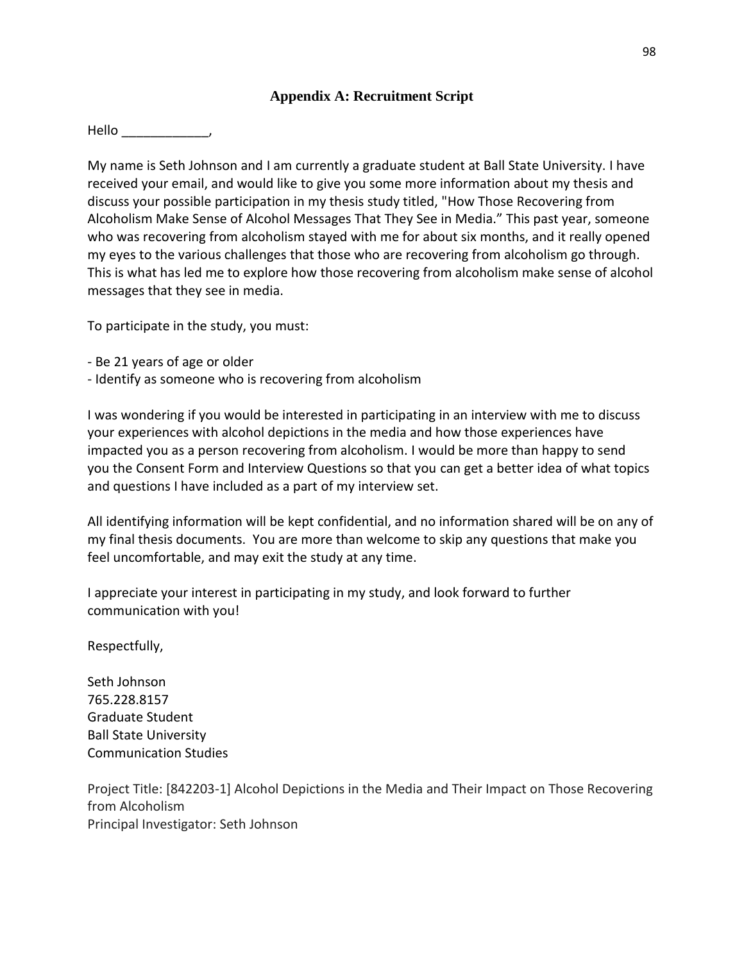#### **Appendix A: Recruitment Script**

Hello \_\_\_\_\_\_\_\_\_\_\_\_,

My name is Seth Johnson and I am currently a graduate student at Ball State University. I have received your email, and would like to give you some more information about my thesis and discuss your possible participation in my thesis study titled, "How Those Recovering from Alcoholism Make Sense of Alcohol Messages That They See in Media." This past year, someone who was recovering from alcoholism stayed with me for about six months, and it really opened my eyes to the various challenges that those who are recovering from alcoholism go through. This is what has led me to explore how those recovering from alcoholism make sense of alcohol messages that they see in media.

To participate in the study, you must:

- Be 21 years of age or older
- Identify as someone who is recovering from alcoholism

I was wondering if you would be interested in participating in an interview with me to discuss your experiences with alcohol depictions in the media and how those experiences have impacted you as a person recovering from alcoholism. I would be more than happy to send you the Consent Form and Interview Questions so that you can get a better idea of what topics and questions I have included as a part of my interview set.

All identifying information will be kept confidential, and no information shared will be on any of my final thesis documents. You are more than welcome to skip any questions that make you feel uncomfortable, and may exit the study at any time.

I appreciate your interest in participating in my study, and look forward to further communication with you!

Respectfully,

Seth Johnson 765.228.8157 Graduate Student Ball State University Communication Studies

Project Title: [842203-1] Alcohol Depictions in the Media and Their Impact on Those Recovering from Alcoholism Principal Investigator: Seth Johnson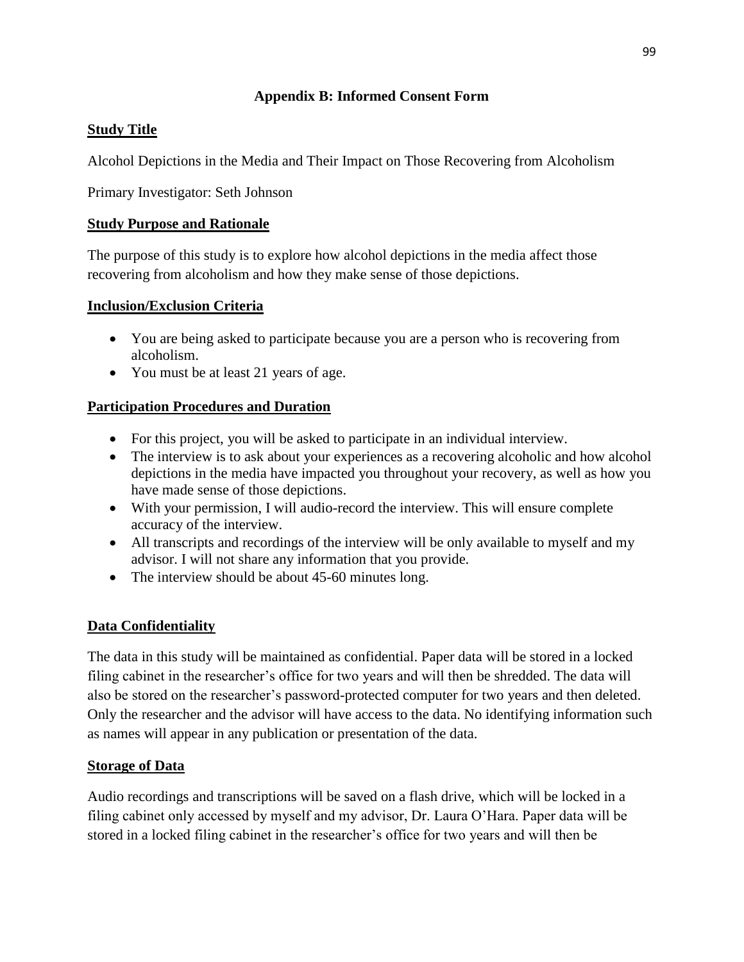### **Appendix B: Informed Consent Form**

### **Study Title**

Alcohol Depictions in the Media and Their Impact on Those Recovering from Alcoholism

Primary Investigator: Seth Johnson

### **Study Purpose and Rationale**

The purpose of this study is to explore how alcohol depictions in the media affect those recovering from alcoholism and how they make sense of those depictions.

### **Inclusion/Exclusion Criteria**

- You are being asked to participate because you are a person who is recovering from alcoholism.
- You must be at least 21 years of age.

# **Participation Procedures and Duration**

- For this project, you will be asked to participate in an individual interview.
- The interview is to ask about your experiences as a recovering alcoholic and how alcohol depictions in the media have impacted you throughout your recovery, as well as how you have made sense of those depictions.
- With your permission, I will audio-record the interview. This will ensure complete accuracy of the interview.
- All transcripts and recordings of the interview will be only available to myself and my advisor. I will not share any information that you provide.
- The interview should be about 45-60 minutes long.

# **Data Confidentiality**

The data in this study will be maintained as confidential. Paper data will be stored in a locked filing cabinet in the researcher's office for two years and will then be shredded. The data will also be stored on the researcher's password-protected computer for two years and then deleted. Only the researcher and the advisor will have access to the data. No identifying information such as names will appear in any publication or presentation of the data.

# **Storage of Data**

Audio recordings and transcriptions will be saved on a flash drive, which will be locked in a filing cabinet only accessed by myself and my advisor, Dr. Laura O'Hara. Paper data will be stored in a locked filing cabinet in the researcher's office for two years and will then be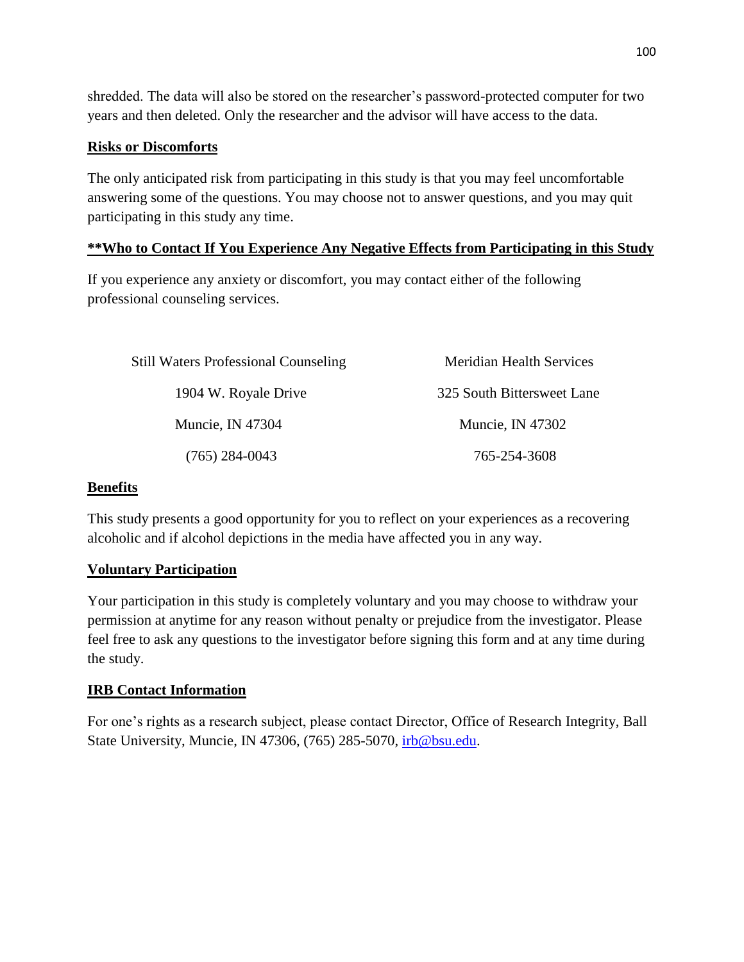shredded. The data will also be stored on the researcher's password-protected computer for two years and then deleted. Only the researcher and the advisor will have access to the data.

### **Risks or Discomforts**

The only anticipated risk from participating in this study is that you may feel uncomfortable answering some of the questions. You may choose not to answer questions, and you may quit participating in this study any time.

### **\*\*Who to Contact If You Experience Any Negative Effects from Participating in this Study**

If you experience any anxiety or discomfort, you may contact either of the following professional counseling services.

| <b>Still Waters Professional Counseling</b> | <b>Meridian Health Services</b> |
|---------------------------------------------|---------------------------------|
| 1904 W. Royale Drive                        | 325 South Bittersweet Lane      |
| Muncie, IN 47304                            | Muncie, IN 47302                |
| $(765)$ 284-0043                            | 765-254-3608                    |

### **Benefits**

This study presents a good opportunity for you to reflect on your experiences as a recovering alcoholic and if alcohol depictions in the media have affected you in any way.

# **Voluntary Participation**

Your participation in this study is completely voluntary and you may choose to withdraw your permission at anytime for any reason without penalty or prejudice from the investigator. Please feel free to ask any questions to the investigator before signing this form and at any time during the study.

# **IRB Contact Information**

For one's rights as a research subject, please contact Director, Office of Research Integrity, Ball State University, Muncie, IN 47306, (765) 285-5070, [irb@bsu.edu.](mailto:irb@bsu.edu)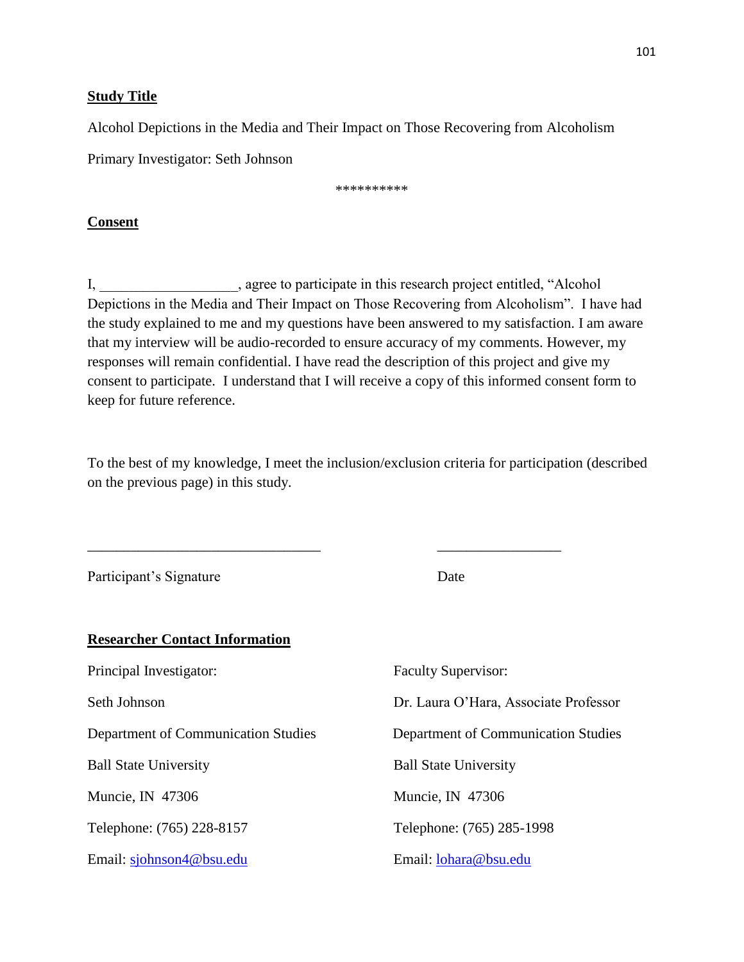#### **Study Title**

Alcohol Depictions in the Media and Their Impact on Those Recovering from Alcoholism

Primary Investigator: Seth Johnson

\*\*\*\*\*\*\*\*\*\*

#### **Consent**

I, agree to participate in this research project entitled, "Alcohol Depictions in the Media and Their Impact on Those Recovering from Alcoholism". I have had the study explained to me and my questions have been answered to my satisfaction. I am aware that my interview will be audio-recorded to ensure accuracy of my comments. However, my responses will remain confidential. I have read the description of this project and give my consent to participate. I understand that I will receive a copy of this informed consent form to keep for future reference.

To the best of my knowledge, I meet the inclusion/exclusion criteria for participation (described on the previous page) in this study.

\_\_\_\_\_\_\_\_\_\_\_\_\_\_\_\_\_\_\_\_\_\_\_\_\_\_\_\_\_\_\_\_ \_\_\_\_\_\_\_\_\_\_\_\_\_\_\_\_\_

Participant's Signature Date **Researcher Contact Information** Principal Investigator: Faculty Supervisor: Seth Johnson Dr. Laura O'Hara, Associate Professor Department of Communication Studies Department of Communication Studies Ball State University Ball State University Muncie, IN 47306 Muncie, IN 47306 Telephone: (765) 228-8157 Telephone: (765) 285-1998 Email: [sjohnson4@bsu.edu](mailto:sjohnson4@bsu.edu) Email: [lohara@bsu.edu](mailto:lohara@bsu.edu)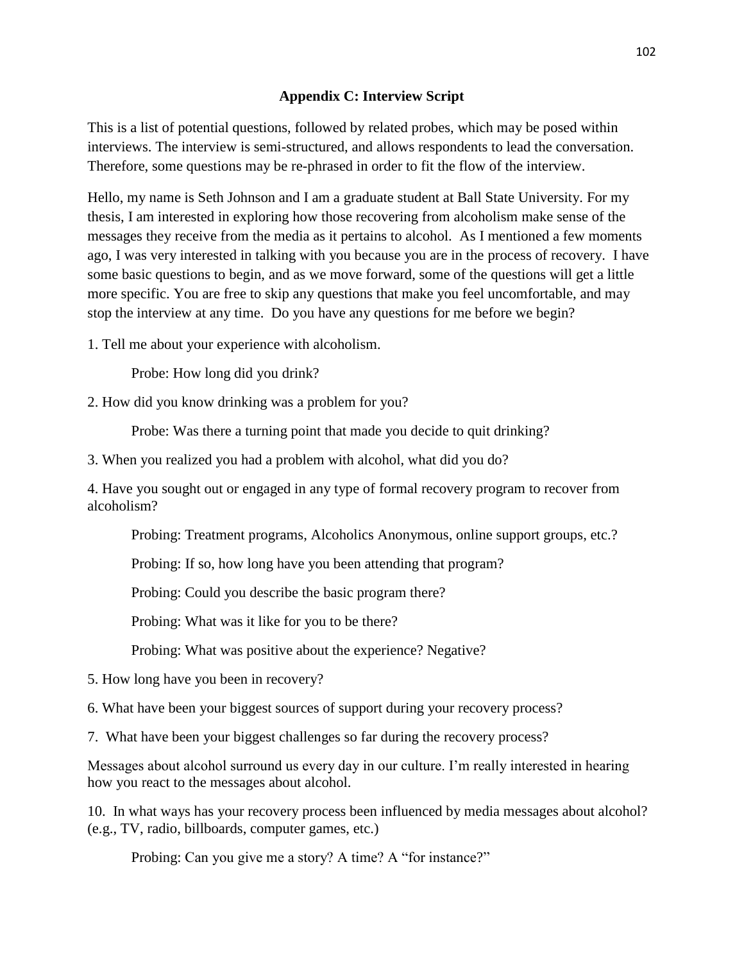#### **Appendix C: Interview Script**

This is a list of potential questions, followed by related probes, which may be posed within interviews. The interview is semi-structured, and allows respondents to lead the conversation. Therefore, some questions may be re-phrased in order to fit the flow of the interview.

Hello, my name is Seth Johnson and I am a graduate student at Ball State University. For my thesis, I am interested in exploring how those recovering from alcoholism make sense of the messages they receive from the media as it pertains to alcohol. As I mentioned a few moments ago, I was very interested in talking with you because you are in the process of recovery. I have some basic questions to begin, and as we move forward, some of the questions will get a little more specific. You are free to skip any questions that make you feel uncomfortable, and may stop the interview at any time. Do you have any questions for me before we begin?

1. Tell me about your experience with alcoholism.

Probe: How long did you drink?

2. How did you know drinking was a problem for you?

Probe: Was there a turning point that made you decide to quit drinking?

3. When you realized you had a problem with alcohol, what did you do?

4. Have you sought out or engaged in any type of formal recovery program to recover from alcoholism?

Probing: Treatment programs, Alcoholics Anonymous, online support groups, etc.?

Probing: If so, how long have you been attending that program?

Probing: Could you describe the basic program there?

Probing: What was it like for you to be there?

Probing: What was positive about the experience? Negative?

5. How long have you been in recovery?

6. What have been your biggest sources of support during your recovery process?

7. What have been your biggest challenges so far during the recovery process?

Messages about alcohol surround us every day in our culture. I'm really interested in hearing how you react to the messages about alcohol.

10. In what ways has your recovery process been influenced by media messages about alcohol? (e.g., TV, radio, billboards, computer games, etc.)

Probing: Can you give me a story? A time? A "for instance?"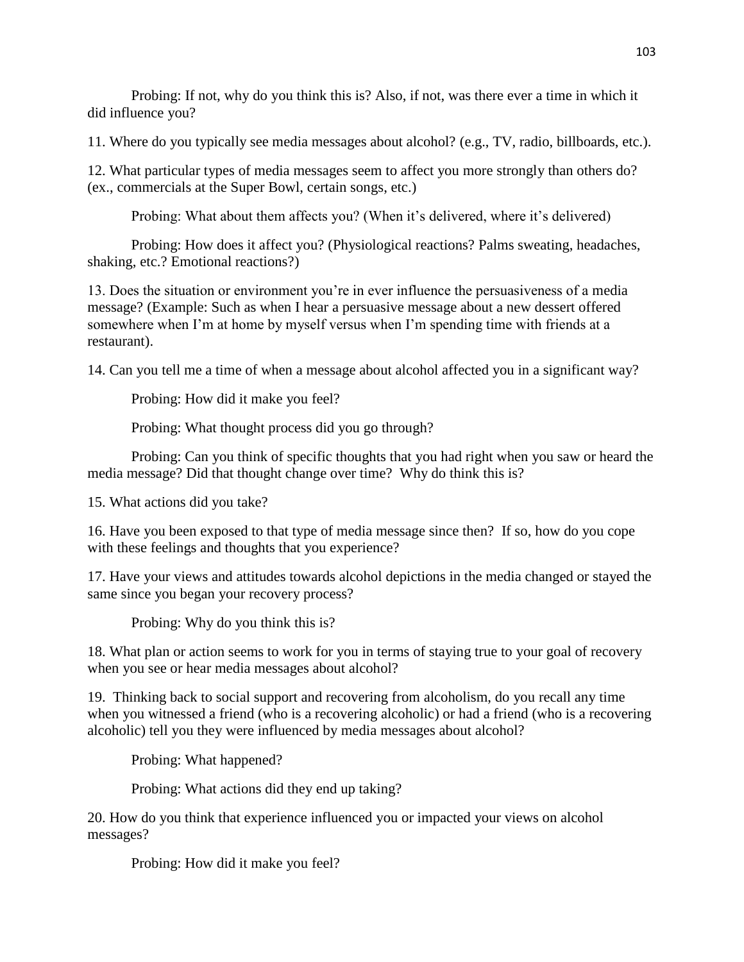Probing: If not, why do you think this is? Also, if not, was there ever a time in which it did influence you?

11. Where do you typically see media messages about alcohol? (e.g., TV, radio, billboards, etc.).

12. What particular types of media messages seem to affect you more strongly than others do? (ex., commercials at the Super Bowl, certain songs, etc.)

Probing: What about them affects you? (When it's delivered, where it's delivered)

Probing: How does it affect you? (Physiological reactions? Palms sweating, headaches, shaking, etc.? Emotional reactions?)

13. Does the situation or environment you're in ever influence the persuasiveness of a media message? (Example: Such as when I hear a persuasive message about a new dessert offered somewhere when I'm at home by myself versus when I'm spending time with friends at a restaurant).

14. Can you tell me a time of when a message about alcohol affected you in a significant way?

Probing: How did it make you feel?

Probing: What thought process did you go through?

Probing: Can you think of specific thoughts that you had right when you saw or heard the media message? Did that thought change over time? Why do think this is?

15. What actions did you take?

16. Have you been exposed to that type of media message since then? If so, how do you cope with these feelings and thoughts that you experience?

17. Have your views and attitudes towards alcohol depictions in the media changed or stayed the same since you began your recovery process?

Probing: Why do you think this is?

18. What plan or action seems to work for you in terms of staying true to your goal of recovery when you see or hear media messages about alcohol?

19. Thinking back to social support and recovering from alcoholism, do you recall any time when you witnessed a friend (who is a recovering alcoholic) or had a friend (who is a recovering alcoholic) tell you they were influenced by media messages about alcohol?

Probing: What happened?

Probing: What actions did they end up taking?

20. How do you think that experience influenced you or impacted your views on alcohol messages?

Probing: How did it make you feel?